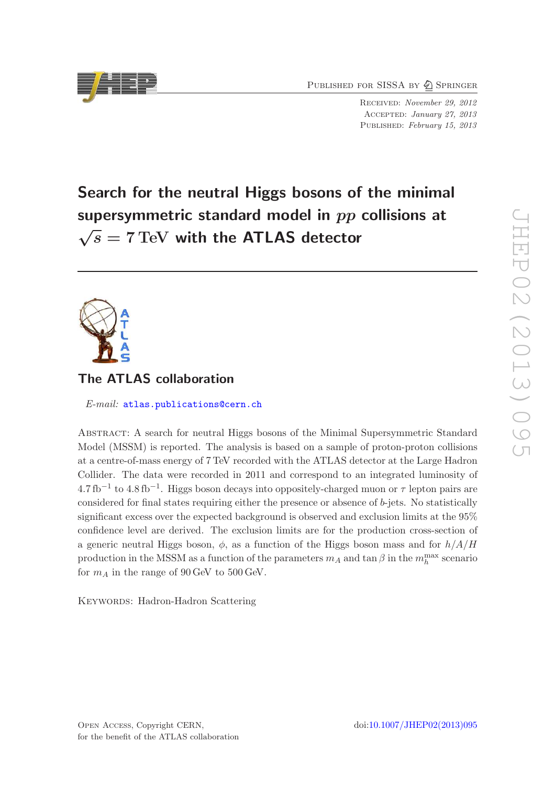PUBLISHED FOR SISSA BY 2 SPRINGER

Received: November 29, 2012 Accepted: January 27, 2013 PUBLISHED: February 15, 2013

# Search for the neutral Higgs bosons of the minimal supersymmetric standard model in  $pp$  collisions at  $\sqrt{s} = 7$  TeV with the ATLAS detector



# The ATLAS collaboration

E-mail: [atlas.publications@cern.ch](mailto:atlas.publications@cern.ch)

Abstract: A search for neutral Higgs bosons of the Minimal Supersymmetric Standard Model (MSSM) is reported. The analysis is based on a sample of proton-proton collisions at a centre-of-mass energy of 7 TeV recorded with the ATLAS detector at the Large Hadron Collider. The data were recorded in 2011 and correspond to an integrated luminosity of  $4.7\,\text{fb}^{-1}$  to  $4.8\,\text{fb}^{-1}$ . Higgs boson decays into oppositely-charged muon or  $\tau$  lepton pairs are considered for final states requiring either the presence or absence of  $b$ -jets. No statistically significant excess over the expected background is observed and exclusion limits at the 95% confidence level are derived. The exclusion limits are for the production cross-section of a generic neutral Higgs boson,  $\phi$ , as a function of the Higgs boson mass and for  $h/A/H$ production in the MSSM as a function of the parameters  $m_A$  and  $\tan \beta$  in the  $m_h^{\text{max}}$  scenario for  $m_A$  in the range of 90 GeV to 500 GeV.

KEYWORDS: Hadron-Hadron Scattering

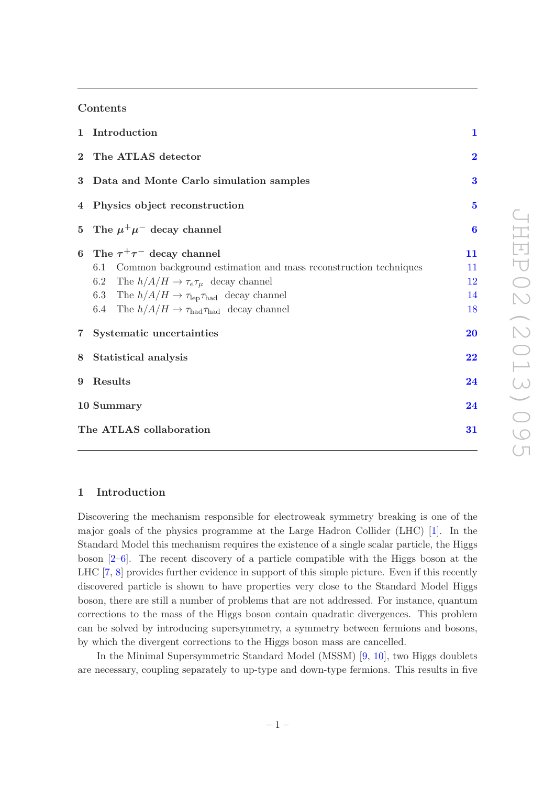# Contents

| 1 Introduction                                                                                                                                                                                                                                                                                                | $\mathbf{1}$               |
|---------------------------------------------------------------------------------------------------------------------------------------------------------------------------------------------------------------------------------------------------------------------------------------------------------------|----------------------------|
| 2 The ATLAS detector                                                                                                                                                                                                                                                                                          | $\overline{2}$             |
| 3 Data and Monte Carlo simulation samples                                                                                                                                                                                                                                                                     | 3                          |
| 4 Physics object reconstruction                                                                                                                                                                                                                                                                               | $\overline{\mathbf{5}}$    |
| 5 The $\mu^+\mu^-$ decay channel                                                                                                                                                                                                                                                                              | $\bf{6}$                   |
| 6 The $\tau^+\tau^-$ decay channel<br>Common background estimation and mass reconstruction techniques<br>6.1<br>6.2 The $h/A/H \to \tau_e \tau_\mu$ decay channel<br>6.3 The $h/A/H \to \tau_{\rm lep} \tau_{\rm had}$ decay channel<br>6.4 The $h/A/H \to \tau_{\text{had}} \tau_{\text{had}}$ decay channel | 11<br>11<br>12<br>14<br>18 |
| 7 Systematic uncertainties                                                                                                                                                                                                                                                                                    | 20                         |
| 8 Statistical analysis                                                                                                                                                                                                                                                                                        | $\overline{\bf 22}$        |
| 9 Results                                                                                                                                                                                                                                                                                                     | 24                         |
| 10 Summary                                                                                                                                                                                                                                                                                                    | 24                         |
| The ATLAS collaboration                                                                                                                                                                                                                                                                                       | 31                         |

# <span id="page-1-0"></span>1 Introduction

Discovering the mechanism responsible for electroweak symmetry breaking is one of the major goals of the physics programme at the Large Hadron Collider (LHC) [\[1](#page-26-0)]. In the Standard Model this mechanism requires the existence of a single scalar particle, the Higgs boson [\[2](#page-26-1)[–6\]](#page-26-2). The recent discovery of a particle compatible with the Higgs boson at the LHC [\[7,](#page-26-3) [8](#page-26-4)] provides further evidence in support of this simple picture. Even if this recently discovered particle is shown to have properties very close to the Standard Model Higgs boson, there are still a number of problems that are not addressed. For instance, quantum corrections to the mass of the Higgs boson contain quadratic divergences. This problem can be solved by introducing supersymmetry, a symmetry between fermions and bosons, by which the divergent corrections to the Higgs boson mass are cancelled.

In the Minimal Supersymmetric Standard Model (MSSM) [\[9,](#page-26-5) [10](#page-26-6)], two Higgs doublets are necessary, coupling separately to up-type and down-type fermions. This results in five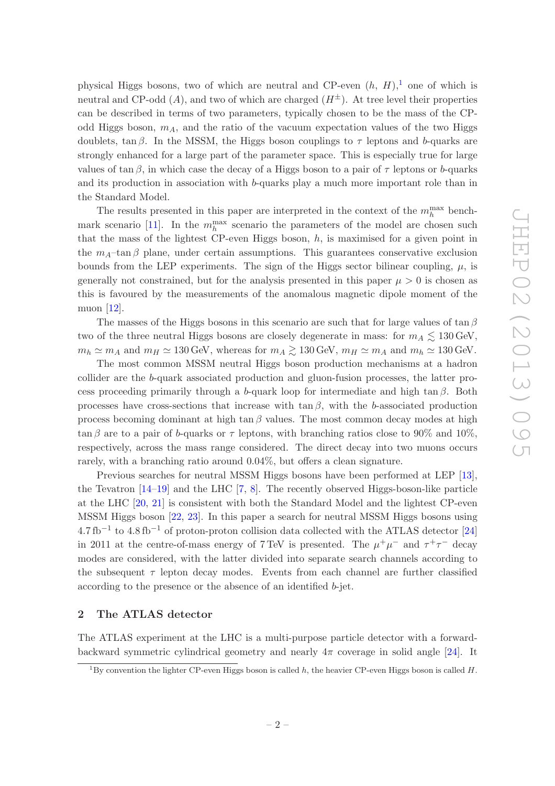physical Higgs bosons, two of which are neutral and CP-even  $(h, H)$ ,<sup>[1](#page-2-1)</sup> one of which is neutral and CP-odd  $(A)$ , and two of which are charged  $(H^{\pm})$ . At tree level their properties can be described in terms of two parameters, typically chosen to be the mass of the CPodd Higgs boson,  $m_A$ , and the ratio of the vacuum expectation values of the two Higgs doublets, tan  $\beta$ . In the MSSM, the Higgs boson couplings to  $\tau$  leptons and b-quarks are strongly enhanced for a large part of the parameter space. This is especially true for large values of tan β, in which case the decay of a Higgs boson to a pair of  $\tau$  leptons or b-quarks and its production in association with b-quarks play a much more important role than in the Standard Model.

The results presented in this paper are interpreted in the context of the  $m_h^{\text{max}}$  bench-mark scenario [\[11\]](#page-27-0). In the  $m_h^{\text{max}}$  scenario the parameters of the model are chosen such that the mass of the lightest CP-even Higgs boson,  $h$ , is maximised for a given point in the  $m_A$ –tan  $\beta$  plane, under certain assumptions. This guarantees conservative exclusion bounds from the LEP experiments. The sign of the Higgs sector bilinear coupling,  $\mu$ , is generally not constrained, but for the analysis presented in this paper  $\mu > 0$  is chosen as this is favoured by the measurements of the anomalous magnetic dipole moment of the muon [\[12](#page-27-1)].

The masses of the Higgs bosons in this scenario are such that for large values of tan  $\beta$ two of the three neutral Higgs bosons are closely degenerate in mass: for  $m_A \lesssim 130$  GeV,  $m_h \simeq m_A$  and  $m_H \simeq 130$  GeV, whereas for  $m_A \gtrsim 130$  GeV,  $m_H \simeq m_A$  and  $m_h \simeq 130$  GeV.

The most common MSSM neutral Higgs boson production mechanisms at a hadron collider are the b-quark associated production and gluon-fusion processes, the latter process proceeding primarily through a b-quark loop for intermediate and high tan  $\beta$ . Both processes have cross-sections that increase with tan  $\beta$ , with the b-associated production process becoming dominant at high tan  $\beta$  values. The most common decay modes at high  $\tan \beta$  are to a pair of b-quarks or  $\tau$  leptons, with branching ratios close to 90% and 10%, respectively, across the mass range considered. The direct decay into two muons occurs rarely, with a branching ratio around 0.04%, but offers a clean signature.

Previous searches for neutral MSSM Higgs bosons have been performed at LEP [\[13\]](#page-27-2), the Tevatron [\[14](#page-27-3)[–19\]](#page-27-4) and the LHC [\[7](#page-26-3), [8\]](#page-26-4). The recently observed Higgs-boson-like particle at the LHC [\[20](#page-27-5), [21\]](#page-27-6) is consistent with both the Standard Model and the lightest CP-even MSSM Higgs boson [\[22](#page-27-7), [23](#page-27-8)]. In this paper a search for neutral MSSM Higgs bosons using  $4.7 \text{ fb}^{-1}$  to  $4.8 \text{ fb}^{-1}$  of proton-proton collision data collected with the ATLAS detector [\[24\]](#page-27-9) in 2011 at the centre-of-mass energy of 7 TeV is presented. The  $\mu^+\mu^-$  and  $\tau^+\tau^-$  decay modes are considered, with the latter divided into separate search channels according to the subsequent  $\tau$  lepton decay modes. Events from each channel are further classified according to the presence or the absence of an identified b-jet.

#### <span id="page-2-0"></span>2 The ATLAS detector

The ATLAS experiment at the LHC is a multi-purpose particle detector with a forwardbackward symmetric cylindrical geometry and nearly  $4\pi$  coverage in solid angle [\[24](#page-27-9)]. It

<span id="page-2-1"></span><sup>&</sup>lt;sup>1</sup>By convention the lighter CP-even Higgs boson is called h, the heavier CP-even Higgs boson is called H.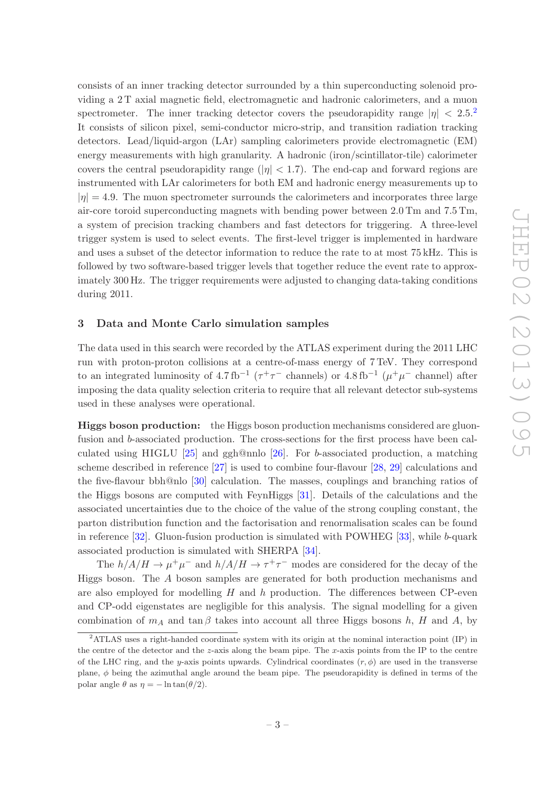consists of an inner tracking detector surrounded by a thin superconducting solenoid providing a 2 T axial magnetic field, electromagnetic and hadronic calorimeters, and a muon spectrometer. The inner tracking detector covers the pseudorapidity range  $|\eta| < 2.5^{2}$  $|\eta| < 2.5^{2}$  $|\eta| < 2.5^{2}$ . It consists of silicon pixel, semi-conductor micro-strip, and transition radiation tracking detectors. Lead/liquid-argon (LAr) sampling calorimeters provide electromagnetic (EM) energy measurements with high granularity. A hadronic (iron/scintillator-tile) calorimeter covers the central pseudorapidity range ( $|\eta| < 1.7$ ). The end-cap and forward regions are instrumented with LAr calorimeters for both EM and hadronic energy measurements up to  $|\eta| = 4.9$ . The muon spectrometer surrounds the calorimeters and incorporates three large air-core toroid superconducting magnets with bending power between 2.0 Tm and 7.5 Tm, a system of precision tracking chambers and fast detectors for triggering. A three-level trigger system is used to select events. The first-level trigger is implemented in hardware and uses a subset of the detector information to reduce the rate to at most 75 kHz. This is followed by two software-based trigger levels that together reduce the event rate to approximately 300 Hz. The trigger requirements were adjusted to changing data-taking conditions during 2011.

# <span id="page-3-0"></span>3 Data and Monte Carlo simulation samples

The data used in this search were recorded by the ATLAS experiment during the 2011 LHC run with proton-proton collisions at a centre-of-mass energy of 7 TeV. They correspond to an integrated luminosity of  $4.7 \text{ fb}^{-1}$  ( $\tau^+\tau^-$  channels) or  $4.8 \text{ fb}^{-1}$  ( $\mu^+\mu^-$  channel) after imposing the data quality selection criteria to require that all relevant detector sub-systems used in these analyses were operational.

Higgs boson production: the Higgs boson production mechanisms considered are gluonfusion and b-associated production. The cross-sections for the first process have been calculated using HIGLU [\[25](#page-27-10)] and ggh@nnlo [\[26](#page-27-11)]. For b-associated production, a matching scheme described in reference [\[27\]](#page-28-0) is used to combine four-flavour [\[28](#page-28-1), [29\]](#page-28-2) calculations and the five-flavour bbh@nlo [\[30\]](#page-28-3) calculation. The masses, couplings and branching ratios of the Higgs bosons are computed with FeynHiggs [\[31](#page-28-4)]. Details of the calculations and the associated uncertainties due to the choice of the value of the strong coupling constant, the parton distribution function and the factorisation and renormalisation scales can be found in reference [\[32](#page-28-5)]. Gluon-fusion production is simulated with POWHEG [\[33\]](#page-28-6), while b-quark associated production is simulated with SHERPA [\[34](#page-28-7)].

The  $h/A/H \to \mu^+\mu^-$  and  $h/A/H \to \tau^+\tau^-$  modes are considered for the decay of the Higgs boson. The A boson samples are generated for both production mechanisms and are also employed for modelling  $H$  and  $h$  production. The differences between CP-even and CP-odd eigenstates are negligible for this analysis. The signal modelling for a given combination of  $m_A$  and tan β takes into account all three Higgs bosons h, H and A, by

<span id="page-3-1"></span><sup>2</sup>ATLAS uses a right-handed coordinate system with its origin at the nominal interaction point (IP) in the centre of the detector and the z-axis along the beam pipe. The x-axis points from the IP to the centre of the LHC ring, and the y-axis points upwards. Cylindrical coordinates  $(r, \phi)$  are used in the transverse plane,  $\phi$  being the azimuthal angle around the beam pipe. The pseudorapidity is defined in terms of the polar angle  $\theta$  as  $\eta = -\ln \tan(\theta/2)$ .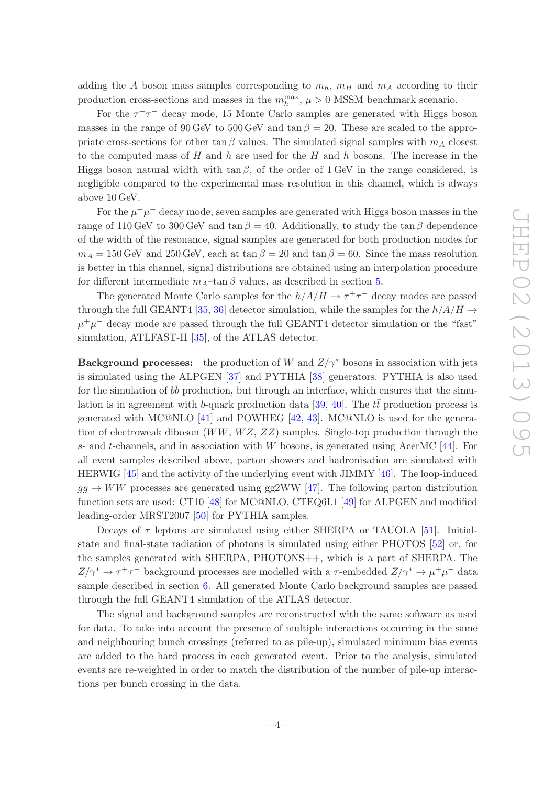adding the A boson mass samples corresponding to  $m_h$ ,  $m_H$  and  $m_A$  according to their production cross-sections and masses in the  $m_h^{\text{max}}$ ,  $\mu > 0$  MSSM benchmark scenario.

For the  $\tau^+\tau^-$  decay mode, 15 Monte Carlo samples are generated with Higgs boson masses in the range of 90 GeV to 500 GeV and tan  $\beta = 20$ . These are scaled to the appropriate cross-sections for other tan  $\beta$  values. The simulated signal samples with  $m_A$  closest to the computed mass of  $H$  and  $h$  are used for the  $H$  and  $h$  bosons. The increase in the Higgs boson natural width with tan  $\beta$ , of the order of 1 GeV in the range considered, is negligible compared to the experimental mass resolution in this channel, which is always above 10 GeV.

For the  $\mu^+\mu^-$  decay mode, seven samples are generated with Higgs boson masses in the range of 110 GeV to 300 GeV and tan  $\beta = 40$ . Additionally, to study the tan  $\beta$  dependence of the width of the resonance, signal samples are generated for both production modes for  $m_A = 150$  GeV and 250 GeV, each at tan  $\beta = 20$  and tan  $\beta = 60$ . Since the mass resolution is better in this channel, signal distributions are obtained using an interpolation procedure for different intermediate  $m_A$ –tan  $\beta$  values, as described in section [5.](#page-6-0)

The generated Monte Carlo samples for the  $h/A/H \to \tau^+\tau^-$  decay modes are passed through the full GEANT4 [\[35,](#page-28-8) [36\]](#page-28-9) detector simulation, while the samples for the  $h/A/H \rightarrow$  $\mu^+\mu^-$  decay mode are passed through the full GEANT4 detector simulation or the "fast" simulation, ATLFAST-II [\[35\]](#page-28-8), of the ATLAS detector.

**Background processes:** the production of W and  $Z/\gamma^*$  bosons in association with jets is simulated using the ALPGEN [\[37\]](#page-28-10) and PYTHIA [\[38\]](#page-28-11) generators. PYTHIA is also used for the simulation of  $b\bar{b}$  production, but through an interface, which ensures that the simu-lation is in agreement with b-quark production data [\[39,](#page-28-12) [40](#page-28-13)]. The  $t\bar{t}$  production process is generated with MC@NLO [\[41\]](#page-28-14) and POWHEG [\[42,](#page-28-15) [43](#page-28-16)]. MC@NLO is used for the generation of electroweak diboson  $(WW, WZ, ZZ)$  samples. Single-top production through the s- and t-channels, and in association with  $W$  bosons, is generated using AcerMC [\[44](#page-28-17)]. For all event samples described above, parton showers and hadronisation are simulated with HERWIG [\[45](#page-29-0)] and the activity of the underlying event with JIMMY [\[46\]](#page-29-1). The loop-induced  $gg \rightarrow WW$  processes are generated using gg2WW [\[47](#page-29-2)]. The following parton distribution function sets are used: CT10 [\[48\]](#page-29-3) for MC@NLO, CTEQ6L1 [\[49](#page-29-4)] for ALPGEN and modified leading-order MRST2007 [\[50\]](#page-29-5) for PYTHIA samples.

Decays of  $\tau$  leptons are simulated using either SHERPA or TAUOLA [\[51](#page-29-6)]. Initialstate and final-state radiation of photons is simulated using either PHOTOS [\[52](#page-29-7)] or, for the samples generated with SHERPA, PHOTONS++, which is a part of SHERPA. The  $Z/\gamma^* \to \tau^+\tau^-$  background processes are modelled with a  $\tau$ -embedded  $Z/\gamma^* \to \mu^+\mu^-$  data sample described in section [6.](#page-11-0) All generated Monte Carlo background samples are passed through the full GEANT4 simulation of the ATLAS detector.

The signal and background samples are reconstructed with the same software as used for data. To take into account the presence of multiple interactions occurring in the same and neighbouring bunch crossings (referred to as pile-up), simulated minimum bias events are added to the hard process in each generated event. Prior to the analysis, simulated events are re-weighted in order to match the distribution of the number of pile-up interactions per bunch crossing in the data.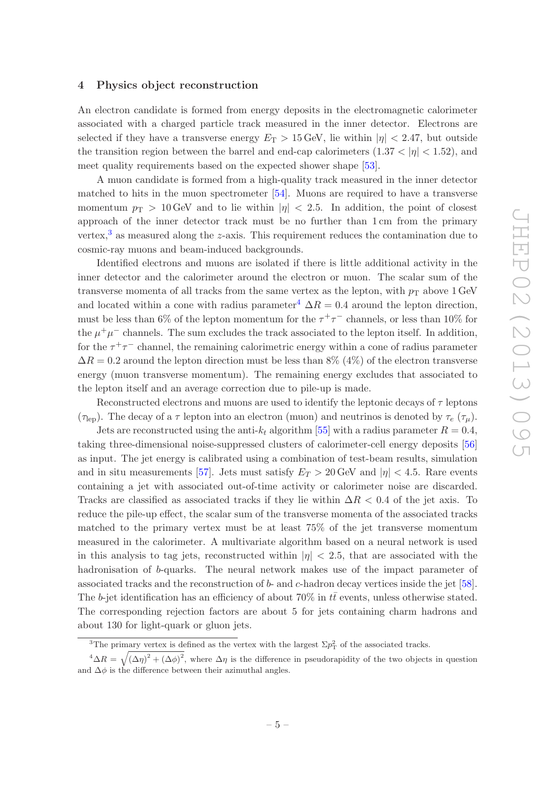# <span id="page-5-0"></span>4 Physics object reconstruction

An electron candidate is formed from energy deposits in the electromagnetic calorimeter associated with a charged particle track measured in the inner detector. Electrons are selected if they have a transverse energy  $E_T > 15$  GeV, lie within  $|\eta| < 2.47$ , but outside the transition region between the barrel and end-cap calorimeters  $(1.37 < |\eta| < 1.52)$ , and meet quality requirements based on the expected shower shape [\[53\]](#page-29-8).

A muon candidate is formed from a high-quality track measured in the inner detector matched to hits in the muon spectrometer [\[54](#page-29-9)]. Muons are required to have a transverse momentum  $p_T > 10$  GeV and to lie within  $|\eta| < 2.5$ . In addition, the point of closest approach of the inner detector track must be no further than 1 cm from the primary vertex, $3$  as measured along the z-axis. This requirement reduces the contamination due to cosmic-ray muons and beam-induced backgrounds.

Identified electrons and muons are isolated if there is little additional activity in the inner detector and the calorimeter around the electron or muon. The scalar sum of the transverse momenta of all tracks from the same vertex as the lepton, with  $p_T$  above 1 GeV and located within a cone with radius parameter<sup>[4](#page-5-2)</sup>  $\Delta R = 0.4$  around the lepton direction, must be less than 6% of the lepton momentum for the  $\tau^+\tau^-$  channels, or less than 10% for the  $\mu^+\mu^-$  channels. The sum excludes the track associated to the lepton itself. In addition, for the  $\tau^+\tau^-$  channel, the remaining calorimetric energy within a cone of radius parameter  $\Delta R = 0.2$  around the lepton direction must be less than 8% (4%) of the electron transverse energy (muon transverse momentum). The remaining energy excludes that associated to the lepton itself and an average correction due to pile-up is made.

Reconstructed electrons and muons are used to identify the leptonic decays of  $\tau$  leptons ( $\tau_{\rm lep}$ ). The decay of a  $\tau$  lepton into an electron (muon) and neutrinos is denoted by  $\tau_e$  ( $\tau_\mu$ ).

Jets are reconstructed using the anti- $k_t$  algorithm [\[55](#page-29-10)] with a radius parameter  $R = 0.4$ , taking three-dimensional noise-suppressed clusters of calorimeter-cell energy deposits [\[56\]](#page-29-11) as input. The jet energy is calibrated using a combination of test-beam results, simulation and in situ measurements [\[57\]](#page-29-12). Jets must satisfy  $E_T > 20$  GeV and  $|\eta| < 4.5$ . Rare events containing a jet with associated out-of-time activity or calorimeter noise are discarded. Tracks are classified as associated tracks if they lie within  $\Delta R < 0.4$  of the jet axis. To reduce the pile-up effect, the scalar sum of the transverse momenta of the associated tracks matched to the primary vertex must be at least 75% of the jet transverse momentum measured in the calorimeter. A multivariate algorithm based on a neural network is used in this analysis to tag jets, reconstructed within  $|\eta| < 2.5$ , that are associated with the hadronisation of b-quarks. The neural network makes use of the impact parameter of associated tracks and the reconstruction of b- and c-hadron decay vertices inside the jet [\[58\]](#page-29-13). The b-jet identification has an efficiency of about 70% in  $t\bar{t}$  events, unless otherwise stated. The corresponding rejection factors are about 5 for jets containing charm hadrons and about 130 for light-quark or gluon jets.

<span id="page-5-1"></span><sup>&</sup>lt;sup>3</sup>The primary vertex is defined as the vertex with the largest  $\Sigma p_{\rm T}^2$  of the associated tracks.

<span id="page-5-2"></span> $^4\Delta R = \sqrt{(\Delta \eta)^2 + (\Delta \phi)^2}$ , where  $\Delta \eta$  is the difference in pseudorapidity of the two objects in question and  $\Delta\phi$  is the difference between their azimuthal angles.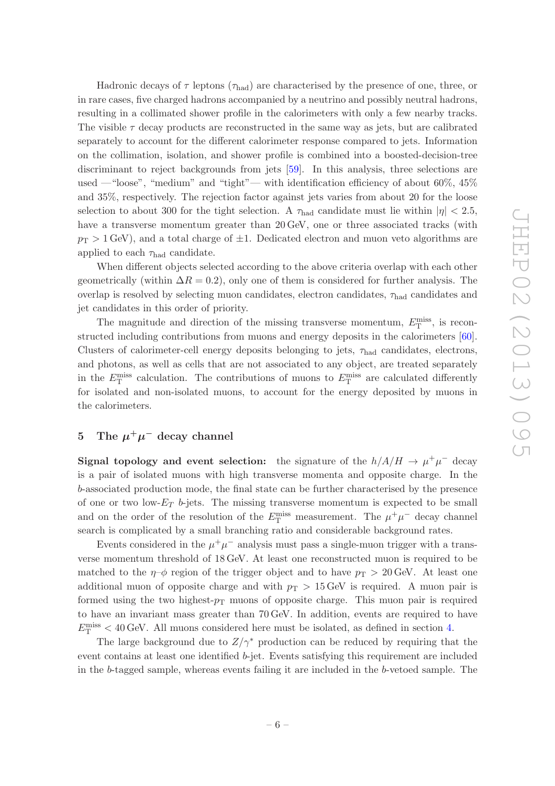Hadronic decays of  $\tau$  leptons ( $\tau_{\text{had}}$ ) are characterised by the presence of one, three, or in rare cases, five charged hadrons accompanied by a neutrino and possibly neutral hadrons, resulting in a collimated shower profile in the calorimeters with only a few nearby tracks. The visible  $\tau$  decay products are reconstructed in the same way as jets, but are calibrated separately to account for the different calorimeter response compared to jets. Information on the collimation, isolation, and shower profile is combined into a boosted-decision-tree discriminant to reject backgrounds from jets [\[59](#page-29-14)]. In this analysis, three selections are used —"loose", "medium" and "tight"— with identification efficiency of about 60%, 45% and 35%, respectively. The rejection factor against jets varies from about 20 for the loose selection to about 300 for the tight selection. A  $\tau_{\text{had}}$  candidate must lie within  $|\eta| < 2.5$ , have a transverse momentum greater than 20 GeV, one or three associated tracks (with  $p_T > 1$  GeV), and a total charge of  $\pm 1$ . Dedicated electron and muon veto algorithms are applied to each  $\tau_{\text{had}}$  candidate.

When different objects selected according to the above criteria overlap with each other geometrically (within  $\Delta R = 0.2$ ), only one of them is considered for further analysis. The overlap is resolved by selecting muon candidates, electron candidates,  $\tau_{\text{had}}$  candidates and jet candidates in this order of priority.

The magnitude and direction of the missing transverse momentum,  $E_{\rm T}^{\rm miss}$ , is reconstructed including contributions from muons and energy deposits in the calorimeters [\[60\]](#page-29-15). Clusters of calorimeter-cell energy deposits belonging to jets,  $\tau_{\text{had}}$  candidates, electrons, and photons, as well as cells that are not associated to any object, are treated separately in the  $E_{\rm T}^{\rm miss}$  calculation. The contributions of muons to  $E_{\rm T}^{\rm miss}$  are calculated differently for isolated and non-isolated muons, to account for the energy deposited by muons in the calorimeters.

# <span id="page-6-0"></span>5 The  $\mu^+\mu^-$  decay channel

Signal topology and event selection: the signature of the  $h/A/H \to \mu^+\mu^-$  decay is a pair of isolated muons with high transverse momenta and opposite charge. In the b-associated production mode, the final state can be further characterised by the presence of one or two low- $E_T$  b-jets. The missing transverse momentum is expected to be small and on the order of the resolution of the  $E_{\rm T}^{\rm miss}$  measurement. The  $\mu^+\mu^-$  decay channel search is complicated by a small branching ratio and considerable background rates.

Events considered in the  $\mu^+\mu^-$  analysis must pass a single-muon trigger with a transverse momentum threshold of 18 GeV. At least one reconstructed muon is required to be matched to the  $\eta$ – $\phi$  region of the trigger object and to have  $p_T > 20$  GeV. At least one additional muon of opposite charge and with  $p_T > 15 \text{ GeV}$  is required. A muon pair is formed using the two highest- $p_T$  muons of opposite charge. This muon pair is required to have an invariant mass greater than 70 GeV. In addition, events are required to have  $E_{\rm T}^{\rm miss}$  < 40 GeV. All muons considered here must be isolated, as defined in section [4.](#page-5-0)

The large background due to  $Z/\gamma^*$  production can be reduced by requiring that the event contains at least one identified b-jet. Events satisfying this requirement are included in the b-tagged sample, whereas events failing it are included in the b-vetoed sample. The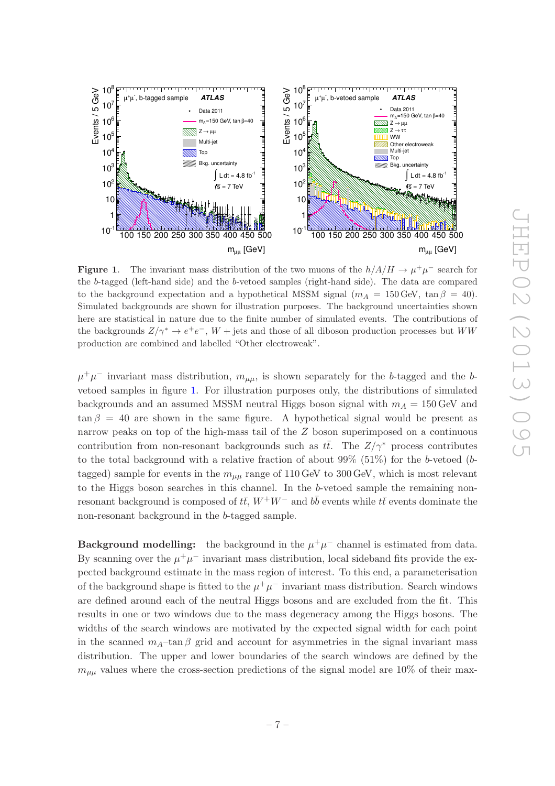

<span id="page-7-0"></span>**Figure 1.** The invariant mass distribution of the two muons of the  $h/A/H \to \mu^+\mu^-$  search for the b-tagged (left-hand side) and the b-vetoed samples (right-hand side). The data are compared to the background expectation and a hypothetical MSSM signal  $(m_A = 150 \,\text{GeV}, \tan \beta = 40)$ . Simulated backgrounds are shown for illustration purposes. The background uncertainties shown here are statistical in nature due to the finite number of simulated events. The contributions of the backgrounds  $Z/\gamma^* \to e^+e^-$ ,  $W$  + jets and those of all diboson production processes but  $WW$ production are combined and labelled "Other electroweak".

 $\mu^+\mu^-$  invariant mass distribution,  $m_{\mu\mu}$ , is shown separately for the b-tagged and the bvetoed samples in figure [1.](#page-7-0) For illustration purposes only, the distributions of simulated backgrounds and an assumed MSSM neutral Higgs boson signal with  $m_A = 150$  GeV and  $\tan \beta = 40$  are shown in the same figure. A hypothetical signal would be present as narrow peaks on top of the high-mass tail of the Z boson superimposed on a continuous contribution from non-resonant backgrounds such as  $t\bar{t}$ . The  $Z/\gamma^*$  process contributes to the total background with a relative fraction of about  $99\%$  (51%) for the b-vetoed (btagged) sample for events in the  $m_{\mu\mu}$  range of 110 GeV to 300 GeV, which is most relevant to the Higgs boson searches in this channel. In the b-vetoed sample the remaining nonresonant background is composed of  $t\bar{t}$ ,  $W^+W^-$  and  $b\bar{b}$  events while  $t\bar{t}$  events dominate the non-resonant background in the b-tagged sample.

**Background modelling:** the background in the  $\mu^+\mu^-$  channel is estimated from data. By scanning over the  $\mu^+\mu^-$  invariant mass distribution, local sideband fits provide the expected background estimate in the mass region of interest. To this end, a parameterisation of the background shape is fitted to the  $\mu^+\mu^-$  invariant mass distribution. Search windows are defined around each of the neutral Higgs bosons and are excluded from the fit. This results in one or two windows due to the mass degeneracy among the Higgs bosons. The widths of the search windows are motivated by the expected signal width for each point in the scanned  $m_A$ –tan β grid and account for asymmetries in the signal invariant mass distribution. The upper and lower boundaries of the search windows are defined by the  $m_{\mu\mu}$  values where the cross-section predictions of the signal model are 10% of their max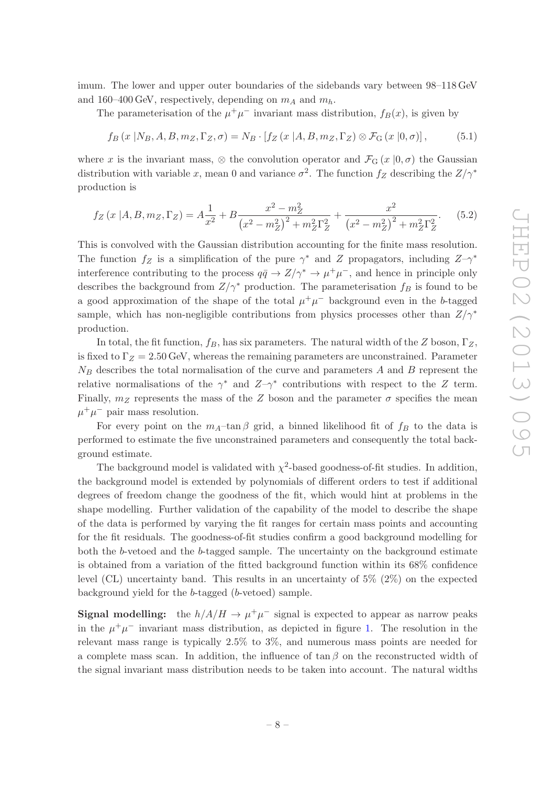imum. The lower and upper outer boundaries of the sidebands vary between 98–118 GeV and 160–400 GeV, respectively, depending on  $m_A$  and  $m_h$ .

The parameterisation of the  $\mu^+\mu^-$  invariant mass distribution,  $f_B(x)$ , is given by

$$
f_B(x | N_B, A, B, m_Z, \Gamma_Z, \sigma) = N_B \cdot [f_Z(x | A, B, m_Z, \Gamma_Z) \otimes \mathcal{F}_G(x | 0, \sigma)], \qquad (5.1)
$$

where x is the invariant mass,  $\otimes$  the convolution operator and  $\mathcal{F}_{\mathcal{G}}(x \mid 0, \sigma)$  the Gaussian distribution with variable x, mean 0 and variance  $\sigma^2$ . The function  $f_Z$  describing the  $Z/\gamma^*$ production is

$$
f_Z(x|A, B, m_Z, \Gamma_Z) = A \frac{1}{x^2} + B \frac{x^2 - m_Z^2}{(x^2 - m_Z^2)^2 + m_Z^2 \Gamma_Z^2} + \frac{x^2}{(x^2 - m_Z^2)^2 + m_Z^2 \Gamma_Z^2}.
$$
 (5.2)

This is convolved with the Gaussian distribution accounting for the finite mass resolution. The function  $f_Z$  is a simplification of the pure  $\gamma^*$  and Z propagators, including  $Z-\gamma^*$ interference contributing to the process  $q\bar{q} \to Z/\gamma^* \to \mu^+\mu^-$ , and hence in principle only describes the background from  $Z/\gamma^*$  production. The parameterisation  $f_B$  is found to be a good approximation of the shape of the total  $\mu^+\mu^-$  background even in the b-tagged sample, which has non-negligible contributions from physics processes other than  $Z/\gamma^*$ production.

In total, the fit function,  $f_B$ , has six parameters. The natural width of the Z boson,  $\Gamma_Z$ , is fixed to  $\Gamma_Z = 2.50$  GeV, whereas the remaining parameters are unconstrained. Parameter  $N_B$  describes the total normalisation of the curve and parameters A and B represent the relative normalisations of the  $\gamma^*$  and  $Z-\gamma^*$  contributions with respect to the Z term. Finally,  $m_Z$  represents the mass of the Z boson and the parameter  $\sigma$  specifies the mean  $\mu^+ \mu^-$  pair mass resolution.

For every point on the  $m_A$ -tan β grid, a binned likelihood fit of  $f_B$  to the data is performed to estimate the five unconstrained parameters and consequently the total background estimate.

The background model is validated with  $\chi^2$ -based goodness-of-fit studies. In addition, the background model is extended by polynomials of different orders to test if additional degrees of freedom change the goodness of the fit, which would hint at problems in the shape modelling. Further validation of the capability of the model to describe the shape of the data is performed by varying the fit ranges for certain mass points and accounting for the fit residuals. The goodness-of-fit studies confirm a good background modelling for both the b-vetoed and the b-tagged sample. The uncertainty on the background estimate is obtained from a variation of the fitted background function within its 68% confidence level (CL) uncertainty band. This results in an uncertainty of 5% (2%) on the expected background yield for the b-tagged (b-vetoed) sample.

**Signal modelling:** the  $h/A/H \to \mu^+\mu^-$  signal is expected to appear as narrow peaks in the  $\mu^+\mu^-$  invariant mass distribution, as depicted in figure [1.](#page-7-0) The resolution in the relevant mass range is typically 2.5% to 3%, and numerous mass points are needed for a complete mass scan. In addition, the influence of  $\tan \beta$  on the reconstructed width of the signal invariant mass distribution needs to be taken into account. The natural widths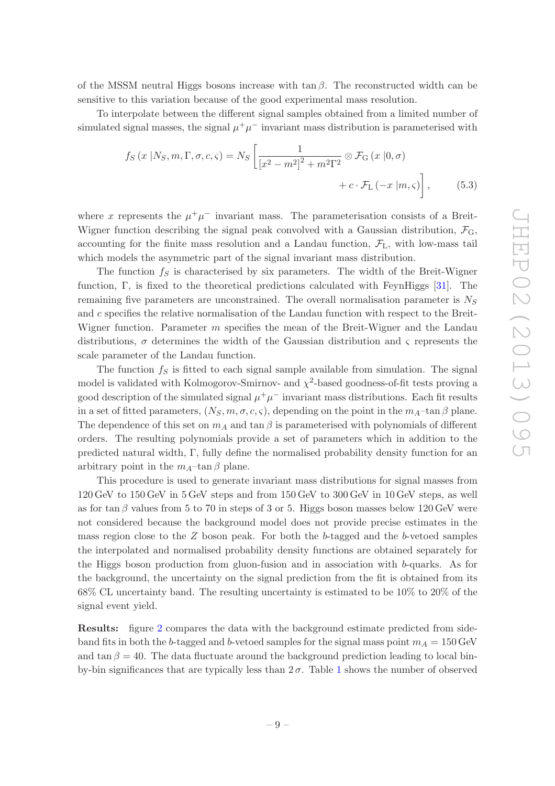of the MSSM neutral Higgs bosons increase with  $\tan \beta$ . The reconstructed width can be sensitive to this variation because of the good experimental mass resolution.

To interpolate between the different signal samples obtained from a limited number of simulated signal masses, the signal  $\mu^+ \mu^-$  invariant mass distribution is parameterised with

$$
f_S(x | N_S, m, \Gamma, \sigma, c, \varsigma) = N_S \left[ \frac{1}{\left[ x^2 - m^2 \right]^2 + m^2 \Gamma^2} \otimes \mathcal{F}_{\mathcal{G}}(x | 0, \sigma) + c \cdot \mathcal{F}_{\mathcal{L}}(-x | m, \varsigma) \right], \qquad (5.3)
$$

where x represents the  $\mu^+\mu^-$  invariant mass. The parameterisation consists of a Breit-Wigner function describing the signal peak convolved with a Gaussian distribution,  $\mathcal{F}_{G}$ , accounting for the finite mass resolution and a Landau function,  $\mathcal{F}_{L}$ , with low-mass tail which models the asymmetric part of the signal invariant mass distribution.

The function  $f<sub>S</sub>$  is characterised by six parameters. The width of the Breit-Wigner function, Γ, is fixed to the theoretical predictions calculated with FeynHiggs [\[31\]](#page-28-4). The remaining five parameters are unconstrained. The overall normalisation parameter is  $N<sub>S</sub>$ and c specifies the relative normalisation of the Landau function with respect to the Breit-Wigner function. Parameter  $m$  specifies the mean of the Breit-Wigner and the Landau distributions,  $\sigma$  determines the width of the Gaussian distribution and  $\varsigma$  represents the scale parameter of the Landau function.

The function  $f<sub>S</sub>$  is fitted to each signal sample available from simulation. The signal model is validated with Kolmogorov-Smirnov- and  $\chi^2$ -based goodness-of-fit tests proving a good description of the simulated signal  $\mu^+\mu^-$  invariant mass distributions. Each fit results in a set of fitted parameters,  $(N_S, m, \sigma, c, \varsigma)$ , depending on the point in the  $m_A$ -tan  $\beta$  plane. The dependence of this set on  $m_A$  and tan  $\beta$  is parameterised with polynomials of different orders. The resulting polynomials provide a set of parameters which in addition to the predicted natural width, Γ, fully define the normalised probability density function for an arbitrary point in the  $m_A$ –tan  $\beta$  plane.

This procedure is used to generate invariant mass distributions for signal masses from 120 GeV to 150 GeV in 5 GeV steps and from 150 GeV to 300 GeV in 10 GeV steps, as well as for tan  $\beta$  values from 5 to 70 in steps of 3 or 5. Higgs boson masses below 120 GeV were not considered because the background model does not provide precise estimates in the mass region close to the  $Z$  boson peak. For both the b-tagged and the b-vetoed samples the interpolated and normalised probability density functions are obtained separately for the Higgs boson production from gluon-fusion and in association with b-quarks. As for the background, the uncertainty on the signal prediction from the fit is obtained from its 68% CL uncertainty band. The resulting uncertainty is estimated to be 10% to 20% of the signal event yield.

Results: figure [2](#page-10-0) compares the data with the background estimate predicted from sideband fits in both the b-tagged and b-vetoed samples for the signal mass point  $m_A = 150$  GeV and tan  $\beta = 40$ . The data fluctuate around the background prediction leading to local binby-bin significances that are typically less than  $2\sigma$ . Table [1](#page-10-1) shows the number of observed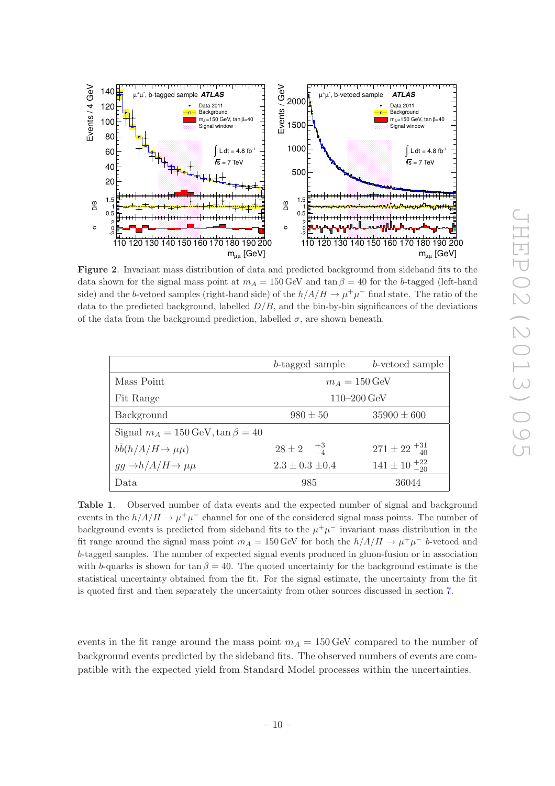

<span id="page-10-0"></span>Figure 2. Invariant mass distribution of data and predicted background from sideband fits to the data shown for the signal mass point at  $m_A = 150$  GeV and  $\tan \beta = 40$  for the b-tagged (left-hand side) and the b-vetoed samples (right-hand side) of the  $h/A/H \to \mu^+\mu^-$  final state. The ratio of the data to the predicted background, labelled  $D/B$ , and the bin-by-bin significances of the deviations of the data from the background prediction, labelled  $\sigma$ , are shown beneath.

|                                                    | b-tagged sample                 | b-vetoed sample              |  |  |
|----------------------------------------------------|---------------------------------|------------------------------|--|--|
| Mass Point                                         | $m_A = 150 \,\text{GeV}$        |                              |  |  |
| Fit Range                                          | $110 - 200 \,\text{GeV}$        |                              |  |  |
| Background                                         | $35900 \pm 600$<br>$980 \pm 50$ |                              |  |  |
| Signal $m_A = 150 \,\text{GeV}$ , tan $\beta = 40$ |                                 |                              |  |  |
| $b\bar{b}(h/A/H \rightarrow \mu\mu)$               | $28 \pm 2 \frac{+3}{-4}$        | $271 \pm 22 \frac{+31}{-40}$ |  |  |
| $gg \rightarrow h/A/H \rightarrow \mu\mu$          | $2.3 \pm 0.3 \pm 0.4$           | $141 \pm 10^{-22}_{-20}$     |  |  |
| Data                                               | 985                             | 36044                        |  |  |

<span id="page-10-1"></span>Table 1. Observed number of data events and the expected number of signal and background events in the  $h/A/H \to \mu^+\mu^-$  channel for one of the considered signal mass points. The number of background events is predicted from sideband fits to the  $\mu^+\mu^-$  invariant mass distribution in the fit range around the signal mass point  $m_A = 150 \,\text{GeV}$  for both the  $h/A/H \to \mu^+\mu^-$  b-vetoed and b-tagged samples. The number of expected signal events produced in gluon-fusion or in association with b-quarks is shown for tan  $\beta = 40$ . The quoted uncertainty for the background estimate is the statistical uncertainty obtained from the fit. For the signal estimate, the uncertainty from the fit is quoted first and then separately the uncertainty from other sources discussed in section [7.](#page-20-0)

events in the fit range around the mass point  $m_A = 150$  GeV compared to the number of background events predicted by the sideband fits. The observed numbers of events are compatible with the expected yield from Standard Model processes within the uncertainties.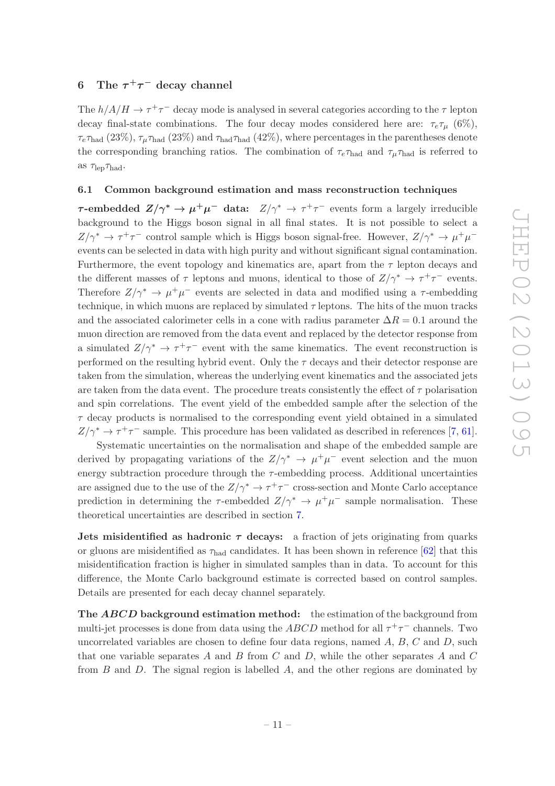# <span id="page-11-0"></span>6 The  $\tau^+\tau^-$  decay channel

The  $h/A/H \to \tau^+\tau^-$  decay mode is analysed in several categories according to the  $\tau$  lepton decay final-state combinations. The four decay modes considered here are:  $\tau_e \tau_u$  (6%),  $\tau_e\tau_{\text{had}}$  (23%),  $\tau_\mu\tau_{\text{had}}$  (23%) and  $\tau_{\text{had}}$  (42%), where percentages in the parentheses denote the corresponding branching ratios. The combination of  $\tau_e \tau_{\text{had}}$  and  $\tau_u \tau_{\text{had}}$  is referred to as  $\tau_{\rm lep}\tau_{\rm had}$ .

## <span id="page-11-1"></span>6.1 Common background estimation and mass reconstruction techniques

<span id="page-11-2"></span> $\tau$ **-embedded**  $Z/\gamma^* \to \mu^+\mu^-$  data:  $Z/\gamma^* \to \tau^+\tau^-$  events form a largely irreducible background to the Higgs boson signal in all final states. It is not possible to select a  $Z/\gamma^* \to \tau^+\tau^-$  control sample which is Higgs boson signal-free. However,  $Z/\gamma^* \to \mu^+\mu^$ events can be selected in data with high purity and without significant signal contamination. Furthermore, the event topology and kinematics are, apart from the  $\tau$  lepton decays and the different masses of  $\tau$  leptons and muons, identical to those of  $Z/\gamma^* \to \tau^+\tau^-$  events. Therefore  $Z/\gamma^* \to \mu^+\mu^-$  events are selected in data and modified using a  $\tau$ -embedding technique, in which muons are replaced by simulated  $\tau$  leptons. The hits of the muon tracks and the associated calorimeter cells in a cone with radius parameter  $\Delta R = 0.1$  around the muon direction are removed from the data event and replaced by the detector response from a simulated  $Z/\gamma^* \to \tau^+\tau^-$  event with the same kinematics. The event reconstruction is performed on the resulting hybrid event. Only the  $\tau$  decays and their detector response are taken from the simulation, whereas the underlying event kinematics and the associated jets are taken from the data event. The procedure treats consistently the effect of  $\tau$  polarisation and spin correlations. The event yield of the embedded sample after the selection of the  $\tau$  decay products is normalised to the corresponding event yield obtained in a simulated  $Z/\gamma^* \to \tau^+\tau^-$  sample. This procedure has been validated as described in references [\[7,](#page-26-3) [61\]](#page-29-16).

Systematic uncertainties on the normalisation and shape of the embedded sample are derived by propagating variations of the  $Z/\gamma^* \rightarrow \mu^+\mu^-$  event selection and the muon energy subtraction procedure through the  $\tau$ -embedding process. Additional uncertainties are assigned due to the use of the  $Z/\gamma^* \to \tau^+\tau^-$  cross-section and Monte Carlo acceptance prediction in determining the  $\tau$ -embedded  $Z/\gamma^* \to \mu^+\mu^-$  sample normalisation. These theoretical uncertainties are described in section [7.](#page-20-0)

**Jets misidentified as hadronic**  $\tau$  **decays:** a fraction of jets originating from quarks or gluons are misidentified as  $\tau_{\text{had}}$  candidates. It has been shown in reference [\[62\]](#page-29-17) that this misidentification fraction is higher in simulated samples than in data. To account for this difference, the Monte Carlo background estimate is corrected based on control samples. Details are presented for each decay channel separately.

The ABCD background estimation method: the estimation of the background from multi-jet processes is done from data using the  $ABCD$  method for all  $\tau^+\tau^-$  channels. Two uncorrelated variables are chosen to define four data regions, named  $A, B, C$  and  $D$ , such that one variable separates A and B from C and D, while the other separates A and C from  $B$  and  $D$ . The signal region is labelled  $A$ , and the other regions are dominated by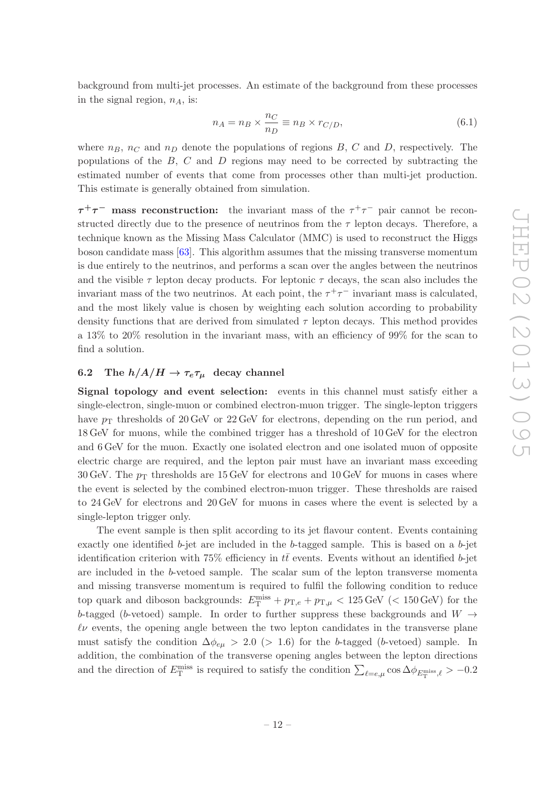background from multi-jet processes. An estimate of the background from these processes in the signal region,  $n_A$ , is:

$$
n_A = n_B \times \frac{n_C}{n_D} \equiv n_B \times r_{C/D},\tag{6.1}
$$

where  $n_B$ ,  $n_C$  and  $n_D$  denote the populations of regions B, C and D, respectively. The populations of the  $B$ ,  $C$  and  $D$  regions may need to be corrected by subtracting the estimated number of events that come from processes other than multi-jet production. This estimate is generally obtained from simulation.

 $\tau^+\tau^-$  mass reconstruction: the invariant mass of the  $\tau^+\tau^-$  pair cannot be reconstructed directly due to the presence of neutrinos from the  $\tau$  lepton decays. Therefore, a technique known as the Missing Mass Calculator (MMC) is used to reconstruct the Higgs boson candidate mass [\[63\]](#page-30-0). This algorithm assumes that the missing transverse momentum is due entirely to the neutrinos, and performs a scan over the angles between the neutrinos and the visible  $\tau$  lepton decay products. For leptonic  $\tau$  decays, the scan also includes the invariant mass of the two neutrinos. At each point, the  $\tau^+\tau^-$  invariant mass is calculated, and the most likely value is chosen by weighting each solution according to probability density functions that are derived from simulated  $\tau$  lepton decays. This method provides a 13% to 20% resolution in the invariant mass, with an efficiency of 99% for the scan to find a solution.

# <span id="page-12-0"></span>6.2 The  $h/A/H \to \tau_e \tau_\mu$  decay channel

Signal topology and event selection: events in this channel must satisfy either a single-electron, single-muon or combined electron-muon trigger. The single-lepton triggers have  $p_T$  thresholds of 20 GeV or 22 GeV for electrons, depending on the run period, and 18 GeV for muons, while the combined trigger has a threshold of 10 GeV for the electron and 6 GeV for the muon. Exactly one isolated electron and one isolated muon of opposite electric charge are required, and the lepton pair must have an invariant mass exceeding 30 GeV. The  $p_{\rm T}$  thresholds are 15 GeV for electrons and 10 GeV for muons in cases where the event is selected by the combined electron-muon trigger. These thresholds are raised to 24 GeV for electrons and 20 GeV for muons in cases where the event is selected by a single-lepton trigger only.

The event sample is then split according to its jet flavour content. Events containing exactly one identified  $b$ -jet are included in the  $b$ -tagged sample. This is based on a  $b$ -jet identification criterion with 75% efficiency in  $t\bar{t}$  events. Events without an identified b-jet are included in the b-vetoed sample. The scalar sum of the lepton transverse momenta and missing transverse momentum is required to fulfil the following condition to reduce top quark and diboson backgrounds:  $E_{\rm T}^{\rm miss} + p_{\rm T,e} + p_{\rm T,\mu} < 125 \,\text{GeV}$  ( $< 150 \,\text{GeV}$ ) for the b-tagged (b-vetoed) sample. In order to further suppress these backgrounds and  $W \rightarrow$  $\ell\nu$  events, the opening angle between the two lepton candidates in the transverse plane must satisfy the condition  $\Delta\phi_{e\mu} > 2.0$  (> 1.6) for the b-tagged (b-vetoed) sample. In addition, the combination of the transverse opening angles between the lepton directions and the direction of  $E_{\rm T}^{\rm miss}$  is required to satisfy the condition  $\sum_{\ell=e,\mu} \cos \Delta \phi_{E_{\rm T}^{\rm miss},\ell} > -0.2$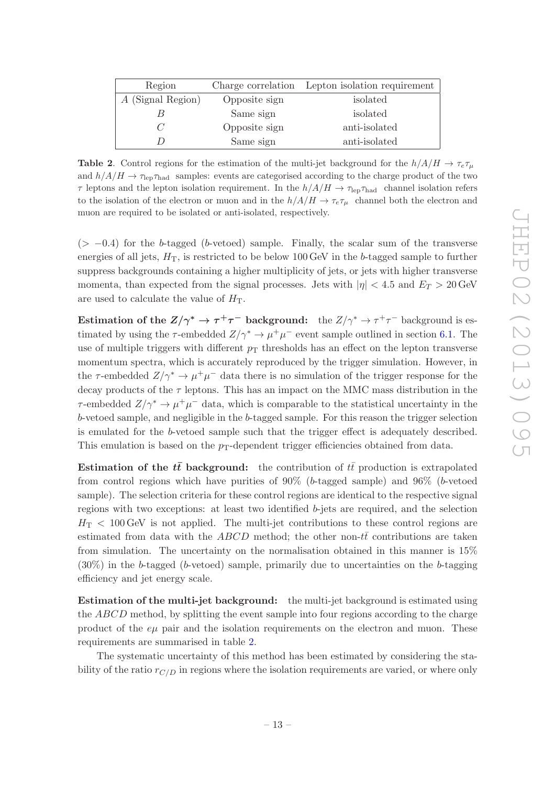| Region              |               | Charge correlation Lepton isolation requirement |  |  |
|---------------------|---------------|-------------------------------------------------|--|--|
| $A$ (Signal Region) | Opposite sign | isolated                                        |  |  |
|                     | Same sign     | isolated                                        |  |  |
|                     | Opposite sign | anti-isolated                                   |  |  |
|                     | Same sign     | anti-isolated                                   |  |  |

<span id="page-13-0"></span>**Table 2.** Control regions for the estimation of the multi-jet background for the  $h/A/H \to \tau_e \tau_\mu$ and  $h/A/H \to \tau_{\rm lep} \tau_{\rm had}$  samples: events are categorised according to the charge product of the two  $\tau$  leptons and the lepton isolation requirement. In the  $h/A/H \to \tau_{\rm lep}\tau_{\rm had}$  channel isolation refers to the isolation of the electron or muon and in the  $h/A/H \to \tau_e \tau_\mu$  channel both the electron and muon are required to be isolated or anti-isolated, respectively.

 $(> -0.4)$  for the b-tagged (b-vetoed) sample. Finally, the scalar sum of the transverse energies of all jets,  $H_T$ , is restricted to be below 100 GeV in the b-tagged sample to further suppress backgrounds containing a higher multiplicity of jets, or jets with higher transverse momenta, than expected from the signal processes. Jets with  $|\eta| < 4.5$  and  $E_T > 20$  GeV are used to calculate the value of  $H<sub>T</sub>$ .

Estimation of the  $Z/\gamma^* \to \tau^+\tau^-$  background: the  $Z/\gamma^* \to \tau^+\tau^-$  background is estimated by using the  $\tau$ -embedded  $Z/\gamma^* \to \mu^+ \mu^-$  event sample outlined in section [6.1.](#page-11-2) The use of multiple triggers with different  $p<sub>T</sub>$  thresholds has an effect on the lepton transverse momentum spectra, which is accurately reproduced by the trigger simulation. However, in the  $\tau$ -embedded  $Z/\gamma^* \to \mu^+\mu^-$  data there is no simulation of the trigger response for the decay products of the  $\tau$  leptons. This has an impact on the MMC mass distribution in the  $\tau$ -embedded  $Z/\gamma^* \to \mu^+ \mu^-$  data, which is comparable to the statistical uncertainty in the b-vetoed sample, and negligible in the b-tagged sample. For this reason the trigger selection is emulated for the b-vetoed sample such that the trigger effect is adequately described. This emulation is based on the  $p_T$ -dependent trigger efficiencies obtained from data.

Estimation of the  $t\bar{t}$  background: the contribution of  $t\bar{t}$  production is extrapolated from control regions which have purities of 90% (b-tagged sample) and 96% (b-vetoed sample). The selection criteria for these control regions are identical to the respective signal regions with two exceptions: at least two identified b-jets are required, and the selection  $H<sub>T</sub> < 100$  GeV is not applied. The multi-jet contributions to these control regions are estimated from data with the ABCD method; the other non-tt contributions are taken from simulation. The uncertainty on the normalisation obtained in this manner is 15%  $(30\%)$  in the b-tagged (b-vetoed) sample, primarily due to uncertainties on the b-tagging efficiency and jet energy scale.

Estimation of the multi-jet background: the multi-jet background is estimated using the ABCD method, by splitting the event sample into four regions according to the charge product of the  $e\mu$  pair and the isolation requirements on the electron and muon. These requirements are summarised in table [2.](#page-13-0)

The systematic uncertainty of this method has been estimated by considering the stability of the ratio  $r_{C/D}$  in regions where the isolation requirements are varied, or where only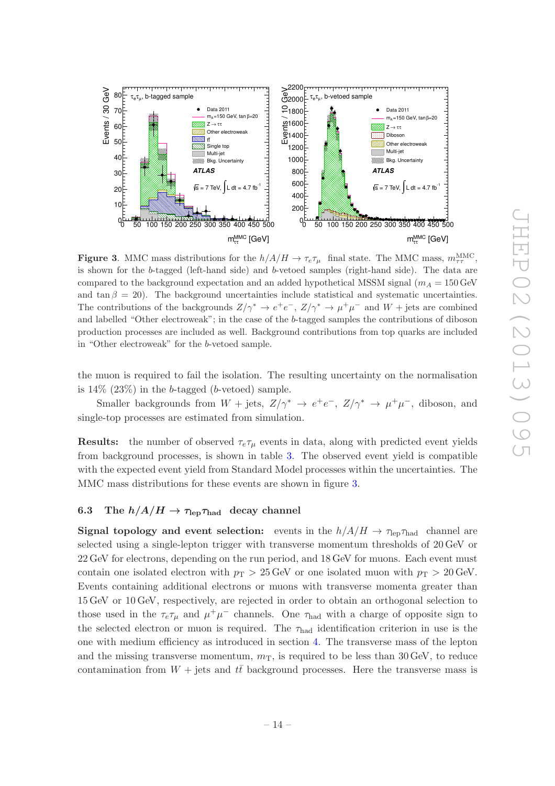

<span id="page-14-1"></span>**Figure 3.** MMC mass distributions for the  $h/A/H \to \tau_e \tau_\mu$  final state. The MMC mass,  $m_{\tau\tau}^{\text{MMC}}$ , is shown for the b-tagged (left-hand side) and b-vetoed samples (right-hand side). The data are compared to the background expectation and an added hypothetical MSSM signal  $(m_A = 150 \,\text{GeV})$ and tan  $\beta = 20$ ). The background uncertainties include statistical and systematic uncertainties. The contributions of the backgrounds  $Z/\gamma^* \to e^+e^-$ ,  $Z/\gamma^* \to \mu^+\mu^-$  and  $W + \text{jets}$  are combined and labelled "Other electroweak"; in the case of the b-tagged samples the contributions of diboson production processes are included as well. Background contributions from top quarks are included in "Other electroweak" for the b-vetoed sample.

the muon is required to fail the isolation. The resulting uncertainty on the normalisation is  $14\%$  (23%) in the b-tagged (b-vetoed) sample.

Smaller backgrounds from  $W$  + jets,  $Z/\gamma^* \rightarrow e^+e^-$ ,  $Z/\gamma^* \rightarrow \mu^+\mu^-$ , diboson, and single-top processes are estimated from simulation.

**Results:** the number of observed  $\tau_e \tau_\mu$  events in data, along with predicted event yields from background processes, is shown in table [3.](#page-15-0) The observed event yield is compatible with the expected event yield from Standard Model processes within the uncertainties. The MMC mass distributions for these events are shown in figure [3.](#page-14-1)

# <span id="page-14-0"></span>6.3 The  $h/A/H \rightarrow \tau_{\text{lep}} \tau_{\text{had}}$  decay channel

**Signal topology and event selection:** events in the  $h/A/H \to \tau_{\text{lep}}\tau_{\text{had}}$  channel are selected using a single-lepton trigger with transverse momentum thresholds of 20 GeV or 22 GeV for electrons, depending on the run period, and 18 GeV for muons. Each event must contain one isolated electron with  $p_T > 25$  GeV or one isolated muon with  $p_T > 20$  GeV. Events containing additional electrons or muons with transverse momenta greater than 15 GeV or 10 GeV, respectively, are rejected in order to obtain an orthogonal selection to those used in the  $\tau_e \tau_\mu$  and  $\mu^+ \mu^-$  channels. One  $\tau_{\text{had}}$  with a charge of opposite sign to the selected electron or muon is required. The  $\tau_{\text{had}}$  identification criterion in use is the one with medium efficiency as introduced in section [4.](#page-5-0) The transverse mass of the lepton and the missing transverse momentum,  $m<sub>T</sub>$ , is required to be less than 30 GeV, to reduce contamination from  $W$  + jets and  $t\bar{t}$  background processes. Here the transverse mass is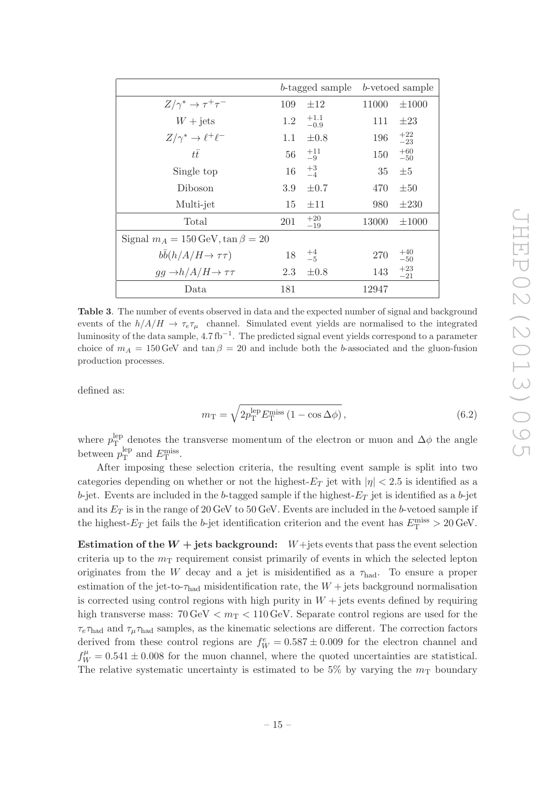|                                                    | b-tagged sample |                  | b-vetoed sample |                |
|----------------------------------------------------|-----------------|------------------|-----------------|----------------|
| $Z/\gamma^* \to \tau^+\tau^-$                      | 109             | $\pm 12$         | 11000           | $\pm 1000$     |
| $W + \text{jets}$                                  | 1.2             | $^{+1.1}_{-0.9}$ | 111             | $\pm 23$       |
| $Z/\gamma^* \to \ell^+ \ell^-$                     | 1.1             | $\pm 0.8$        | 196             | $^{+22}_{-23}$ |
| $t\bar{t}$                                         | 56              | $^{+11}_{-9}$    | 150             | $+60$<br>$-50$ |
| Single top                                         | 16              | $^{+3}_{-4}$     | 35              | $\pm 5$        |
| Diboson                                            | 3.9             | $\pm 0.7$        | 470             | $\pm 50$       |
| Multi-jet                                          | 15              | $\pm 11$         | 980             | $\pm 230$      |
| Total                                              | 201             | $+20$<br>$-19$   | 13000           | $\pm 1000$     |
| Signal $m_A = 150 \,\text{GeV}$ , tan $\beta = 20$ |                 |                  |                 |                |
| $b\bar{b}(h/A/H \to \tau\tau)$                     | 18              | $^{+4}_{-5}$     | 270             | $+40$<br>$-50$ |
| $gg \rightarrow h/A/H \rightarrow \tau\tau$        | 2.3             | $\pm 0.8$        | 143             | $+23$<br>$-21$ |
| Data                                               | 181             |                  | 12947           |                |

<span id="page-15-0"></span>Table 3. The number of events observed in data and the expected number of signal and background events of the  $h/A/H \to \tau_e \tau_\mu$  channel. Simulated event yields are normalised to the integrated luminosity of the data sample, 4.7 fb<sup>-1</sup>. The predicted signal event yields correspond to a parameter choice of  $m_A = 150 \text{ GeV}$  and tan  $\beta = 20$  and include both the b-associated and the gluon-fusion production processes.

defined as:

$$
m_{\rm T} = \sqrt{2p_{\rm T}^{\rm lep} E_{\rm T}^{\rm miss} \left(1 - \cos \Delta \phi\right)},\tag{6.2}
$$

where  $p_T^{\text{lep}}$  $T_{\text{T}}^{\text{lep}}$  denotes the transverse momentum of the electron or muon and  $\Delta\phi$  the angle between  $p_T^{\text{lep}}$  $_{\rm T}^{\rm lep}$  and  $E_{\rm T}^{\rm miss}$ .

After imposing these selection criteria, the resulting event sample is split into two categories depending on whether or not the highest- $E_T$  jet with  $|\eta| < 2.5$  is identified as a b-jet. Events are included in the b-tagged sample if the highest- $E<sub>T</sub>$  jet is identified as a b-jet and its  $E_T$  is in the range of 20 GeV to 50 GeV. Events are included in the b-vetoed sample if the highest- $E_T$  jet fails the b-jet identification criterion and the event has  $E_T^{\text{miss}} > 20 \,\text{GeV}$ .

Estimation of the  $W +$  jets background:  $W +$  jets events that pass the event selection criteria up to the  $m<sub>T</sub>$  requirement consist primarily of events in which the selected lepton originates from the W decay and a jet is misidentified as a  $\tau_{\text{had}}$ . To ensure a proper estimation of the jet-to- $\tau_{\text{had}}$  misidentification rate, the  $W + \text{jets}$  background normalisation is corrected using control regions with high purity in  $W +$  jets events defined by requiring high transverse mass:  $70 \,\text{GeV} < m_{\text{T}} < 110 \,\text{GeV}$ . Separate control regions are used for the  $\tau_e \tau_{\text{had}}$  and  $\tau_\mu \tau_{\text{had}}$  samples, as the kinematic selections are different. The correction factors derived from these control regions are  $f_W^e = 0.587 \pm 0.009$  for the electron channel and  $f_W^{\mu} = 0.541 \pm 0.008$  for the muon channel, where the quoted uncertainties are statistical. The relative systematic uncertainty is estimated to be 5% by varying the  $m<sub>T</sub>$  boundary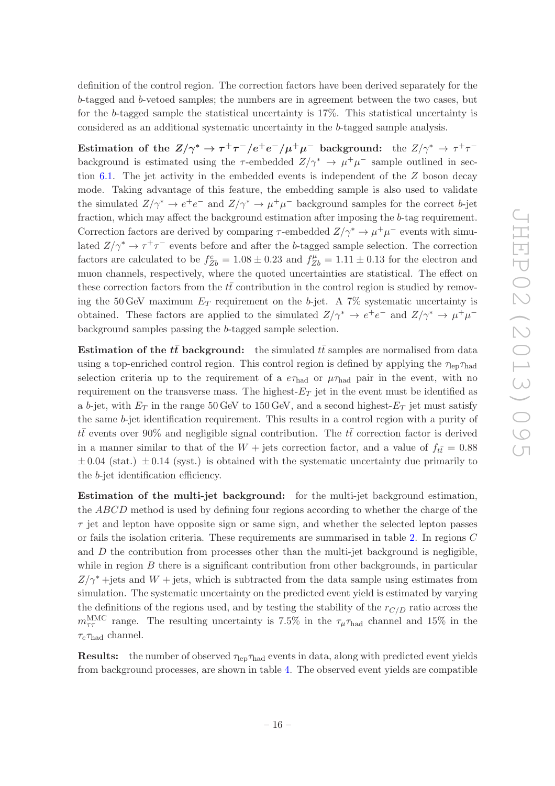definition of the control region. The correction factors have been derived separately for the b-tagged and b-vetoed samples; the numbers are in agreement between the two cases, but for the b-tagged sample the statistical uncertainty is 17%. This statistical uncertainty is considered as an additional systematic uncertainty in the b-tagged sample analysis.

Estimation of the  $Z/\gamma^* \to \tau^+\tau^-/e^+e^-/\mu^+\mu^-$  background: the  $Z/\gamma^* \to \tau^+\tau^$ background is estimated using the  $\tau$ -embedded  $Z/\gamma^* \to \mu^+\mu^-$  sample outlined in sec-tion [6.1.](#page-11-2) The jet activity in the embedded events is independent of the  $Z$  boson decay mode. Taking advantage of this feature, the embedding sample is also used to validate the simulated  $Z/\gamma^* \to e^+e^-$  and  $Z/\gamma^* \to \mu^+\mu^-$  background samples for the correct b-jet fraction, which may affect the background estimation after imposing the b-tag requirement. Correction factors are derived by comparing  $\tau$ -embedded  $Z/\gamma^* \to \mu^+ \mu^-$  events with simulated  $Z/\gamma^* \to \tau^+\tau^-$  events before and after the b-tagged sample selection. The correction factors are calculated to be  $f_{Zb}^e = 1.08 \pm 0.23$  and  $f_{Zb}^\mu = 1.11 \pm 0.13$  for the electron and muon channels, respectively, where the quoted uncertainties are statistical. The effect on these correction factors from the  $t\bar{t}$  contribution in the control region is studied by removing the 50 GeV maximum  $E_T$  requirement on the b-jet. A 7% systematic uncertainty is obtained. These factors are applied to the simulated  $Z/\gamma^* \to e^+e^-$  and  $Z/\gamma^* \to \mu^+\mu^$ background samples passing the b-tagged sample selection.

Estimation of the  $t\bar{t}$  background: the simulated  $t\bar{t}$  samples are normalised from data using a top-enriched control region. This control region is defined by applying the  $\tau_{\text{len}}\tau_{\text{had}}$ selection criteria up to the requirement of a  $e\tau_{\text{had}}$  or  $\mu\tau_{\text{had}}$  pair in the event, with no requirement on the transverse mass. The highest- $E_T$  jet in the event must be identified as a b-jet, with  $E_T$  in the range 50 GeV to 150 GeV, and a second highest- $E_T$  jet must satisfy the same b-jet identification requirement. This results in a control region with a purity of  $t\bar{t}$  events over 90% and negligible signal contribution. The  $t\bar{t}$  correction factor is derived in a manner similar to that of the  $W +$  jets correction factor, and a value of  $f_{t\bar{t}} = 0.88$  $\pm 0.04$  (stat.)  $\pm 0.14$  (syst.) is obtained with the systematic uncertainty due primarily to the b-jet identification efficiency.

Estimation of the multi-jet background: for the multi-jet background estimation, the ABCD method is used by defining four regions according to whether the charge of the  $\tau$  jet and lepton have opposite sign or same sign, and whether the selected lepton passes or fails the isolation criteria. These requirements are summarised in table [2.](#page-13-0) In regions C and  $D$  the contribution from processes other than the multi-jet background is negligible, while in region  $B$  there is a significant contribution from other backgrounds, in particular  $Z/\gamma^*$  +jets and  $W$  + jets, which is subtracted from the data sample using estimates from simulation. The systematic uncertainty on the predicted event yield is estimated by varying the definitions of the regions used, and by testing the stability of the  $r_{C/D}$  ratio across the  $m_{\tau\tau}^{\rm MMC}$  range. The resulting uncertainty is 7.5% in the  $\tau_{\mu}\tau_{\rm had}$  channel and 15% in the  $\tau_e \tau_{\text{had}}$  channel.

**Results:** the number of observed  $\tau_{\text{len}}\tau_{\text{had}}$  events in data, along with predicted event yields from background processes, are shown in table [4.](#page-17-0) The observed event yields are compatible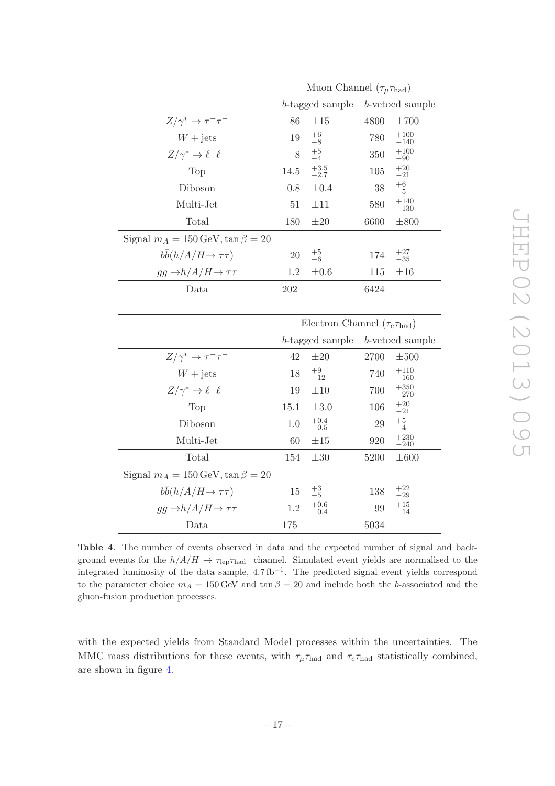|                                                  | Muon Channel $(\tau_{\mu} \tau_{\text{had}})$ |                 |                 |                  |
|--------------------------------------------------|-----------------------------------------------|-----------------|-----------------|------------------|
|                                                  |                                               | b-tagged sample | b-vetoed sample |                  |
| $Z/\gamma^* \to \tau^+\tau^-$                    | 86                                            | $\pm 15$        | 4800            | $\pm 700$        |
| $W + \text{jets}$                                | 19                                            | $^{+6}_{-8}$    | 780             | $+100$<br>$-140$ |
| $Z/\gamma^* \to \ell^+ \ell^-$                   |                                               | $^{+5}_{-4}$    | 350             | $+100$<br>$-90$  |
| Top                                              | 14.5                                          | $+3.5$<br>-2.7  | 105             | $^{+20}_{-21}$   |
| Diboson                                          | 0.8                                           | $\pm 0.4$       | 38              | $+6$<br>$-5$     |
| Multi-Jet                                        | 51                                            | $\pm 11$        | 580             | $+140$<br>$-130$ |
| Total                                            | 180                                           | $\pm 20$        | 6600            | $\pm 800$        |
| Signal $m_A = 150 \,\text{GeV}, \tan \beta = 20$ |                                               |                 |                 |                  |
| $bb(h/A/H \rightarrow \tau\tau)$                 | 20                                            | $^{+5}_{-6}$    | 174             | $^{+27}_{-35}$   |
| $gg \rightarrow h/A/H \rightarrow \tau\tau$      | 1.2                                           | $\pm 0.6$       | 115             | $\pm 16$         |
| Data                                             | 202                                           |                 | 6424            |                  |

|                                                    | Electron Channel $(\tau_e \tau_{\text{had}})$ |                  |                                 |                  |
|----------------------------------------------------|-----------------------------------------------|------------------|---------------------------------|------------------|
|                                                    |                                               |                  | b-tagged sample b-vetoed sample |                  |
| $Z/\gamma^* \to \tau^+\tau^-$                      | 42                                            | $\pm 20$         | 2700                            | $\pm 500$        |
| $W + \text{jets}$                                  | 18                                            | $^{+9}_{-12}$    | 740                             | $+110$<br>$-160$ |
| $Z/\gamma^* \to \ell^+ \ell^-$                     | 19                                            | $\pm 10$         | 700                             | $+350$<br>$-270$ |
| Top                                                | 15.1                                          | $\pm 3.0$        | 106                             | $+20$<br>$-21$   |
| Diboson                                            | $1.0\,$                                       | $+0.4$<br>$-0.5$ | 29                              | $^{+5}_{-4}$     |
| Multi-Jet                                          | 60                                            | $\pm 15$         | 920                             | $+230$<br>$-240$ |
| Total                                              | 154                                           | $\pm 30$         | 5200                            | $\pm 600$        |
| Signal $m_A = 150 \,\text{GeV}$ , tan $\beta = 20$ |                                               |                  |                                 |                  |
| $bb(h/A/H \rightarrow \tau\tau)$                   | 15                                            | $^{+3}_{-5}$     | 138                             | $^{+22}_{-29}$   |
| $gg \rightarrow h/A/H \rightarrow \tau\tau$        | 1.2                                           | $+0.6$<br>$-0.4$ | 99                              | $+15$<br>$-14$   |
| Data                                               | 175                                           |                  | 5034                            |                  |

JHEP 02 (2013) 095 JHEP02(2013)095

<span id="page-17-0"></span>Table 4. The number of events observed in data and the expected number of signal and background events for the  $h/A/H \to \tau_{\rm lep} \tau_{\rm had}$  channel. Simulated event yields are normalised to the integrated luminosity of the data sample, 4.7 fb<sup>−</sup><sup>1</sup> . The predicted signal event yields correspond to the parameter choice  $m_A = 150$  GeV and  $\tan \beta = 20$  and include both the b-associated and the gluon-fusion production processes.

with the expected yields from Standard Model processes within the uncertainties. The MMC mass distributions for these events, with  $\tau_{\mu} \tau_{\text{had}}$  and  $\tau_{e} \tau_{\text{had}}$  statistically combined, are shown in figure [4.](#page-18-1)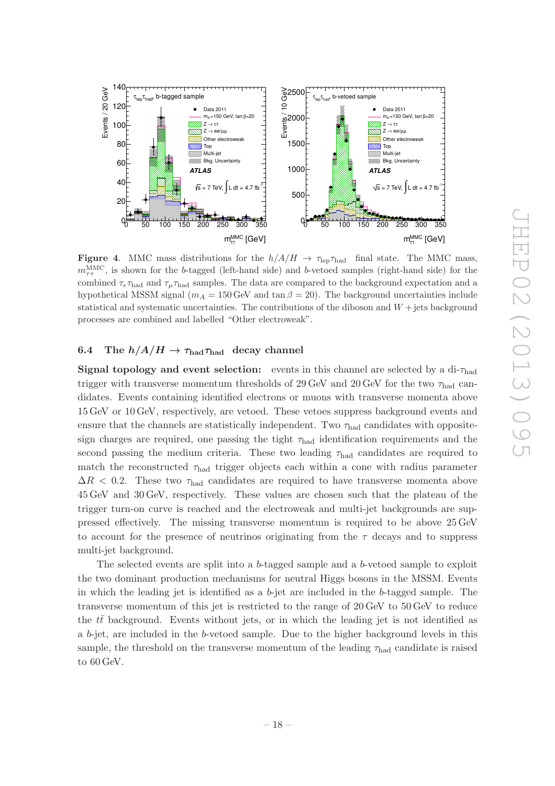

<span id="page-18-1"></span>**Figure 4.** MMC mass distributions for the  $h/A/H \to \tau_{\rm lep} \tau_{\rm had}$  final state. The MMC mass,  $m_{\tau\tau}^{\rm MMC}$ , is shown for the b-tagged (left-hand side) and b-vetoed samples (right-hand side) for the combined  $\tau_e \tau_{\text{had}}$  and  $\tau_\mu \tau_{\text{had}}$  samples. The data are compared to the background expectation and a hypothetical MSSM signal ( $m_A = 150$  GeV and tan  $\beta = 20$ ). The background uncertainties include statistical and systematic uncertainties. The contributions of the diboson and  $W +$  jets background processes are combined and labelled "Other electroweak".

## <span id="page-18-0"></span>6.4 The  $h/A/H \to \tau_{\textrm{had}}\tau_{\textrm{had}}$  decay channel

**Signal topology and event selection:** events in this channel are selected by a di- $\tau_{\text{had}}$ trigger with transverse momentum thresholds of 29 GeV and 20 GeV for the two  $\tau_{\text{had}}$  candidates. Events containing identified electrons or muons with transverse momenta above 15 GeV or 10 GeV, respectively, are vetoed. These vetoes suppress background events and ensure that the channels are statistically independent. Two  $\tau_{\text{had}}$  candidates with oppositesign charges are required, one passing the tight  $\tau_{\text{had}}$  identification requirements and the second passing the medium criteria. These two leading  $\tau_{\text{had}}$  candidates are required to match the reconstructed  $\tau_{\text{had}}$  trigger objects each within a cone with radius parameter  $\Delta R$  < 0.2. These two  $\tau_{\text{had}}$  candidates are required to have transverse momenta above 45 GeV and 30 GeV, respectively. These values are chosen such that the plateau of the trigger turn-on curve is reached and the electroweak and multi-jet backgrounds are suppressed effectively. The missing transverse momentum is required to be above 25 GeV to account for the presence of neutrinos originating from the  $\tau$  decays and to suppress multi-jet background.

The selected events are split into a b-tagged sample and a b-vetoed sample to exploit the two dominant production mechanisms for neutral Higgs bosons in the MSSM. Events in which the leading jet is identified as a  $b$ -jet are included in the  $b$ -tagged sample. The transverse momentum of this jet is restricted to the range of 20 GeV to 50 GeV to reduce the  $tt$  background. Events without jets, or in which the leading jet is not identified as a b-jet, are included in the b-vetoed sample. Due to the higher background levels in this sample, the threshold on the transverse momentum of the leading  $\tau_{\text{had}}$  candidate is raised to 60 GeV.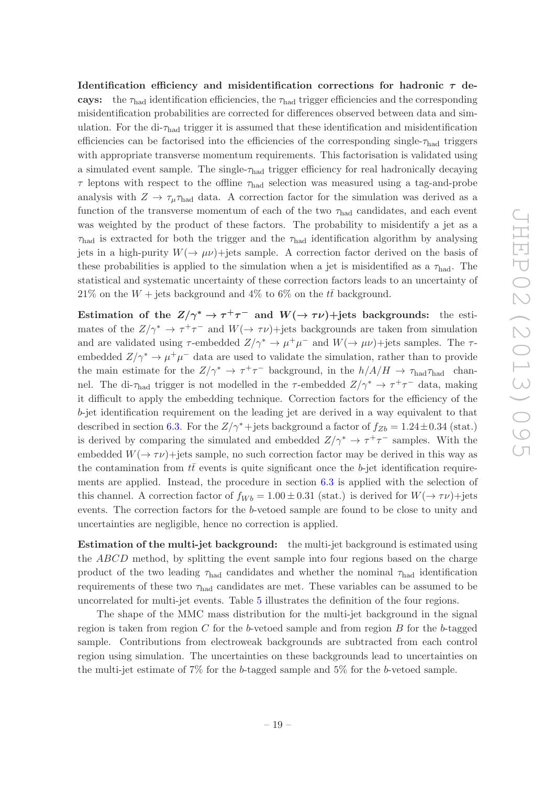Identification efficiency and misidentification corrections for hadronic  $\tau$  decays: the  $\tau_{\text{had}}$  identification efficiencies, the  $\tau_{\text{had}}$  trigger efficiencies and the corresponding misidentification probabilities are corrected for differences observed between data and simulation. For the di- $\tau_{\text{had}}$  trigger it is assumed that these identification and misidentification efficiencies can be factorised into the efficiencies of the corresponding single- $\tau_{\text{had}}$  triggers with appropriate transverse momentum requirements. This factorisation is validated using a simulated event sample. The single-τhad trigger efficiency for real hadronically decaying  $\tau$  leptons with respect to the offline  $\tau_{\text{had}}$  selection was measured using a tag-and-probe analysis with  $Z \to \tau_{\mu} \tau_{\text{had}}$  data. A correction factor for the simulation was derived as a function of the transverse momentum of each of the two  $\tau_{\text{had}}$  candidates, and each event was weighted by the product of these factors. The probability to misidentify a jet as a  $\tau_{\text{had}}$  is extracted for both the trigger and the  $\tau_{\text{had}}$  identification algorithm by analysing jets in a high-purity  $W(\rightarrow \mu \nu)$ +jets sample. A correction factor derived on the basis of these probabilities is applied to the simulation when a jet is misidentified as a  $\tau_{\text{had}}$ . The statistical and systematic uncertainty of these correction factors leads to an uncertainty of 21% on the  $W +$  jets background and 4% to 6% on the  $t\bar{t}$  background.

Estimation of the  $Z/\gamma^* \to \tau^+\tau^-$  and  $W(\to \tau\nu)$ +jets backgrounds: the estimates of the  $Z/\gamma^* \to \tau^+\tau^-$  and  $W(\to \tau\nu)$ +jets backgrounds are taken from simulation and are validated using  $\tau$ -embedded  $Z/\gamma^* \to \mu^+ \mu^-$  and  $W(\to \mu \nu)$ +jets samples. The  $\tau$ embedded  $Z/\gamma^* \to \mu^+\mu^-$  data are used to validate the simulation, rather than to provide the main estimate for the  $Z/\gamma^* \to \tau^+\tau^-$  background, in the  $h/A/H \to \tau_{\rm had}\tau_{\rm had}$  channel. The di- $\tau_{\text{had}}$  trigger is not modelled in the  $\tau$ -embedded  $Z/\gamma^* \to \tau^+\tau^-$  data, making it difficult to apply the embedding technique. Correction factors for the efficiency of the b-jet identification requirement on the leading jet are derived in a way equivalent to that described in section [6.3.](#page-14-0) For the  $Z/\gamma^*$  + jets background a factor of  $f_{Zb} = 1.24 \pm 0.34$  (stat.) is derived by comparing the simulated and embedded  $Z/\gamma^* \rightarrow \tau^+\tau^-$  samples. With the embedded  $W(\rightarrow \tau \nu)$ +jets sample, no such correction factor may be derived in this way as the contamination from  $t\bar{t}$  events is quite significant once the b-jet identification requirements are applied. Instead, the procedure in section [6.3](#page-14-0) is applied with the selection of this channel. A correction factor of  $f_{Wb} = 1.00 \pm 0.31$  (stat.) is derived for  $W(\rightarrow \tau \nu)$ +jets events. The correction factors for the b-vetoed sample are found to be close to unity and uncertainties are negligible, hence no correction is applied.

Estimation of the multi-jet background: the multi-jet background is estimated using the ABCD method, by splitting the event sample into four regions based on the charge product of the two leading  $\tau_{\text{had}}$  candidates and whether the nominal  $\tau_{\text{had}}$  identification requirements of these two  $\tau_{\text{had}}$  candidates are met. These variables can be assumed to be uncorrelated for multi-jet events. Table [5](#page-20-1) illustrates the definition of the four regions.

The shape of the MMC mass distribution for the multi-jet background in the signal region is taken from region  $C$  for the b-vetoed sample and from region  $B$  for the b-tagged sample. Contributions from electroweak backgrounds are subtracted from each control region using simulation. The uncertainties on these backgrounds lead to uncertainties on the multi-jet estimate of 7% for the b-tagged sample and 5% for the b-vetoed sample.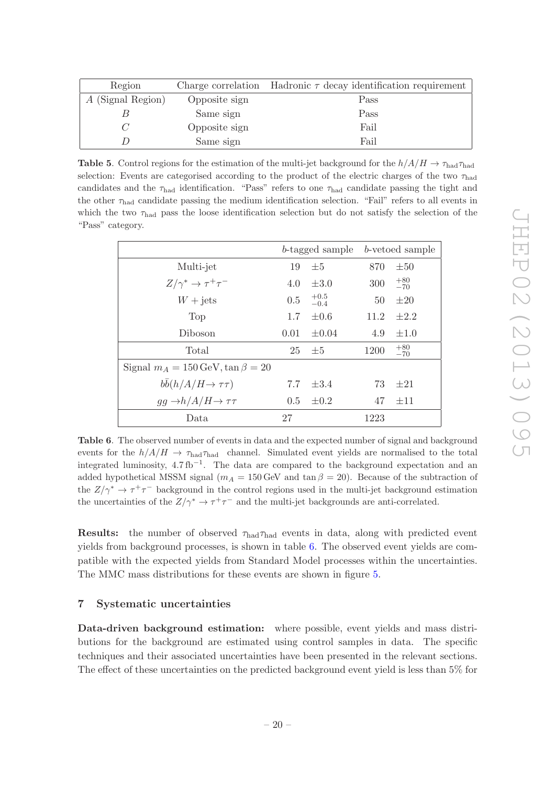| Region            |               | Charge correlation Hadronic $\tau$ decay identification requirement |  |  |
|-------------------|---------------|---------------------------------------------------------------------|--|--|
| A (Signal Region) | Opposite sign | Pass                                                                |  |  |
|                   | Same sign     | Pass                                                                |  |  |
|                   | Opposite sign | Fail                                                                |  |  |
|                   | Same sign     | Fail                                                                |  |  |

<span id="page-20-1"></span>**Table 5.** Control regions for the estimation of the multi-jet background for the  $h/A/H \rightarrow \tau_{\text{had}} \tau_{\text{had}}$ selection: Events are categorised according to the product of the electric charges of the two  $\tau_{\text{had}}$ candidates and the  $\tau_{\text{had}}$  identification. "Pass" refers to one  $\tau_{\text{had}}$  candidate passing the tight and the other  $\tau_{\text{had}}$  candidate passing the medium identification selection. "Fail" refers to all events in which the two  $\tau_{\text{had}}$  pass the loose identification selection but do not satisfy the selection of the "Pass" category.

|                                                     | b-tagged sample |                  | b-vetoed sample |                |
|-----------------------------------------------------|-----------------|------------------|-----------------|----------------|
| Multi-jet                                           | 19              | $\pm 5$          | 870             | $\pm 50$       |
| $Z/\gamma^* \to \tau^+\tau^-$                       | 4.0             | $\pm 3.0$        | 300             | $^{+80}_{-70}$ |
| $W + \text{jets}$                                   | 0.5             | $^{+0.5}_{-0.4}$ | 50              | $\pm 20$       |
| Top                                                 | $1.7^{\circ}$   | $\pm 0.6$        | 11.2            | $\pm 2.2$      |
| Diboson                                             | 0.01            | $\pm 0.04$       | 4.9             | $\pm 1.0$      |
| Total                                               | 25              | $\pm 5$          | 1200            | $+80$<br>$-70$ |
| Signal $m_A = 150 \,\text{GeV}$ , $\tan \beta = 20$ |                 |                  |                 |                |
| $bb(h/A/H \rightarrow \tau\tau)$                    | 7.7             | $\pm 3.4$        | 73              | $\pm 21$       |
| $gg \rightarrow h/A/H \rightarrow \tau\tau$         | 0.5             | $\pm 0.2$        | 47              | $\pm$ 11       |
| Data                                                | 27              |                  | 1223            |                |

<span id="page-20-2"></span>Table 6. The observed number of events in data and the expected number of signal and background events for the  $h/A/H \to \tau_{\text{had}} \tau_{\text{had}}$  channel. Simulated event yields are normalised to the total integrated luminosity, 4.7 fb<sup>−</sup><sup>1</sup> . The data are compared to the background expectation and an added hypothetical MSSM signal ( $m_A = 150$  GeV and tan  $\beta = 20$ ). Because of the subtraction of the  $Z/\gamma^* \to \tau^+\tau^-$  background in the control regions used in the multi-jet background estimation the uncertainties of the  $Z/\gamma^* \to \tau^+ \tau^-$  and the multi-jet backgrounds are anti-correlated.

**Results:** the number of observed  $\tau_{\text{had}}\tau_{\text{had}}$  events in data, along with predicted event yields from background processes, is shown in table [6.](#page-20-2) The observed event yields are compatible with the expected yields from Standard Model processes within the uncertainties. The MMC mass distributions for these events are shown in figure [5.](#page-21-0)

# <span id="page-20-0"></span>7 Systematic uncertainties

Data-driven background estimation: where possible, event yields and mass distributions for the background are estimated using control samples in data. The specific techniques and their associated uncertainties have been presented in the relevant sections. The effect of these uncertainties on the predicted background event yield is less than 5% for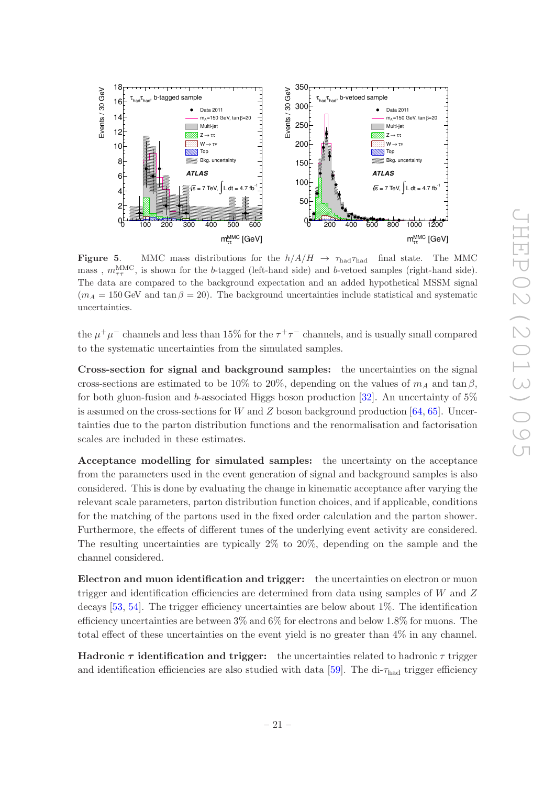

<span id="page-21-0"></span>**Figure 5.** MMC mass distributions for the  $h/A/H \rightarrow \tau_{\text{had}}\tau_{\text{had}}$  final state. The MMC mass,  $m_{\tau\tau}^{\text{MMC}}$ , is shown for the b-tagged (left-hand side) and b-vetoed samples (right-hand side). The data are compared to the background expectation and an added hypothetical MSSM signal  $(m_A = 150 \,\text{GeV}$  and tan  $\beta = 20$ ). The background uncertainties include statistical and systematic uncertainties.

the  $\mu^+\mu^-$  channels and less than 15% for the  $\tau^+\tau^-$  channels, and is usually small compared to the systematic uncertainties from the simulated samples.

Cross-section for signal and background samples: the uncertainties on the signal cross-sections are estimated to be 10% to 20%, depending on the values of  $m_A$  and tan  $\beta$ , for both gluon-fusion and b-associated Higgs boson production  $[32]$ . An uncertainty of  $5\%$ is assumed on the cross-sections for W and Z boson background production  $[64, 65]$  $[64, 65]$  $[64, 65]$ . Uncertainties due to the parton distribution functions and the renormalisation and factorisation scales are included in these estimates.

Acceptance modelling for simulated samples: the uncertainty on the acceptance from the parameters used in the event generation of signal and background samples is also considered. This is done by evaluating the change in kinematic acceptance after varying the relevant scale parameters, parton distribution function choices, and if applicable, conditions for the matching of the partons used in the fixed order calculation and the parton shower. Furthermore, the effects of different tunes of the underlying event activity are considered. The resulting uncertainties are typically 2% to 20%, depending on the sample and the channel considered.

Electron and muon identification and trigger: the uncertainties on electron or muon trigger and identification efficiencies are determined from data using samples of  $W$  and  $Z$ decays  $[53, 54]$  $[53, 54]$ . The trigger efficiency uncertainties are below about 1%. The identification efficiency uncertainties are between 3% and 6% for electrons and below 1.8% for muons. The total effect of these uncertainties on the event yield is no greater than 4% in any channel.

**Hadronic**  $\tau$  **identification and trigger:** the uncertainties related to hadronic  $\tau$  trigger and identification efficiencies are also studied with data [\[59](#page-29-14)]. The di- $\tau_{\text{had}}$  trigger efficiency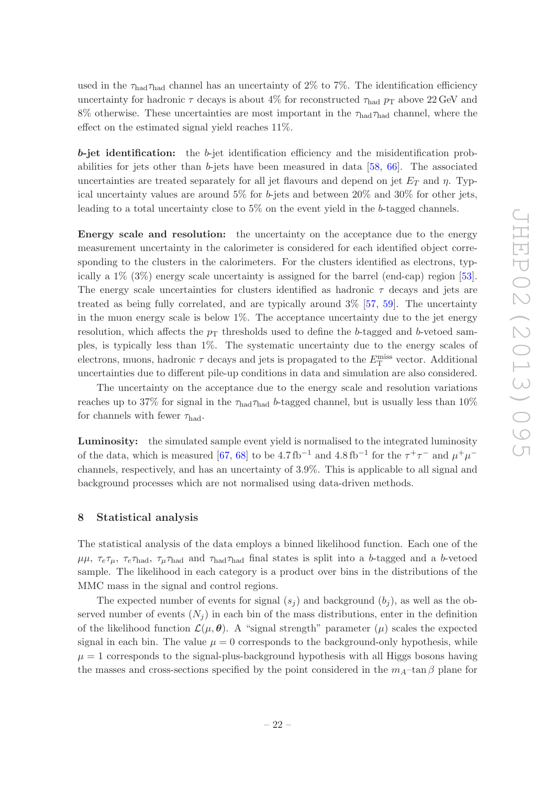used in the  $\tau_{\text{had}}\tau_{\text{had}}$  channel has an uncertainty of 2% to 7%. The identification efficiency uncertainty for hadronic  $\tau$  decays is about 4% for reconstructed  $\tau_{\text{had}}$   $p_T$  above 22 GeV and 8% otherwise. These uncertainties are most important in the  $\tau_{\text{had}}\tau_{\text{had}}$  channel, where the effect on the estimated signal yield reaches 11%.

 $b$ -jet identification: the  $b$ -jet identification efficiency and the misidentification probabilities for jets other than b-jets have been measured in data  $[58, 66]$  $[58, 66]$ . The associated uncertainties are treated separately for all jet flavours and depend on jet  $E_T$  and  $\eta$ . Typical uncertainty values are around 5% for b-jets and between 20% and 30% for other jets, leading to a total uncertainty close to 5% on the event yield in the b-tagged channels.

Energy scale and resolution: the uncertainty on the acceptance due to the energy measurement uncertainty in the calorimeter is considered for each identified object corresponding to the clusters in the calorimeters. For the clusters identified as electrons, typically a 1% (3%) energy scale uncertainty is assigned for the barrel (end-cap) region [\[53\]](#page-29-8). The energy scale uncertainties for clusters identified as hadronic  $\tau$  decays and jets are treated as being fully correlated, and are typically around 3% [\[57](#page-29-12), [59](#page-29-14)]. The uncertainty in the muon energy scale is below 1%. The acceptance uncertainty due to the jet energy resolution, which affects the  $p<sub>T</sub>$  thresholds used to define the b-tagged and b-vetoed samples, is typically less than 1%. The systematic uncertainty due to the energy scales of electrons, muons, hadronic  $\tau$  decays and jets is propagated to the  $E_{\textrm{T}}^{\textrm{miss}}$  vector. Additional uncertainties due to different pile-up conditions in data and simulation are also considered.

The uncertainty on the acceptance due to the energy scale and resolution variations reaches up to 37% for signal in the  $\tau_{\text{had}}\tau_{\text{had}}$  b-tagged channel, but is usually less than 10% for channels with fewer  $\tau_{\text{had}}$ .

Luminosity: the simulated sample event yield is normalised to the integrated luminosity of the data, which is measured [\[67](#page-30-4), [68\]](#page-30-5) to be 4.7 fb<sup>-1</sup> and 4.8 fb<sup>-1</sup> for the  $\tau^+\tau^-$  and  $\mu^+\mu^$ channels, respectively, and has an uncertainty of 3.9%. This is applicable to all signal and background processes which are not normalised using data-driven methods.

# <span id="page-22-0"></span>8 Statistical analysis

The statistical analysis of the data employs a binned likelihood function. Each one of the  $\mu\mu$ ,  $\tau_e\tau_\mu$ ,  $\tau_e\tau_{\text{had}}$ ,  $\tau_\mu\tau_{\text{had}}$  and  $\tau_{\text{had}}\tau_{\text{had}}$  final states is split into a b-tagged and a b-vetoed sample. The likelihood in each category is a product over bins in the distributions of the MMC mass in the signal and control regions.

The expected number of events for signal  $(s_i)$  and background  $(b_i)$ , as well as the observed number of events  $(N_i)$  in each bin of the mass distributions, enter in the definition of the likelihood function  $\mathcal{L}(\mu, \theta)$ . A "signal strength" parameter  $(\mu)$  scales the expected signal in each bin. The value  $\mu = 0$  corresponds to the background-only hypothesis, while  $\mu = 1$  corresponds to the signal-plus-background hypothesis with all Higgs bosons having the masses and cross-sections specified by the point considered in the  $m_A$ –tan β plane for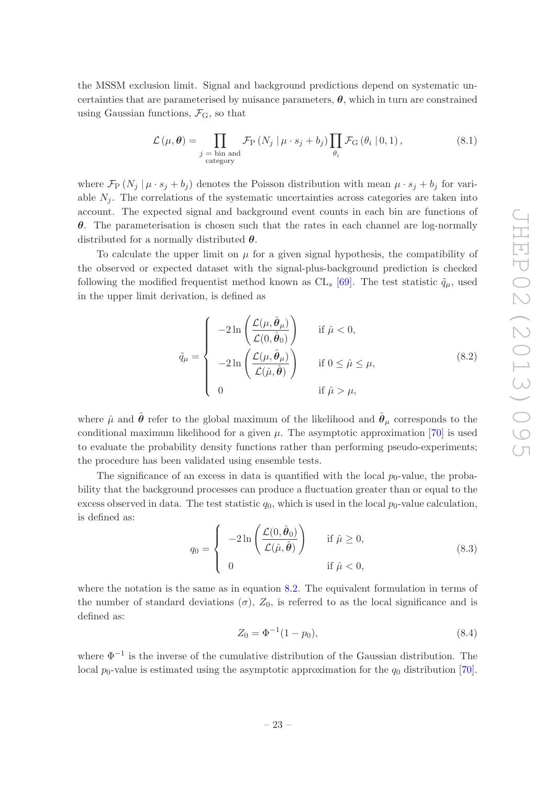the MSSM exclusion limit. Signal and background predictions depend on systematic uncertainties that are parameterised by nuisance parameters,  $\theta$ , which in turn are constrained using Gaussian functions,  $\mathcal{F}_{G}$ , so that

$$
\mathcal{L}(\mu, \theta) = \prod_{\substack{j = \text{bin and} \\ \text{category}}} \mathcal{F}_{\text{P}}\left(N_j \mid \mu \cdot s_j + b_j\right) \prod_{\theta_i} \mathcal{F}_{\text{G}}\left(\theta_i \mid 0, 1\right),\tag{8.1}
$$

where  $\mathcal{F}_{\text{P}}(N_j | \mu \cdot s_j + b_j)$  denotes the Poisson distribution with mean  $\mu \cdot s_j + b_j$  for variable  $N_i$ . The correlations of the systematic uncertainties across categories are taken into account. The expected signal and background event counts in each bin are functions of  $\theta$ . The parameterisation is chosen such that the rates in each channel are log-normally distributed for a normally distributed  $\theta$ .

To calculate the upper limit on  $\mu$  for a given signal hypothesis, the compatibility of the observed or expected dataset with the signal-plus-background prediction is checked following the modified frequentist method known as  $CL_s$  [\[69\]](#page-30-6). The test statistic  $\tilde{q}_{\mu}$ , used in the upper limit derivation, is defined as

<span id="page-23-0"></span>
$$
\tilde{q}_{\mu} = \begin{cases}\n-2\ln\left(\frac{\mathcal{L}(\mu,\hat{\theta}_{\mu})}{\mathcal{L}(0,\hat{\theta}_{0})}\right) & \text{if } \hat{\mu} < 0, \\
-2\ln\left(\frac{\mathcal{L}(\mu,\hat{\theta}_{\mu})}{\mathcal{L}(\hat{\mu},\hat{\theta})}\right) & \text{if } 0 \leq \hat{\mu} \leq \mu, \\
0 & \text{if } \hat{\mu} > \mu,\n\end{cases}
$$
\n(8.2)

where  $\hat{\mu}$  and  $\hat{\theta}$  refer to the global maximum of the likelihood and  $\hat{\theta}_{\mu}$  corresponds to the conditional maximum likelihood for a given  $\mu$ . The asymptotic approximation [\[70](#page-30-7)] is used to evaluate the probability density functions rather than performing pseudo-experiments; the procedure has been validated using ensemble tests.

The significance of an excess in data is quantified with the local  $p_0$ -value, the probability that the background processes can produce a fluctuation greater than or equal to the excess observed in data. The test statistic  $q_0$ , which is used in the local  $p_0$ -value calculation, is defined as:

$$
q_0 = \begin{cases} -2\ln\left(\frac{\mathcal{L}(0,\hat{\boldsymbol{\theta}}_0)}{\mathcal{L}(\hat{\mu},\hat{\boldsymbol{\theta}})}\right) & \text{if } \hat{\mu} \ge 0, \\ 0 & \text{if } \hat{\mu} < 0, \end{cases}
$$
(8.3)

where the notation is the same as in equation [8.2.](#page-23-0) The equivalent formulation in terms of the number of standard deviations  $(\sigma)$ ,  $Z_0$ , is referred to as the local significance and is defined as:

$$
Z_0 = \Phi^{-1}(1 - p_0), \tag{8.4}
$$

where Φ−<sup>1</sup> is the inverse of the cumulative distribution of the Gaussian distribution. The local  $p_0$ -value is estimated using the asymptotic approximation for the  $q_0$  distribution [\[70\]](#page-30-7).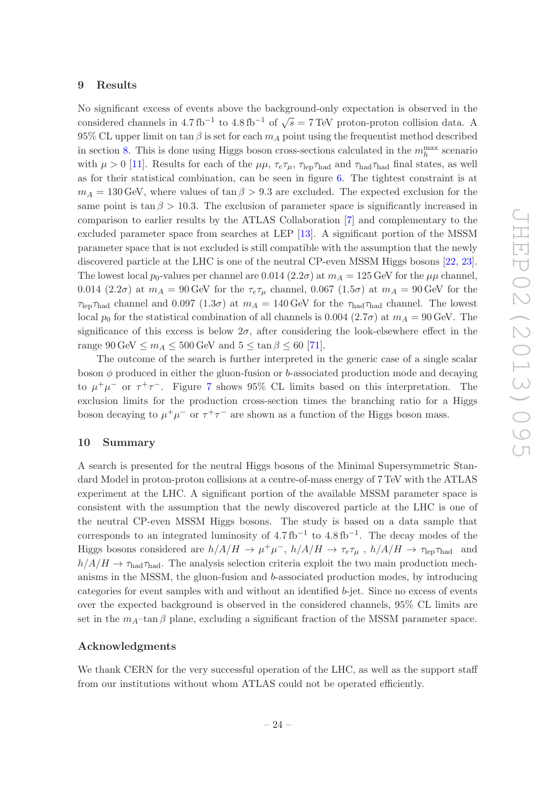#### <span id="page-24-0"></span>9 Results

No significant excess of events above the background-only expectation is observed in the considered channels in 4.7 fb<sup>-1</sup> to 4.8 fb<sup>-1</sup> of  $\sqrt{s} = 7$  TeV proton-proton collision data. A 95% CL upper limit on tan  $\beta$  is set for each  $m_A$  point using the frequentist method described in section [8.](#page-22-0) This is done using Higgs boson cross-sections calculated in the  $m_h^{\text{max}}$  scenario with  $\mu > 0$  [\[11](#page-27-0)]. Results for each of the  $\mu\mu$ ,  $\tau_e\tau_\mu$ ,  $\tau_{\rm lep}\tau_{\rm had}$  and  $\tau_{\rm had}\tau_{\rm had}$  final states, as well as for their statistical combination, can be seen in figure [6.](#page-25-0) The tightest constraint is at  $m_A = 130$  GeV, where values of  $\tan \beta > 9.3$  are excluded. The expected exclusion for the same point is tan  $\beta > 10.3$ . The exclusion of parameter space is significantly increased in comparison to earlier results by the ATLAS Collaboration [\[7](#page-26-3)] and complementary to the excluded parameter space from searches at LEP [\[13\]](#page-27-2). A significant portion of the MSSM parameter space that is not excluded is still compatible with the assumption that the newly discovered particle at the LHC is one of the neutral CP-even MSSM Higgs bosons [\[22,](#page-27-7) [23\]](#page-27-8). The lowest local  $p_0$ -values per channel are 0.014 (2.2 $\sigma$ ) at  $m_A = 125$  GeV for the  $\mu\mu$  channel, 0.014 (2.2 $\sigma$ ) at  $m_A = 90$  GeV for the  $\tau_e \tau_\mu$  channel, 0.067 (1.5 $\sigma$ ) at  $m_A = 90$  GeV for the  $\tau_{\rm lep} \tau_{\rm had}$  channel and 0.097 (1.3 $\sigma$ ) at  $m_A = 140$  GeV for the  $\tau_{\rm had} \tau_{\rm had}$  channel. The lowest local  $p_0$  for the statistical combination of all channels is 0.004 (2.7 $\sigma$ ) at  $m_A = 90$  GeV. The significance of this excess is below  $2\sigma$ , after considering the look-elsewhere effect in the range  $90 \text{ GeV} \leq m_A \leq 500 \text{ GeV}$  and  $5 \leq \tan \beta \leq 60$  [\[71\]](#page-30-8).

The outcome of the search is further interpreted in the generic case of a single scalar boson  $\phi$  produced in either the gluon-fusion or b-associated production mode and decaying to  $\mu^+\mu^-$  or  $\tau^+\tau^-$ . Figure [7](#page-25-1) shows 95% CL limits based on this interpretation. The exclusion limits for the production cross-section times the branching ratio for a Higgs boson decaying to  $\mu^+\mu^-$  or  $\tau^+\tau^-$  are shown as a function of the Higgs boson mass.

## <span id="page-24-1"></span>10 Summary

A search is presented for the neutral Higgs bosons of the Minimal Supersymmetric Standard Model in proton-proton collisions at a centre-of-mass energy of 7 TeV with the ATLAS experiment at the LHC. A significant portion of the available MSSM parameter space is consistent with the assumption that the newly discovered particle at the LHC is one of the neutral CP-even MSSM Higgs bosons. The study is based on a data sample that corresponds to an integrated luminosity of  $4.7 \text{ fb}^{-1}$  to  $4.8 \text{ fb}^{-1}$ . The decay modes of the Higgs bosons considered are  $h/A/H \to \mu^+\mu^-$ ,  $h/A/H \to \tau_e\tau_\mu$ ,  $h/A/H \to \tau_{\rm lep}\tau_{\rm had}$  and  $h/A/H \to \tau_{\text{had}} \tau_{\text{had}}$ . The analysis selection criteria exploit the two main production mechanisms in the MSSM, the gluon-fusion and b-associated production modes, by introducing categories for event samples with and without an identified b-jet. Since no excess of events over the expected background is observed in the considered channels, 95% CL limits are set in the  $m_A$ –tan β plane, excluding a significant fraction of the MSSM parameter space.

#### Acknowledgments

We thank CERN for the very successful operation of the LHC, as well as the support staff from our institutions without whom ATLAS could not be operated efficiently.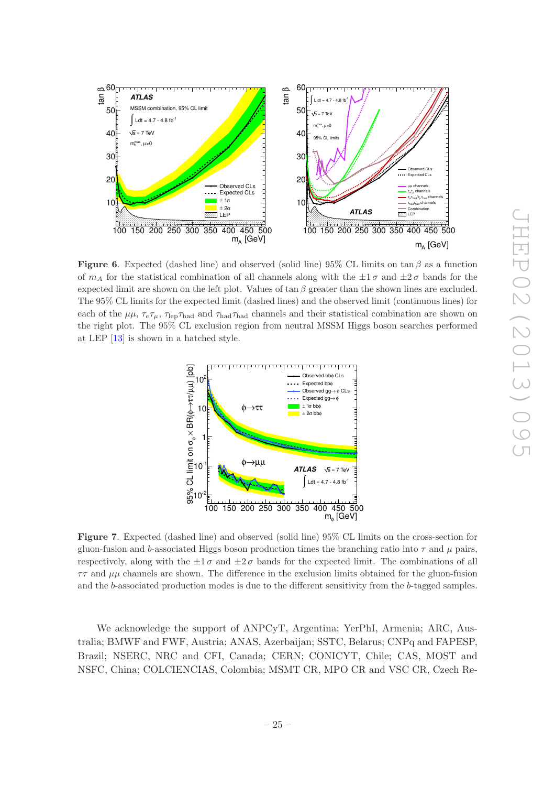

<span id="page-25-0"></span>**Figure 6.** Expected (dashed line) and observed (solid line) 95% CL limits on  $\tan \beta$  as a function of  $m_A$  for the statistical combination of all channels along with the  $\pm 1\sigma$  and  $\pm 2\sigma$  bands for the expected limit are shown on the left plot. Values of  $\tan \beta$  greater than the shown lines are excluded. The 95% CL limits for the expected limit (dashed lines) and the observed limit (continuous lines) for each of the  $\mu\mu$ ,  $\tau_e\tau_\mu$ ,  $\tau_{\rm lep}\tau_{\rm had}$  and  $\tau_{\rm had}\tau_{\rm had}$  channels and their statistical combination are shown on the right plot. The 95% CL exclusion region from neutral MSSM Higgs boson searches performed at LEP [\[13](#page-27-2)] is shown in a hatched style.



<span id="page-25-1"></span>Figure 7. Expected (dashed line) and observed (solid line) 95% CL limits on the cross-section for gluon-fusion and b-associated Higgs boson production times the branching ratio into  $\tau$  and  $\mu$  pairs, respectively, along with the  $\pm 1 \sigma$  and  $\pm 2 \sigma$  bands for the expected limit. The combinations of all  $\tau\tau$  and  $\mu\mu$  channels are shown. The difference in the exclusion limits obtained for the gluon-fusion and the b-associated production modes is due to the different sensitivity from the b-tagged samples.

We acknowledge the support of ANPCyT, Argentina; YerPhI, Armenia; ARC, Australia; BMWF and FWF, Austria; ANAS, Azerbaijan; SSTC, Belarus; CNPq and FAPESP, Brazil; NSERC, NRC and CFI, Canada; CERN; CONICYT, Chile; CAS, MOST and NSFC, China; COLCIENCIAS, Colombia; MSMT CR, MPO CR and VSC CR, Czech Re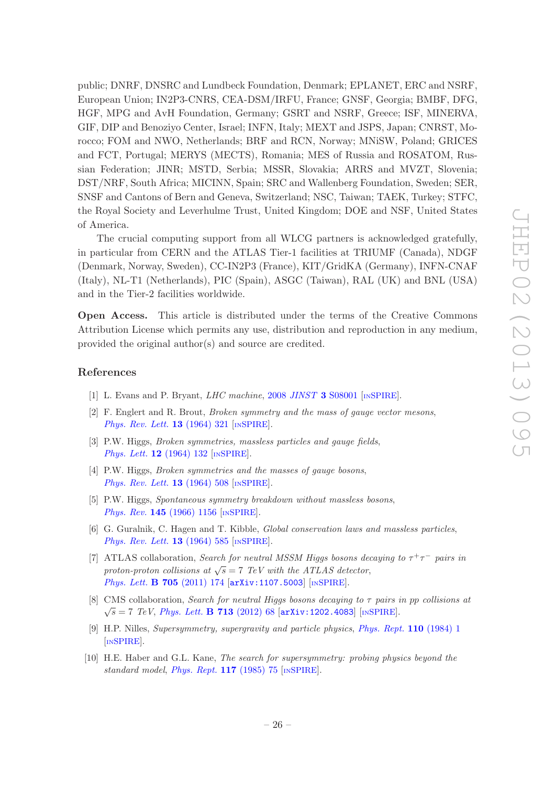public; DNRF, DNSRC and Lundbeck Foundation, Denmark; EPLANET, ERC and NSRF, European Union; IN2P3-CNRS, CEA-DSM/IRFU, France; GNSF, Georgia; BMBF, DFG, HGF, MPG and AvH Foundation, Germany; GSRT and NSRF, Greece; ISF, MINERVA, GIF, DIP and Benoziyo Center, Israel; INFN, Italy; MEXT and JSPS, Japan; CNRST, Morocco; FOM and NWO, Netherlands; BRF and RCN, Norway; MNiSW, Poland; GRICES and FCT, Portugal; MERYS (MECTS), Romania; MES of Russia and ROSATOM, Russian Federation; JINR; MSTD, Serbia; MSSR, Slovakia; ARRS and MVZT, Slovenia; DST/NRF, South Africa; MICINN, Spain; SRC and Wallenberg Foundation, Sweden; SER, SNSF and Cantons of Bern and Geneva, Switzerland; NSC, Taiwan; TAEK, Turkey; STFC, the Royal Society and Leverhulme Trust, United Kingdom; DOE and NSF, United States of America.

The crucial computing support from all WLCG partners is acknowledged gratefully, in particular from CERN and the ATLAS Tier-1 facilities at TRIUMF (Canada), NDGF (Denmark, Norway, Sweden), CC-IN2P3 (France), KIT/GridKA (Germany), INFN-CNAF (Italy), NL-T1 (Netherlands), PIC (Spain), ASGC (Taiwan), RAL (UK) and BNL (USA) and in the Tier-2 facilities worldwide.

Open Access. This article is distributed under the terms of the Creative Commons Attribution License which permits any use, distribution and reproduction in any medium, provided the original author(s) and source are credited.

# References

- <span id="page-26-0"></span>[1] L. Evans and P. Bryant, *LHC machine*, 2008 *JINST* 3 [S08001](http://dx.doi.org/10.1088/1748-0221/3/08/S08001) [*IN[SPIRE](http://inspirehep.net/search?p=find+J+JINST,3,S08001)*].
- <span id="page-26-1"></span>[2] F. Englert and R. Brout, Broken symmetry and the mass of gauge vector mesons, [Phys. Rev. Lett.](http://dx.doi.org/10.1103/PhysRevLett.13.321) **13** (1964) 321 [IN[SPIRE](http://inspirehep.net/search?p=find+J+Phys.Rev.Lett.,13,321)].
- [3] P.W. Higgs, Broken symmetries, massless particles and gauge fields, [Phys. Lett.](http://dx.doi.org/10.1016/0031-9163(64)91136-9) **12** (1964) 132 [IN[SPIRE](http://inspirehep.net/search?p=find+J+Phys.Lett.,12,132)].
- [4] P.W. Higgs, Broken symmetries and the masses of gauge bosons, [Phys. Rev. Lett.](http://dx.doi.org/10.1103/PhysRevLett.13.508) **13** (1964) 508 [IN[SPIRE](http://inspirehep.net/search?p=find+J+Phys.Rev.Lett.,13,508)].
- [5] P.W. Higgs, Spontaneous symmetry breakdown without massless bosons, Phys. Rev. **145** [\(1966\) 1156](http://dx.doi.org/10.1103/PhysRev.145.1156) [IN[SPIRE](http://inspirehep.net/search?p=find+J+Phys.Rev.,145,1156)].
- <span id="page-26-2"></span>[6] G. Guralnik, C. Hagen and T. Kibble, Global conservation laws and massless particles, [Phys. Rev. Lett.](http://dx.doi.org/10.1103/PhysRevLett.13.585) 13 (1964) 585 [IN[SPIRE](http://inspirehep.net/search?p=find+J+Phys.Rev.Lett.,13,585)].
- <span id="page-26-3"></span>[7] ATLAS collaboration, Search for neutral MSSM Higgs bosons decaying to  $\tau^+\tau^-$  pairs in proton-proton collisions at  $\sqrt{s} = 7$  TeV with the ATLAS detector, [Phys. Lett.](http://dx.doi.org/10.1016/j.physletb.2011.10.001) **B 705** (2011) 174 [[arXiv:1107.5003](http://arxiv.org/abs/1107.5003)] [IN[SPIRE](http://inspirehep.net/search?p=find+EPRINT+arXiv:1107.5003)].
- <span id="page-26-4"></span>[8] CMS collaboration, *Search for neutral Higgs bosons decaying to*  $\tau$  pairs in pp collisions at  $\sqrt{s} = 7$  TeV, [Phys. Lett.](http://dx.doi.org/10.1016/j.physletb.2012.05.028) **B** 713 (2012) 68  $arXiv:1202.4083$  [IN[SPIRE](http://inspirehep.net/search?p=find+EPRINT+arXiv:1202.4083)].
- <span id="page-26-5"></span>[9] H.P. Nilles, Supersymmetry, supergravity and particle physics, [Phys. Rept.](http://dx.doi.org/10.1016/0370-1573(84)90008-5) 110 (1984) 1 [IN[SPIRE](http://inspirehep.net/search?p=find+J+Phys.Rept.,110,1)].
- <span id="page-26-6"></span>[10] H.E. Haber and G.L. Kane, The search for supersymmetry: probing physics beyond the standard model, [Phys. Rept.](http://dx.doi.org/10.1016/0370-1573(85)90051-1)  $117$  (1985) 75 [IN[SPIRE](http://inspirehep.net/search?p=find+J+Phys.Rept.,117,75)].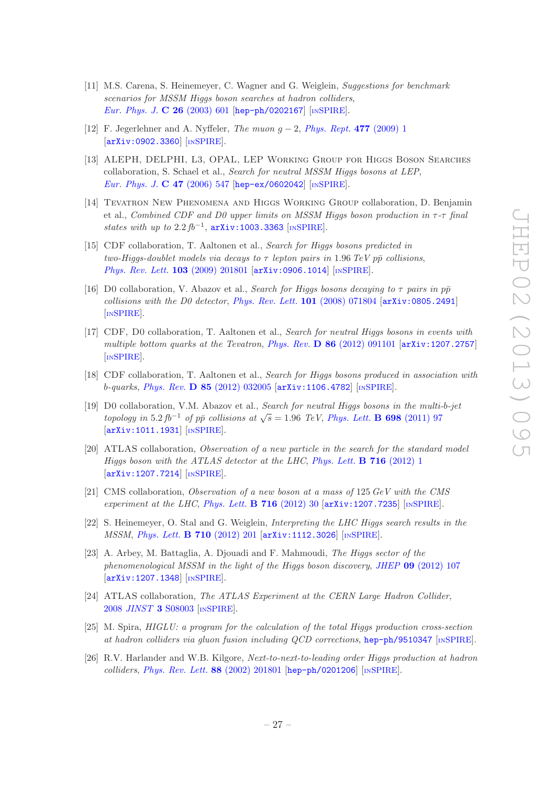- <span id="page-27-0"></span>[11] M.S. Carena, S. Heinemeyer, C. Wagner and G. Weiglein, Suggestions for benchmark scenarios for MSSM Higgs boson searches at hadron colliders, [Eur. Phys. J.](http://dx.doi.org/10.1140/epjc/s2002-01084-3) C 26 (2003) 601 [[hep-ph/0202167](http://arxiv.org/abs/hep-ph/0202167)] [IN[SPIRE](http://inspirehep.net/search?p=find+EPRINT+hep-ph/0202167)].
- <span id="page-27-1"></span>[12] F. Jegerlehner and A. Nyffeler, *The muon g − 2, [Phys. Rept.](http://dx.doi.org/10.1016/j.physrep.2009.04.003)* 477 (2009) 1 [[arXiv:0902.3360](http://arxiv.org/abs/0902.3360)] [IN[SPIRE](http://inspirehep.net/search?p=find+EPRINT+arXiv:0902.3360)].
- <span id="page-27-2"></span>[13] ALEPH, DELPHI, L3, OPAL, LEP Working Group for Higgs Boson Searches collaboration, S. Schael et al., Search for neutral MSSM Higgs bosons at LEP, [Eur. Phys. J.](http://dx.doi.org/10.1140/epjc/s2006-02569-7) C 47 (2006) 547 [[hep-ex/0602042](http://arxiv.org/abs/hep-ex/0602042)] [IN[SPIRE](http://inspirehep.net/search?p=find+EPRINT+hep-ex/0602042)].
- <span id="page-27-3"></span>[14] Tevatron New Phenomena and Higgs Working Group collaboration, D. Benjamin et al., Combined CDF and D0 upper limits on MSSM Higgs boson production in  $\tau$ - $\tau$  final states with up to  $2.2 f b^{-1}$ ,  $arXiv:1003.3363$  [IN[SPIRE](http://inspirehep.net/search?p=find+EPRINT+arXiv:1003.3363)].
- [15] CDF collaboration, T. Aaltonen et al., Search for Higgs bosons predicted in two-Higgs-doublet models via decays to  $\tau$  lepton pairs in 1.96 TeV pp collisions, [Phys. Rev. Lett.](http://dx.doi.org/10.1103/PhysRevLett.103.201801) 103 (2009) 201801 [[arXiv:0906.1014](http://arxiv.org/abs/0906.1014)] [IN[SPIRE](http://inspirehep.net/search?p=find+EPRINT+arXiv:0906.1014)].
- [16] D0 collaboration, V. Abazov et al., Search for Higgs bosons decaying to  $\tau$  pairs in  $p\bar{p}$  $collisions\ with\ the\ D0\ detector,\ Phys.\ Rev.\ Lett.\ 101\ (2008)\ 071804\ [arXiv:0805.2491]$  $collisions\ with\ the\ D0\ detector,\ Phys.\ Rev.\ Lett.\ 101\ (2008)\ 071804\ [arXiv:0805.2491]$  $collisions\ with\ the\ D0\ detector,\ Phys.\ Rev.\ Lett.\ 101\ (2008)\ 071804\ [arXiv:0805.2491]$ [IN[SPIRE](http://inspirehep.net/search?p=find+EPRINT+arXiv:0805.2491)].
- [17] CDF, D0 collaboration, T. Aaltonen et al., Search for neutral Higgs bosons in events with multiple bottom quarks at the Tevatron, Phys. Rev.  $\bf{D} 86$  [\(2012\) 091101](http://dx.doi.org/10.1103/PhysRevD.86.091101) [[arXiv:1207.2757](http://arxiv.org/abs/1207.2757)] [IN[SPIRE](http://inspirehep.net/search?p=find+EPRINT+arXiv:1207.2757)].
- [18] CDF collaboration, T. Aaltonen et al., Search for Higgs bosons produced in association with  $b$ -quarks, Phys. Rev. **D 85** [\(2012\) 032005](http://dx.doi.org/10.1103/PhysRevD.85.032005)  $arXiv:1106.4782$  [IN[SPIRE](http://inspirehep.net/search?p=find+EPRINT+arXiv:1106.4782)].
- <span id="page-27-4"></span>[19] D0 collaboration, V.M. Abazov et al., Search for neutral Higgs bosons in the multi-b-jet topology in 5.2 fb<sup>-1</sup> of pp⊂ collisions at  $\sqrt{s} = 1.96$  TeV, [Phys. Lett.](http://dx.doi.org/10.1016/j.physletb.2011.02.062) **B** 698 (2011) 97 [[arXiv:1011.1931](http://arxiv.org/abs/1011.1931)] [IN[SPIRE](http://inspirehep.net/search?p=find+EPRINT+arXiv:1011.1931)].
- <span id="page-27-5"></span>[20] ATLAS collaboration, Observation of a new particle in the search for the standard model Higgs boson with the ATLAS detector at the LHC, [Phys. Lett.](http://dx.doi.org/10.1016/j.physletb.2012.08.020) **B** 716 (2012) 1 [[arXiv:1207.7214](http://arxiv.org/abs/1207.7214)] [IN[SPIRE](http://inspirehep.net/search?p=find+EPRINT+arXiv:1207.7214)].
- <span id="page-27-6"></span>[21] CMS collaboration, Observation of a new boson at a mass of 125 GeV with the CMS experiment at the LHC, [Phys. Lett.](http://dx.doi.org/10.1016/j.physletb.2012.08.021) **B** 716 (2012) 30  $\left[\text{arXiv:1207.7235}\right]$  $\left[\text{arXiv:1207.7235}\right]$  $\left[\text{arXiv:1207.7235}\right]$   $\left[\text{nsPIRE}\right]$ .
- <span id="page-27-7"></span>[22] S. Heinemeyer, O. Stal and G. Weiglein, Interpreting the LHC Higgs search results in the MSSM, [Phys. Lett.](http://dx.doi.org/10.1016/j.physletb.2012.02.084) B 710 (2012) 201 [[arXiv:1112.3026](http://arxiv.org/abs/1112.3026)] [IN[SPIRE](http://inspirehep.net/search?p=find+EPRINT+arXiv:1112.3026)].
- <span id="page-27-8"></span>[23] A. Arbey, M. Battaglia, A. Djouadi and F. Mahmoudi, The Higgs sector of the phenomenological MSSM in the light of the Higgs boson discovery, JHEP 09 [\(2012\) 107](http://dx.doi.org/10.1007/JHEP09(2012)107) [[arXiv:1207.1348](http://arxiv.org/abs/1207.1348)] [IN[SPIRE](http://inspirehep.net/search?p=find+EPRINT+arXiv:1207.1348)].
- <span id="page-27-9"></span>[24] ATLAS collaboration, The ATLAS Experiment at the CERN Large Hadron Collider, 2008 JINST 3 [S08003](http://dx.doi.org/10.1088/1748-0221/3/08/S08003) [IN[SPIRE](http://inspirehep.net/search?p=find+J+JINST,3,S08003)].
- <span id="page-27-10"></span>[25] M. Spira, HIGLU: a program for the calculation of the total Higgs production cross-section at hadron colliders via gluon fusion including QCD corrections, [hep-ph/9510347](http://arxiv.org/abs/hep-ph/9510347) [IN[SPIRE](http://inspirehep.net/search?p=find+EPRINT+hep-ph/9510347)].
- <span id="page-27-11"></span>[26] R.V. Harlander and W.B. Kilgore, Next-to-next-to-leading order Higgs production at hadron colliders, [Phys. Rev. Lett.](http://dx.doi.org/10.1103/PhysRevLett.88.201801)  $88$  (2002) 201801 [[hep-ph/0201206](http://arxiv.org/abs/hep-ph/0201206)] [IN[SPIRE](http://inspirehep.net/search?p=find+EPRINT+hep-ph/0201206)].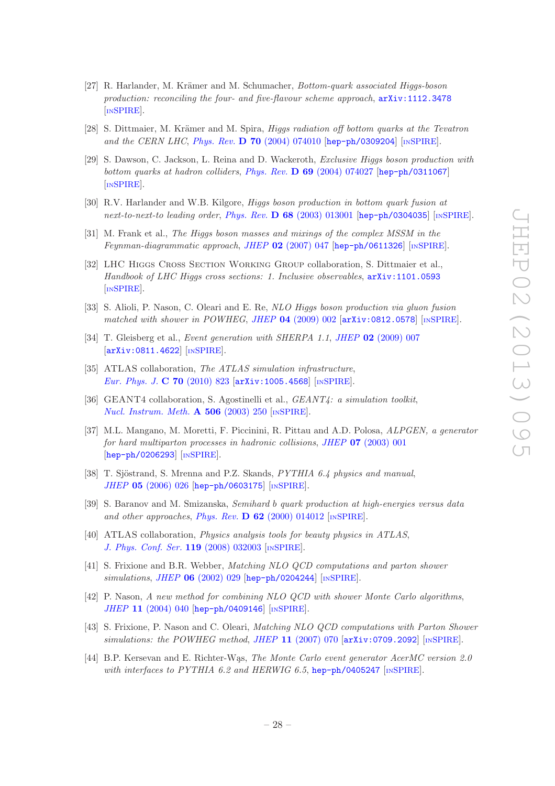- <span id="page-28-0"></span>[27] R. Harlander, M. Krämer and M. Schumacher, Bottom-quark associated Higgs-boson production: reconciling the four- and five-flavour scheme approach, [arXiv:1112.3478](http://arxiv.org/abs/1112.3478) [IN[SPIRE](http://inspirehep.net/search?p=find+EPRINT+arXiv:1112.3478)].
- <span id="page-28-1"></span>[28] S. Dittmaier, M. Krämer and M. Spira, *Higgs radiation off bottom quarks at the Tevatron* and the CERN LHC, Phys. Rev. D 70 [\(2004\) 074010](http://dx.doi.org/10.1103/PhysRevD.70.074010) [[hep-ph/0309204](http://arxiv.org/abs/hep-ph/0309204)] [IN[SPIRE](http://inspirehep.net/search?p=find+EPRINT+hep-ph/0309204)].
- <span id="page-28-2"></span>[29] S. Dawson, C. Jackson, L. Reina and D. Wackeroth, Exclusive Higgs boson production with bottom quarks at hadron colliders, Phys. Rev. D 69 [\(2004\) 074027](http://dx.doi.org/10.1103/PhysRevD.69.074027) [[hep-ph/0311067](http://arxiv.org/abs/hep-ph/0311067)] [IN[SPIRE](http://inspirehep.net/search?p=find+EPRINT+hep-ph/0311067)].
- <span id="page-28-3"></span>[30] R.V. Harlander and W.B. Kilgore, Higgs boson production in bottom quark fusion at next-to-next-to leading order, Phys. Rev. D 68 [\(2003\) 013001](http://dx.doi.org/10.1103/PhysRevD.68.013001) [[hep-ph/0304035](http://arxiv.org/abs/hep-ph/0304035)] [IN[SPIRE](http://inspirehep.net/search?p=find+EPRINT+hep-ph/0304035)].
- <span id="page-28-4"></span>[31] M. Frank et al., The Higgs boson masses and mixings of the complex MSSM in the Feynman-diagrammatic approach, JHEP 02 [\(2007\) 047](http://dx.doi.org/10.1088/1126-6708/2007/02/047)  $[hep-ph/0611326]$  $[hep-ph/0611326]$  $[hep-ph/0611326]$  [IN[SPIRE](http://inspirehep.net/search?p=find+EPRINT+hep-ph/0611326)].
- <span id="page-28-5"></span>[32] LHC Higgs Cross Section Working Group collaboration, S. Dittmaier et al., Handbook of LHC Higgs cross sections: 1. Inclusive observables, [arXiv:1101.0593](http://arxiv.org/abs/1101.0593) [IN[SPIRE](http://inspirehep.net/search?p=find+EPRINT+arXiv:1101.0593)].
- <span id="page-28-6"></span>[33] S. Alioli, P. Nason, C. Oleari and E. Re, NLO Higgs boson production via gluon fusion matched with shower in POWHEG, JHEP 04 [\(2009\) 002](http://dx.doi.org/10.1088/1126-6708/2009/04/002) [[arXiv:0812.0578](http://arxiv.org/abs/0812.0578)] [IN[SPIRE](http://inspirehep.net/search?p=find+EPRINT+arXiv:0812.0578)].
- <span id="page-28-7"></span>[34] T. Gleisberg et al., *Event generation with SHERPA 1.1, JHEP* **02** [\(2009\) 007](http://dx.doi.org/10.1088/1126-6708/2009/02/007) [[arXiv:0811.4622](http://arxiv.org/abs/0811.4622)] [IN[SPIRE](http://inspirehep.net/search?p=find+EPRINT+arXiv:0811.4622)].
- <span id="page-28-8"></span>[35] ATLAS collaboration, The ATLAS simulation infrastructure, [Eur. Phys. J.](http://dx.doi.org/10.1140/epjc/s10052-010-1429-9) **C 70** (2010) 823 [[arXiv:1005.4568](http://arxiv.org/abs/1005.4568)] [IN[SPIRE](http://inspirehep.net/search?p=find+EPRINT+arXiv:1005.4568)].
- <span id="page-28-9"></span>[36] GEANT4 collaboration, S. Agostinelli et al., GEANT4: a simulation toolkit, [Nucl. Instrum. Meth.](http://dx.doi.org/10.1016/S0168-9002(03)01368-8)  $\bf{A}$  506 (2003) 250 [IN[SPIRE](http://inspirehep.net/search?p=find+J+Nucl.Instrum.Meth.,A506,250)].
- <span id="page-28-10"></span>[37] M.L. Mangano, M. Moretti, F. Piccinini, R. Pittau and A.D. Polosa, ALPGEN, a generator for hard multiparton processes in hadronic collisions, JHEP 07 [\(2003\) 001](http://dx.doi.org/10.1088/1126-6708/2003/07/001) [[hep-ph/0206293](http://arxiv.org/abs/hep-ph/0206293)] [IN[SPIRE](http://inspirehep.net/search?p=find+EPRINT+hep-ph/0206293)].
- <span id="page-28-11"></span>[38] T. Sjöstrand, S. Mrenna and P.Z. Skands, *PYTHIA 6.4 physics and manual*, JHEP 05 [\(2006\) 026](http://dx.doi.org/10.1088/1126-6708/2006/05/026) [[hep-ph/0603175](http://arxiv.org/abs/hep-ph/0603175)] [IN[SPIRE](http://inspirehep.net/search?p=find+EPRINT+hep-ph/0603175)].
- <span id="page-28-12"></span>[39] S. Baranov and M. Smizanska, Semihard b quark production at high-energies versus data and other approaches, Phys. Rev.  $\bf{D} 62$  [\(2000\) 014012](http://dx.doi.org/10.1103/PhysRevD.62.014012) [IN[SPIRE](http://inspirehep.net/search?p=find+J+Phys.Rev.,D62,014012)].
- <span id="page-28-13"></span>[40] ATLAS collaboration, Physics analysis tools for beauty physics in ATLAS, [J. Phys. Conf. Ser.](http://dx.doi.org/10.1088/1742-6596/119/3/032003) 119 (2008) 032003 [IN[SPIRE](http://inspirehep.net/search?p=find+J+J.Phys.Conf.Ser.,119,032003)].
- <span id="page-28-14"></span>[41] S. Frixione and B.R. Webber, Matching NLO QCD computations and parton shower simulations, JHEP 06 [\(2002\) 029](http://dx.doi.org/10.1088/1126-6708/2002/06/029) [[hep-ph/0204244](http://arxiv.org/abs/hep-ph/0204244)] [IN[SPIRE](http://inspirehep.net/search?p=find+EPRINT+hep-ph/0204244)].
- <span id="page-28-15"></span>[42] P. Nason, A new method for combining NLO QCD with shower Monte Carlo algorithms, JHEP 11 [\(2004\) 040](http://dx.doi.org/10.1088/1126-6708/2004/11/040) [[hep-ph/0409146](http://arxiv.org/abs/hep-ph/0409146)] [IN[SPIRE](http://inspirehep.net/search?p=find+EPRINT+hep-ph/0409146)].
- <span id="page-28-16"></span>[43] S. Frixione, P. Nason and C. Oleari, Matching NLO QCD computations with Parton Shower simulations: the POWHEG method, JHEP 11 [\(2007\) 070](http://dx.doi.org/10.1088/1126-6708/2007/11/070)  $\left[$ [arXiv:0709.2092](http://arxiv.org/abs/0709.2092) $\right]$  [IN[SPIRE](http://inspirehep.net/search?p=find+EPRINT+arXiv:0709.2092)].
- <span id="page-28-17"></span>[44] B.P. Kersevan and E. Richter-Was, The Monte Carlo event generator AcerMC version 2.0 with interfaces to PYTHIA 6.2 and HERWIG 6.5, [hep-ph/0405247](http://arxiv.org/abs/hep-ph/0405247) [IN[SPIRE](http://inspirehep.net/search?p=find+EPRINT+hep-ph/0405247)].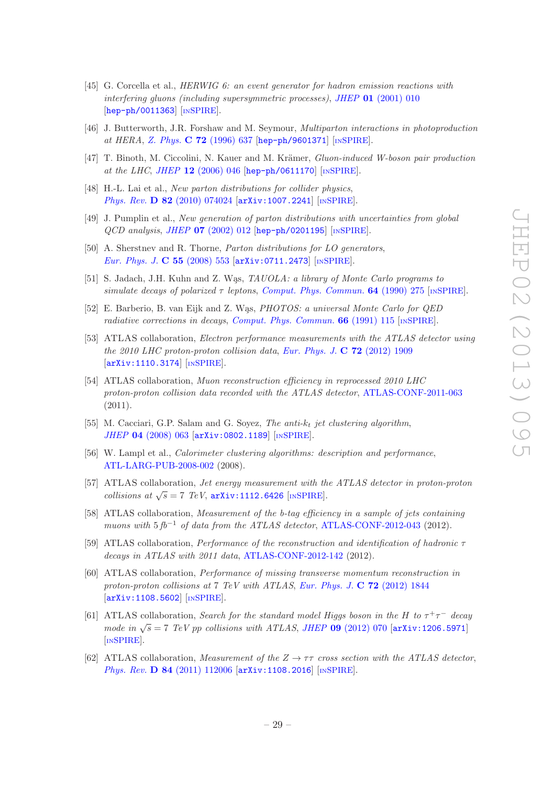- <span id="page-29-0"></span>[45] G. Corcella et al., HERWIG 6: an event generator for hadron emission reactions with interfering gluons (including supersymmetric processes), JHEP  $01$  [\(2001\) 010](http://dx.doi.org/10.1088/1126-6708/2001/01/010) [[hep-ph/0011363](http://arxiv.org/abs/hep-ph/0011363)] [IN[SPIRE](http://inspirehep.net/search?p=find+EPRINT+hep-ph/0011363)].
- <span id="page-29-1"></span>[46] J. Butterworth, J.R. Forshaw and M. Seymour, Multiparton interactions in photoproduction at HERA, Z. Phys. C 72 [\(1996\) 637](http://dx.doi.org/10.1007/s002880050286) [[hep-ph/9601371](http://arxiv.org/abs/hep-ph/9601371)] [IN[SPIRE](http://inspirehep.net/search?p=find+EPRINT+hep-ph/9601371)].
- <span id="page-29-2"></span>[47] T. Binoth, M. Ciccolini, N. Kauer and M. Krämer, *Gluon-induced W-boson pair production* at the LHC, JHEP 12 [\(2006\) 046](http://dx.doi.org/10.1088/1126-6708/2006/12/046) [[hep-ph/0611170](http://arxiv.org/abs/hep-ph/0611170)] [IN[SPIRE](http://inspirehep.net/search?p=find+EPRINT+hep-ph/0611170)].
- <span id="page-29-3"></span>[48] H.-L. Lai et al., *New parton distributions for collider physics*, Phys. Rev. D 82 [\(2010\) 074024](http://dx.doi.org/10.1103/PhysRevD.82.074024) [[arXiv:1007.2241](http://arxiv.org/abs/1007.2241)] [IN[SPIRE](http://inspirehep.net/search?p=find+EPRINT+arXiv:1007.2241)].
- <span id="page-29-4"></span>[49] J. Pumplin et al., New generation of parton distributions with uncertainties from global QCD analysis, JHEP 07 [\(2002\) 012](http://dx.doi.org/10.1088/1126-6708/2002/07/012) [[hep-ph/0201195](http://arxiv.org/abs/hep-ph/0201195)] [IN[SPIRE](http://inspirehep.net/search?p=find+EPRINT+hep-ph/0201195)].
- <span id="page-29-5"></span>[50] A. Sherstnev and R. Thorne, Parton distributions for LO generators, [Eur. Phys. J.](http://dx.doi.org/10.1140/epjc/s10052-008-0610-x) C 55 (2008) 553 [[arXiv:0711.2473](http://arxiv.org/abs/0711.2473)] [IN[SPIRE](http://inspirehep.net/search?p=find+EPRINT+arXiv:0711.2473)].
- <span id="page-29-6"></span>[51] S. Jadach, J.H. Kuhn and Z. Was, TAUOLA: a library of Monte Carlo programs to simulate decays of polarized  $\tau$  leptons, [Comput. Phys. Commun.](http://dx.doi.org/10.1016/0010-4655(91)90038-M) 64 (1990) 275 [IN[SPIRE](http://inspirehep.net/search?p=find+J+Comput.Phys.Commun.,64,275)].
- <span id="page-29-7"></span>[52] E. Barberio, B. van Eijk and Z. Was, *PHOTOS: a universal Monte Carlo for QED* radiative corrections in decays, [Comput. Phys. Commun.](http://dx.doi.org/10.1016/0010-4655(91)90012-A)  $66$  (1991) 115 [IN[SPIRE](http://inspirehep.net/search?p=find+J+Comput.Phys.Commun.,66,115)].
- <span id="page-29-8"></span>[53] ATLAS collaboration, *Electron performance measurements with the ATLAS detector using* the 2010 LHC proton-proton collision data, [Eur. Phys. J.](http://dx.doi.org/10.1140/epjc/s10052-012-1909-1) C 72 (2012) 1909 [[arXiv:1110.3174](http://arxiv.org/abs/1110.3174)] [IN[SPIRE](http://inspirehep.net/search?p=find+EPRINT+arXiv:1110.3174)].
- <span id="page-29-9"></span>[54] ATLAS collaboration, Muon reconstruction efficiency in reprocessed 2010 LHC proton-proton collision data recorded with the ATLAS detector, [ATLAS-CONF-2011-063](http://cds.cern.ch/record/1345743) (2011).
- <span id="page-29-10"></span>[55] M. Cacciari, G.P. Salam and G. Soyez, The anti- $k_t$  jet clustering algorithm, JHEP 04 [\(2008\) 063](http://dx.doi.org/10.1088/1126-6708/2008/04/063) [[arXiv:0802.1189](http://arxiv.org/abs/0802.1189)] [IN[SPIRE](http://inspirehep.net/search?p=find+EPRINT+arXiv:0802.1189)].
- <span id="page-29-11"></span>[56] W. Lampl et al., *Calorimeter clustering algorithms: description and performance*, [ATL-LARG-PUB-2008-002](http://cds.cern.ch/record/1099735) (2008).
- <span id="page-29-12"></span>[57] ATLAS collaboration, Jet energy measurement with the ATLAS detector in proton-proton collisions at  $\sqrt{s} = 7$  TeV, [arXiv:1112.6426](http://arxiv.org/abs/1112.6426) [IN[SPIRE](http://inspirehep.net/search?p=find+EPRINT+arXiv:1112.6426)].
- <span id="page-29-13"></span>[58] ATLAS collaboration, Measurement of the b-tag efficiency in a sample of jets containing muons with  $5 f b^{-1}$  of data from the ATLAS detector, [ATLAS-CONF-2012-043](http://cds.cern.ch/record/1435197) (2012).
- <span id="page-29-14"></span>[59] ATLAS collaboration, Performance of the reconstruction and identification of hadronic  $\tau$ decays in ATLAS with 2011 data, [ATLAS-CONF-2012-142](http://cds.cern.ch/record/1485531) (2012).
- <span id="page-29-15"></span>[60] ATLAS collaboration, Performance of missing transverse momentum reconstruction in proton-proton collisions at 7 TeV with ATLAS, [Eur. Phys. J.](http://dx.doi.org/10.1140/epjc/s10052-011-1844-6)  $C$  72 (2012) 1844 [[arXiv:1108.5602](http://arxiv.org/abs/1108.5602)] [IN[SPIRE](http://inspirehep.net/search?p=find+EPRINT+arXiv:1108.5602)].
- <span id="page-29-16"></span>[61] ATLAS collaboration, Search for the standard model Higgs boson in the H to  $\tau^+\tau^-$  decay mode in  $\sqrt{s} = 7$  TeV pp collisions with ATLAS, JHEP 09 [\(2012\) 070](http://dx.doi.org/10.1007/JHEP09(2012)070) [[arXiv:1206.5971](http://arxiv.org/abs/1206.5971)] [IN[SPIRE](http://inspirehep.net/search?p=find+EPRINT+arXiv:1206.5971)].
- <span id="page-29-17"></span>[62] ATLAS collaboration, Measurement of the  $Z \rightarrow \tau\tau$  cross section with the ATLAS detector, Phys. Rev. **D 84** [\(2011\) 112006](http://dx.doi.org/10.1103/PhysRevD.84.112006) [[arXiv:1108.2016](http://arxiv.org/abs/1108.2016)] [IN[SPIRE](http://inspirehep.net/search?p=find+EPRINT+arXiv:1108.2016)].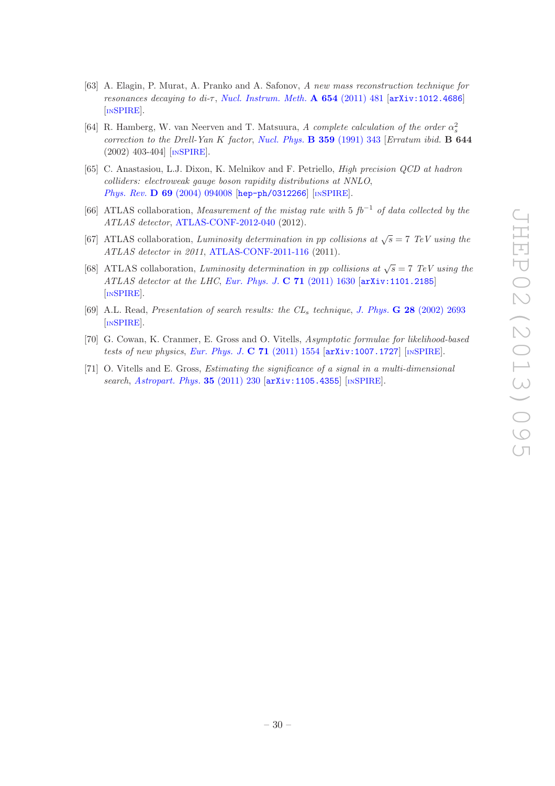- <span id="page-30-0"></span>[63] A. Elagin, P. Murat, A. Pranko and A. Safonov, A new mass reconstruction technique for resonances decaying to di- $\tau$ , [Nucl. Instrum. Meth.](http://dx.doi.org/10.1016/j.nima.2011.07.009) A 654 (2011) 481 [[arXiv:1012.4686](http://arxiv.org/abs/1012.4686)] [IN[SPIRE](http://inspirehep.net/search?p=find+EPRINT+arXiv:1012.4686)].
- <span id="page-30-1"></span>[64] R. Hamberg, W. van Neerven and T. Matsuura, A complete calculation of the order  $\alpha_s^2$ correction to the Drell-Yan K factor, [Nucl. Phys.](http://dx.doi.org/10.1016/0550-3213(91)90064-5) B 359 (1991) 343 [Erratum ibid. B 644 (2002) 403-404] [IN[SPIRE](http://inspirehep.net/search?p=find+J+Nucl.Phys.,B359,343)].
- <span id="page-30-2"></span>[65] C. Anastasiou, L.J. Dixon, K. Melnikov and F. Petriello, High precision QCD at hadron colliders: electroweak gauge boson rapidity distributions at NNLO, Phys. Rev. **D 69** [\(2004\) 094008](http://dx.doi.org/10.1103/PhysRevD.69.094008) [[hep-ph/0312266](http://arxiv.org/abs/hep-ph/0312266)] [IN[SPIRE](http://inspirehep.net/search?p=find+EPRINT+hep-ph/0312266)].
- <span id="page-30-3"></span>[66] ATLAS collaboration, Measurement of the mistag rate with 5  $fb^{-1}$  of data collected by the ATLAS detector, [ATLAS-CONF-2012-040](http://cds.cern.ch/record/1435194) (2012).
- <span id="page-30-4"></span>[67] ATLAS collaboration, Luminosity determination in pp collisions at  $\sqrt{s} = 7$  TeV using the ATLAS detector in 2011, [ATLAS-CONF-2011-116](http://cds.cern.ch/record/1376384) (2011).
- <span id="page-30-5"></span>[68] ATLAS collaboration, Luminosity determination in pp collisions at  $\sqrt{s} = 7$  TeV using the ATLAS detector at the LHC, [Eur. Phys. J.](http://dx.doi.org/10.1140/epjc/s10052-011-1630-5)  $C$  71 (2011) 1630 [[arXiv:1101.2185](http://arxiv.org/abs/1101.2185)] [IN[SPIRE](http://inspirehep.net/search?p=find+EPRINT+arXiv:1101.2185)].
- <span id="page-30-6"></span>[69] A.L. Read, Presentation of search results: the CL<sub>s</sub> technique, J. Phys. **G 28** [\(2002\) 2693](http://dx.doi.org/10.1088/0954-3899/28/10/313) [IN[SPIRE](http://inspirehep.net/search?p=find+J+J.Phys.,G28,2693)].
- <span id="page-30-7"></span>[70] G. Cowan, K. Cranmer, E. Gross and O. Vitells, Asymptotic formulae for likelihood-based tests of new physics, [Eur. Phys. J.](http://dx.doi.org/10.1140/epjc/s10052-011-1554-0) C  $71$  (2011) 1554  $\left[$ [arXiv:1007.1727](http://arxiv.org/abs/1007.1727) $\right]$   $\left[$ IN[SPIRE](http://inspirehep.net/search?p=find+EPRINT+arXiv:1007.1727) $\right]$ .
- <span id="page-30-8"></span>[71] O. Vitells and E. Gross, Estimating the significance of a signal in a multi-dimensional search, [Astropart. Phys.](http://dx.doi.org/10.1016/j.astropartphys.2011.08.005) 35 (2011) 230 [[arXiv:1105.4355](http://arxiv.org/abs/1105.4355)] [IN[SPIRE](http://inspirehep.net/search?p=find+EPRINT+arXiv:1105.4355)].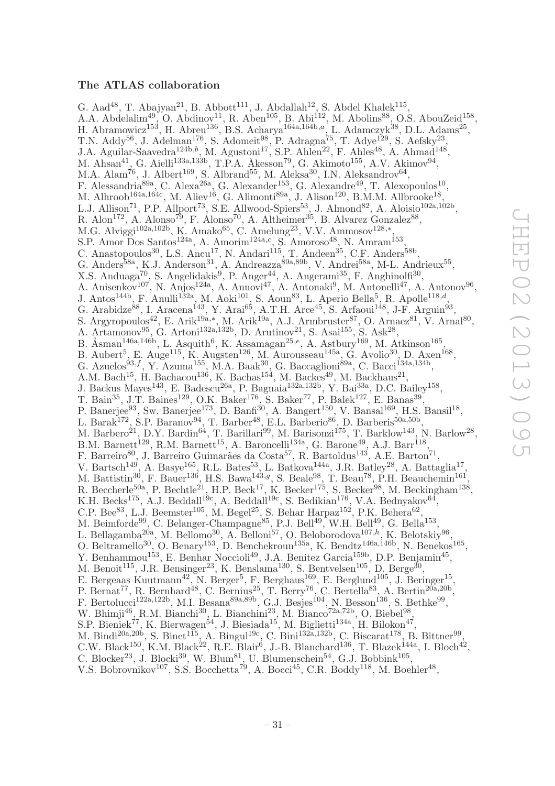# <span id="page-31-0"></span>The ATLAS collaboration

G. Aad<sup>48</sup>, T. Abajyan<sup>21</sup>, B. Abbott<sup>111</sup>, J. Abdallah<sup>12</sup>, S. Abdel Khalek<sup>115</sup>, A.A. Abdelalim<sup>49</sup>, O. Abdinov<sup>11</sup>, R. Aben<sup>105</sup>, B. Abi<sup>112</sup>, M. Abolins<sup>88</sup>, O.S. AbouZeid<sup>158</sup>, H. Abramowicz<sup>153</sup>, H. Abreu<sup>136</sup>, B.S. Acharya<sup>164a,164b,a</sup>, L. Adamczyk<sup>38</sup>, D.L. Adams<sup>25</sup>, T.N. Addy<sup>56</sup>, J. Adelman<sup>176</sup>, S. Adomeit<sup>98</sup>, P. Adragna<sup>75</sup>, T. Adye<sup>129</sup>, S. Aefsky<sup>23</sup>, J.A. Aguilar-Saavedra<sup>124b,b</sup>, M. Agustoni<sup>17</sup>, S.P. Ahlen<sup>22</sup>, F. Ahles<sup>48</sup>, A. Ahmad<sup>148</sup>, M. Ahsan<sup>41</sup>, G. Aielli<sup>133a,133b</sup>, T.P.A. Åkesson<sup>79</sup>, G. Akimoto<sup>155</sup>, A.V. Akimov<sup>94</sup>, M.A. Alam<sup>76</sup>, J. Albert<sup>169</sup>, S. Albrand<sup>55</sup>, M. Aleksa<sup>30</sup>, I.N. Aleksandrov<sup>64</sup>, F. Alessandria<sup>89a</sup>, C. Alexa<sup>26a</sup>, G. Alexander<sup>153</sup>, G. Alexandre<sup>49</sup>, T. Alexopoulos<sup>10</sup>, M. Alhroob<sup>164a,164c</sup>, M. Aliev<sup>16</sup>, G. Alimonti<sup>89a</sup>, J. Alison<sup>120</sup>, B.M.M. Allbrooke<sup>18</sup>, L.J. Allison<sup>71</sup>, P.P. Allport<sup>73</sup>, S.E. Allwood-Spiers<sup>53</sup>, J. Almond<sup>82</sup>, A. Aloisio<sup>102a,102b</sup>, R. Alon<sup>172</sup>, A. Alonso<sup>79</sup>, F. Alonso<sup>70</sup>, A. Altheimer<sup>35</sup>, B. Alvarez Gonzalez<sup>88</sup>, M.G. Alviggi<sup>102a,102b</sup>, K. Amako<sup>65</sup>, C. Amelung<sup>23</sup>, V.V. Ammosov<sup>128,\*</sup>, S.P. Amor Dos Santos<sup>124a</sup>, A. Amorim<sup>124a,c</sup>, S. Amoroso<sup>48</sup>, N. Amram<sup>153</sup>, C. Anastopoulos<sup>30</sup>, L.S. Ancu<sup>17</sup>, N. Andari<sup>115</sup>, T. Andeen<sup>35</sup>, C.F. Anders<sup>58b</sup>, G. Anders<sup>58a</sup>, K.J. Anderson<sup>31</sup>, A. Andreazza<sup>89a,89b</sup>, V. Andrei<sup>58a</sup>, M-L. Andrieux<sup>55</sup>, X.S. Anduaga<sup>70</sup>, S. Angelidakis<sup>9</sup>, P. Anger<sup>44</sup>, A. Angerami<sup>35</sup>, F. Anghinolfi<sup>30</sup>, A. Anisenkov<sup>107</sup>, N. Anjos<sup>124a</sup>, A. Annovi<sup>47</sup>, A. Antonaki<sup>9</sup>, M. Antonelli<sup>47</sup>, A. Antonov<sup>96</sup>, J. Antos<sup>144b</sup>, F. Anulli<sup>132a</sup>, M. Aoki<sup>101</sup>, S. Aoun<sup>83</sup>, L. Aperio Bella<sup>5</sup>, R. Apolle<sup>118,d</sup>, G. Arabidze<sup>88</sup>, I. Aracena<sup>143</sup>, Y. Arai<sup>65</sup>, A.T.H. Arce<sup>45</sup>, S. Arfaoui<sup>148</sup>, J-F. Arguin<sup>93</sup>, S. Argyropoulos<sup>42</sup>, E. Arik<sup>19a,\*</sup>, M. Arik<sup>19a</sup>, A.J. Armbruster<sup>87</sup>, O. Arnaez<sup>81</sup>, V. Arnal<sup>80</sup>, A. Artamonov<sup>95</sup>, G. Artoni<sup>132a,132b</sup>, D. Arutinov<sup>21</sup>, S. Asai<sup>155</sup>, S. Ask<sup>28</sup>, B. Åsman<sup>146a,146b</sup>, L. Asquith<sup>6</sup>, K. Assamagan<sup>25,e</sup>, A. Astbury<sup>169</sup>, M. Atkinson<sup>165</sup>, B. Aubert<sup>5</sup>, E. Auge<sup>115</sup>, K. Augsten<sup>126</sup>, M. Aurousseau<sup>145a</sup>, G. Avolio<sup>30</sup>, D. Axen<sup>168</sup>, G. Azuelos<sup>93,f</sup>, Y. Azuma<sup>155</sup>, M.A. Baak<sup>30</sup>, G. Baccaglioni<sup>89a</sup>, C. Bacci<sup>134a,134b</sup>, A.M. Bach<sup>15</sup>, H. Bachacou<sup>136</sup>, K. Bachas<sup>154</sup>, M. Backes<sup>49</sup>, M. Backhaus<sup>21</sup>, J. Backus Mayes<sup>143</sup>, E. Badescu<sup>26a</sup>, P. Bagnaia<sup>132a,132b</sup>, Y. Bai<sup>33a</sup>, D.C. Bailey<sup>158</sup>, T. Bain<sup>35</sup>, J.T. Baines<sup>129</sup>, O.K. Baker<sup>176</sup>, S. Baker<sup>77</sup>, P. Balek<sup>127</sup>, E. Banas<sup>39</sup>, P. Banerjee<sup>93</sup>, Sw. Banerjee<sup>173</sup>, D. Banfi<sup>30</sup>, A. Bangert<sup>150</sup>, V. Bansal<sup>169</sup>, H.S. Bansil<sup>18</sup>, L. Barak<sup>172</sup>, S.P. Baranov<sup>94</sup>, T. Barber<sup>48</sup>, E.L. Barberio<sup>86</sup>, D. Barberis<sup>50a,50b</sup>, M. Barbero<sup>21</sup>, D.Y. Bardin<sup>64</sup>, T. Barillari<sup>99</sup>, M. Barisonzi<sup>175</sup>, T. Barklow<sup>143</sup>, N. Barlow<sup>28</sup>, B.M. Barnett<sup>129</sup>, R.M. Barnett<sup>15</sup>, A. Baroncelli<sup>134a</sup>, G. Barone<sup>49</sup>, A.J. Barr<sup>118</sup>, F. Barreiro<sup>80</sup>, J. Barreiro Guimarães da Costa<sup>57</sup>, R. Bartoldus<sup>143</sup>, A.E. Barton<sup>71</sup>, V. Bartsch<sup>149</sup>, A. Basye<sup>165</sup>, R.L. Bates<sup>53</sup>, L. Batkova<sup>144a</sup>, J.R. Batley<sup>28</sup>, A. Battaglia<sup>17</sup>, M. Battistin<sup>30</sup>, F. Bauer<sup>136</sup>, H.S. Bawa<sup>143,g</sup>, S. Beale<sup>98</sup>, T. Beau<sup>78</sup>, P.H. Beauchemin<sup>161</sup>, R. Beccherle<sup>50a</sup>, P. Bechtle<sup>21</sup>, H.P. Beck<sup>17</sup>, K. Becker<sup>175</sup>, S. Becker<sup>98</sup>, M. Beckingham<sup>138</sup>, K.H. Becks<sup>175</sup>, A.J. Beddall<sup>19c</sup>, A. Beddall<sup>19c</sup>, S. Bedikian<sup>176</sup>, V.A. Bednyakov<sup>64</sup>, C.P. Bee<sup>83</sup>, L.J. Beemster<sup>105</sup>, M. Begel<sup>25</sup>, S. Behar Harpaz<sup>152</sup>, P.K. Behera<sup>62</sup>, M. Beimforde<sup>99</sup>, C. Belanger-Champagne<sup>85</sup>, P.J. Bell<sup>49</sup>, W.H. Bell<sup>49</sup>, G. Bella<sup>153</sup>, L. Bellagamba<sup>20a</sup>, M. Bellomo<sup>30</sup>, A. Belloni<sup>57</sup>, O. Beloborodova<sup>107,h</sup>, K. Belotskiy<sup>96</sup>, O. Beltramello<sup>30</sup>, O. Benary<sup>153</sup>, D. Benchekroun<sup>135a</sup>, K. Bendtz<sup>146a,146b</sup>, N. Benekos<sup>165</sup>, Y. Benhammou<sup>153</sup>, E. Benhar Noccioli<sup>49</sup>, J.A. Benitez Garcia<sup>159b</sup>, D.P. Benjamin<sup>45</sup>, M. Benoit<sup>115</sup>, J.R. Bensinger<sup>23</sup>, K. Benslama<sup>130</sup>, S. Bentvelsen<sup>105</sup>, D. Berge<sup>30</sup>, E. Bergeaas Kuutmann<sup>42</sup>, N. Berger<sup>5</sup>, F. Berghaus<sup>169</sup>, E. Berglund<sup>105</sup>, J. Beringer<sup>15</sup>, P. Bernat<sup>77</sup>, R. Bernhard<sup>48</sup>, C. Bernius<sup>25</sup>, T. Berry<sup>76</sup>, C. Bertella<sup>83</sup>, A. Bertin<sup>20a,20b</sup>, F. Bertolucci<sup>122a,122b</sup>, M.I. Besana<sup>89a,89b</sup>, G.J. Besjes<sup>104</sup>, N. Besson<sup>136</sup>, S. Bethke<sup>99</sup>, W. Bhimji<sup>46</sup>, R.M. Bianchi<sup>30</sup>, L. Bianchini<sup>23</sup>, M. Bianco<sup>72a,72b</sup>, O. Biebel<sup>98</sup>, S.P. Bieniek<sup>77</sup>, K. Bierwagen<sup>54</sup>, J. Biesiada<sup>15</sup>, M. Biglietti<sup>134a</sup>, H. Bilokon<sup>47</sup>, M. Bindi<sup>20a,20b</sup>, S. Binet<sup>115</sup>, A. Bingul<sup>19c</sup>, C. Bini<sup>132a,132b</sup>, C. Biscarat<sup>178</sup>, B. Bittner<sup>99</sup>, C.W. Black<sup>150</sup>, K.M. Black<sup>22</sup>, R.E. Blair<sup>6</sup>, J.-B. Blanchard<sup>136</sup>, T. Blazek<sup>144a</sup>, I. Bloch<sup>42</sup>, C. Blocker<sup>23</sup>, J. Blocki<sup>39</sup>, W. Blum<sup>81</sup>, U. Blumenschein<sup>54</sup>, G.J. Bobbink<sup>105</sup>, V.S. Bobrovnikov<sup>107</sup>, S.S. Bocchetta<sup>79</sup>, A. Bocci<sup>45</sup>, C.R. Boddy<sup>118</sup>, M. Boehler<sup>48</sup>,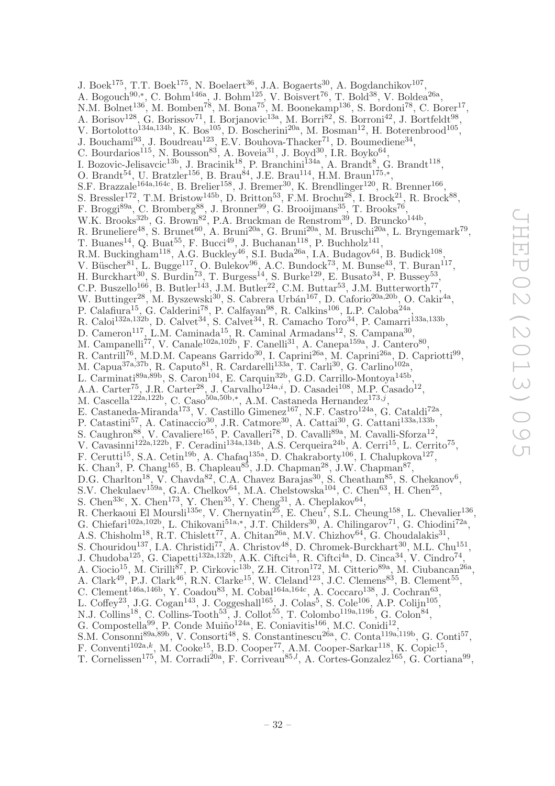J. Boek<sup>175</sup>, T.T. Boek<sup>175</sup>, N. Boelaert<sup>36</sup>, J.A. Bogaerts<sup>30</sup>, A. Bogdanchikov<sup>107</sup>, A. Bogouch<sup>90,\*</sup>, C. Bohm<sup>146a</sup>, J. Bohm<sup>125</sup>, V. Boisvert<sup>76</sup>, T. Bold<sup>38</sup>, V. Boldea<sup>26a</sup>, N.M. Bolnet<sup>136</sup>, M. Bomben<sup>78</sup>, M. Bona<sup>75</sup>, M. Boonekamp<sup>136</sup>, S. Bordoni<sup>78</sup>, C. Borer<sup>17</sup>, A. Borisov<sup>128</sup>, G. Borissov<sup>71</sup>, I. Borjanovic<sup>13a</sup>, M. Borri<sup>82</sup>, S. Borroni<sup>42</sup>, J. Bortfeldt<sup>98</sup>, V. Bortolotto<sup>134a,134b</sup>, K. Bos<sup>105</sup>, D. Boscherini<sup>20a</sup>, M. Bosman<sup>12</sup>, H. Boterenbrood<sup>105</sup>, , J. Bouchami<sup>93</sup>, J. Boudreau<sup>123</sup>, E.V. Bouhova-Thacker<sup>71</sup>, D. Boumediene<sup>34</sup>, C. Bourdarios<sup>115</sup>, N. Bousson<sup>83</sup>, A. Boveia<sup>31</sup>, J. Boyd<sup>30</sup>, I.R. Boyko<sup>64</sup>, I. Bozovic-Jelisavcic<sup>13b</sup>, J. Bracinik<sup>18</sup>, P. Branchini<sup>134a</sup>, A. Brandt<sup>8</sup>, G. Brandt<sup>118</sup>, O. Brandt<sup>54</sup>, U. Bratzler<sup>156</sup>, B. Brau<sup>84</sup>, J.E. Brau<sup>114</sup>, H.M. Braun<sup>175,\*</sup>, S.F. Brazzale<sup>164a,164c</sup>, B. Brelier<sup>158</sup>, J. Bremer<sup>30</sup>, K. Brendlinger<sup>120</sup>, R. Brenner<sup>166</sup>, S. Bressler<sup>172</sup>, T.M. Bristow<sup>145b</sup>, D. Britton<sup>53</sup>, F.M. Brochu<sup>28</sup>, I. Brock<sup>21</sup>, R. Brock<sup>88</sup>, F. Broggi<sup>89a</sup>, C. Bromberg<sup>88</sup>, J. Bronner<sup>99</sup>, G. Brooijmans<sup>35</sup>, T. Brooks<sup>76</sup>, W.K. Brooks<sup>32b</sup>, G. Brown<sup>82</sup>, P.A. Bruckman de Renstrom<sup>39</sup>, D. Bruncko<sup>144b</sup>, R. Bruneliere<sup>48</sup>, S. Brunet<sup>60</sup>, A. Bruni<sup>20a</sup>, G. Bruni<sup>20a</sup>, M. Bruschi<sup>20a</sup>, L. Bryngemark<sup>79</sup>, T. Buanes<sup>14</sup>, Q. Buat<sup>55</sup>, F. Bucci<sup>49</sup>, J. Buchanan<sup>118</sup>, P. Buchholz<sup>141</sup>, R.M. Buckingham<sup>118</sup>, A.G. Buckley<sup>46</sup>, S.I. Buda<sup>26a</sup>, I.A. Budagov<sup>64</sup>, B. Budick<sup>108</sup>, V. Büscher<sup>81</sup>, L. Bugge<sup>117</sup>, O. Bulekov<sup>96</sup>, A.C. Bundock<sup>73</sup>, M. Bunse<sup>43</sup>, T. Buran<sup>117</sup>, , V. Büscher<sup>81</sup>, L. Bugge<sup>117</sup>, O. Bulekov<sup>96</sup>, A.C. Bundock<sup>73</sup>, M. Bunse<sup>43</sup>, T. Buran<sup>117</sup>, H. Burckhart<sup>30</sup>, S. Burdin<sup>73</sup>, T. Burgess<sup>14</sup>, S. Burke<sup>129</sup>, E. Busato<sup>34</sup>, P. Bussey<sup>53</sup>, C.P. Buszello<sup>166</sup>, B. Butler<sup>143</sup>, J.M. Butler<sup>22</sup>, C.M. Buttar<sup>53</sup>, J.M. Butterworth<sup>77</sup>, W. Buttinger<sup>28</sup>, M. Byszewski<sup>30</sup>, S. Cabrera Urbán<sup>167</sup>, D. Caforio<sup>20a,20b</sup>, O. Cakir<sup>4a</sup>, P. Calafiura<sup>15</sup>, G. Calderini<sup>78</sup>, P. Calfayan<sup>98</sup>, R. Calkins<sup>106</sup>, L.P. Caloba<sup>24a</sup>, R. Caloi<sup>132a,132b</sup>, D. Calvet<sup>34</sup>, S. Calvet<sup>34</sup>, R. Camacho Toro<sup>34</sup>, P. Camarri<sup>133a,133b</sup>, D. Cameron<sup>117</sup>, L.M. Caminada<sup>15</sup>, R. Caminal Armadans<sup>12</sup>, S. Campana<sup>30</sup>, M. Campanelli<sup>77</sup>, V. Canale<sup>102a,102b</sup>, F. Canelli<sup>31</sup>, A. Canepa<sup>159a</sup>, J. Cantero<sup>80</sup>, R. Cantrill<sup>76</sup>, M.D.M. Capeans Garrido<sup>30</sup>, I. Caprini<sup>26a</sup>, M. Caprini<sup>26a</sup>, D. Capriotti<sup>99</sup>, M. Capua<sup>37a,37b</sup>, R. Caputo<sup>81</sup>, R. Cardarelli<sup>133a</sup>, T. Carli<sup>30</sup>, G. Carlino<sup>102a</sup>, L. Carminati<sup>89a,89b</sup>, S. Caron<sup>104</sup>, E. Carquin<sup>32b</sup>, G.D. Carrillo-Montoya<sup>145b</sup>, A.A. Carter<sup>75</sup>, J.R. Carter<sup>28</sup>, J. Carvalho<sup>124a,i</sup>, D. Casadei<sup>108</sup>, M.P. Casado<sup>12</sup>, M. Cascella<sup>122a,122b</sup>, C. Caso<sup>50a,50b,\*</sup>, A.M. Castaneda Hernandez<sup>173,j</sup>, E. Castaneda-Miranda<sup>173</sup>, V. Castillo Gimenez<sup>167</sup>, N.F. Castro<sup>124a</sup>, G. Cataldi<sup>72a</sup>, P. Catastini<sup>57</sup>, A. Catinaccio<sup>30</sup>, J.R. Catmore<sup>30</sup>, A. Cattai<sup>30</sup>, G. Cattani<sup>133a,133b</sup>, S. Caughron<sup>88</sup>, V. Cavaliere<sup>165</sup>, P. Cavalleri<sup>78</sup>, D. Cavalli<sup>89a</sup>, M. Cavalli-Sforza<sup>12</sup>, V. Cavasinni<sup>122a,122b</sup>, F. Ceradini<sup>134a,134b</sup>, A.S. Cerqueira<sup>24b</sup>, A. Cerri<sup>15</sup>, L. Cerrito<sup>75</sup>, F. Cerutti<sup>15</sup>, S.A. Cetin<sup>19b</sup>, A. Chafaq<sup>135a</sup>, D. Chakraborty<sup>106</sup>, I. Chalupkova<sup>127</sup>, K. Chan<sup>3</sup>, P. Chang<sup>165</sup>, B. Chapleau<sup>85</sup>, J.D. Chapman<sup>28</sup>, J.W. Chapman<sup>87</sup>, D.G. Charlton<sup>18</sup>, V. Chavda<sup>82</sup>, C.A. Chavez Barajas<sup>30</sup>, S. Cheatham<sup>85</sup>, S. Chekanov<sup>6</sup>, S.V. Chekulaev<sup>159a</sup>, G.A. Chelkov<sup>64</sup>, M.A. Chelstowska<sup>104</sup>, C. Chen<sup>63</sup>, H. Chen<sup>25</sup>, S. Chen<sup>33c</sup>, X. Chen<sup>173</sup>, Y. Chen<sup>35</sup>, Y. Cheng<sup>31</sup>, A. Cheplakov<sup>64</sup>, R. Cherkaoui El Moursli<sup>135e</sup>, V. Chernyatin<sup>25</sup>, E. Cheu<sup>7</sup>, S.L. Cheung<sup>158</sup>, L. Chevalier<sup>136</sup>, G. Chiefari<sup>102a,102b</sup>, L. Chikovani<sup>51a,\*</sup>, J.T. Childers<sup>30</sup>, A. Chilingarov<sup>71</sup>, G. Chiodini<sup>72a</sup>, A.S. Chisholm<sup>18</sup>, R.T. Chislett<sup>77</sup>, A. Chitan<sup>26a</sup>, M.V. Chizhov<sup>64</sup>, G. Choudalakis<sup>31</sup>, S. Chouridou<sup>137</sup>, I.A. Christidi<sup>77</sup>, A. Christov<sup>48</sup>, D. Chromek-Burckhart<sup>30</sup>, M.L. Chu<sup>151</sup>, J. Chudoba<sup>125</sup>, G. Ciapetti<sup>132a,132b</sup>, A.K. Ciftci<sup>4a</sup>, R. Ciftci<sup>4a</sup>, D. Cinca<sup>34</sup>, V. Cindro<sup>74</sup>, A. Ciocio<sup>15</sup>, M. Cirilli<sup>87</sup>, P. Cirkovic<sup>13b</sup>, Z.H. Citron<sup>172</sup>, M. Citterio<sup>89a</sup>, M. Ciubancan<sup>26a</sup>, A. Clark<sup>49</sup>, P.J. Clark<sup>46</sup>, R.N. Clarke<sup>15</sup>, W. Cleland<sup>123</sup>, J.C. Clemens<sup>83</sup>, B. Clement<sup>55</sup>, C. Clement<sup>146a,146b</sup>, Y. Coadou<sup>83</sup>, M. Cobal<sup>164a,164c</sup>, A. Coccaro<sup>138</sup>, J. Cochran<sup>63</sup>, L. Coffey<sup>23</sup>, J.G. Cogan<sup>143</sup>, J. Coggeshall<sup>165</sup>, J. Colas<sup>5</sup>, S. Cole<sup>106</sup>, A.P. Colijn<sup>105</sup>, N.J. Collins<sup>18</sup>, C. Collins-Tooth<sup>53</sup>, J. Collot<sup>55</sup>, T. Colombo<sup>119a,119b</sup>, G. Colon<sup>84</sup>, G. Compostella<sup>99</sup>, P. Conde Muiño<sup>124a</sup>, E. Coniavitis<sup>166</sup>, M.C. Conidi<sup>12</sup>,

- S.M. Consonni<sup>89a,89b</sup>, V. Consorti<sup>48</sup>, S. Constantinescu<sup>26a</sup>, C. Conta<sup>119a,119b</sup>, G. Conti<sup>57</sup>,
- F. Conventi<sup>102a,k</sup>, M. Cooke<sup>15</sup>, B.D. Cooper<sup>77</sup>, A.M. Cooper-Sarkar<sup>118</sup>, K. Copic<sup>15</sup>,
- T. Cornelissen<sup>175</sup>, M. Corradi<sup>20a</sup>, F. Corriveau<sup>85,*l*</sup>, A. Cortes-Gonzalez<sup>165</sup>, G. Cortiana<sup>99</sup>,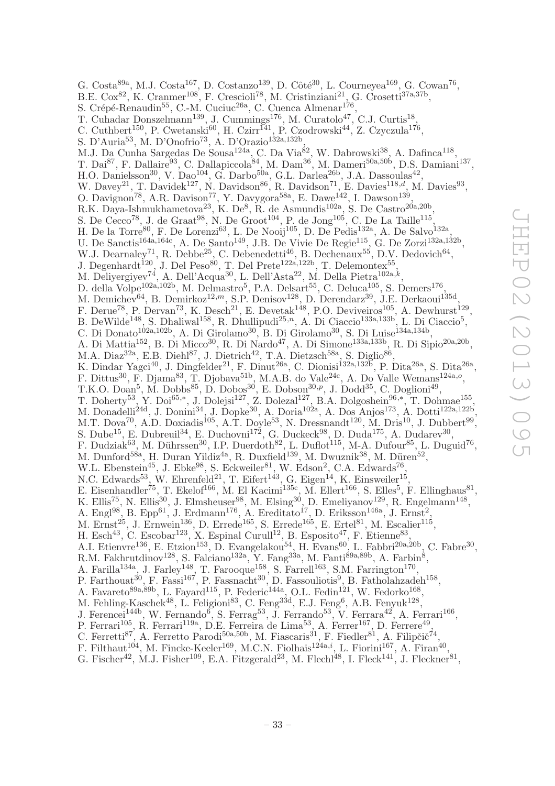G. Costa<sup>89a</sup>, M.J. Costa<sup>167</sup>, D. Costanzo<sup>139</sup>, D. Côté<sup>30</sup>, L. Courneyea<sup>169</sup>, G. Cowan<sup>76</sup>, B.E. Cox<sup>82</sup>, K. Cranmer<sup>108</sup>, F. Crescioli<sup>78</sup>, M. Cristinziani<sup>21</sup>, G. Crosetti<sup>37a,37b</sup>, S. Crépé-Renaudin<sup>55</sup>, C.-M. Cuciuc<sup>26a</sup>, C. Cuenca Almenar<sup>176</sup>, T. Cuhadar Donszelmann<sup>139</sup>, J. Cummings<sup>176</sup>, M. Curatolo<sup>47</sup>, C.J. Curtis<sup>18</sup>, C. Cuthbert<sup>150</sup>, P. Cwetanski<sup>60</sup>, H. Czirr<sup>141</sup>, P. Czodrowski<sup>44</sup>, Z. Czyczula<sup>176</sup>, S. D'Auria<sup>53</sup>, M. D'Onofrio<sup>73</sup>, A. D'Orazio<sup>132a,132b</sup>, M.J. Da Cunha Sargedas De Sousa<sup>124a</sup>, C. Da Via<sup>82</sup>, W. Dabrowski<sup>38</sup>, A. Dafinca<sup>118</sup>, T. Dai<sup>87</sup>, F. Dallaire<sup>93</sup>, C. Dallapiccola<sup>84</sup>, M. Dam<sup>36</sup>, M. Dameri<sup>50a,50b</sup>, D.S. Damiani<sup>137</sup>, H.O. Danielsson<sup>30</sup>, V. Dao<sup>104</sup>, G. Darbo<sup>50a</sup>, G.L. Darlea<sup>26b</sup>, J.A. Dassoulas<sup>42</sup>, W. Davey<sup>21</sup>, T. Davidek<sup>127</sup>, N. Davidson<sup>86</sup>, R. Davidson<sup>71</sup>, E. Davies<sup>118,d</sup>, M. Davies<sup>93</sup>, O. Davignon<sup>78</sup>, A.R. Davison<sup>77</sup>, Y. Davygora<sup>58a</sup>, E. Dawe<sup>142</sup>, I. Dawson<sup>139</sup>, R.K. Daya-Ishmukhametova<sup>23</sup>, K. De<sup>8</sup>, R. de Asmundis<sup>102a</sup>, S. De Castro<sup>20a,20b</sup>, S. De Cecco<sup>78</sup>, J. de Graat<sup>98</sup>, N. De Groot<sup>104</sup>, P. de Jong<sup>105</sup>, C. De La Taille<sup>115</sup>, H. De la Torre<sup>80</sup>, F. De Lorenzi<sup>63</sup>, L. De Nooij<sup>105</sup>, D. De Pedis<sup>132a</sup>, A. De Salvo<sup>132a</sup>, U. De Sanctis<sup>164a,164c</sup>, A. De Santo<sup>149</sup>, J.B. De Vivie De Regie<sup>115</sup>, G. De Zorzi<sup>132a,132b</sup>, W.J. Dearnaley<sup>71</sup>, R. Debbe<sup>25</sup>, C. Debenedetti<sup>46</sup>, B. Dechenaux<sup>55</sup>, D.V. Dedovich<sup>64</sup>, J. Degenhardt<sup>120</sup>, J. Del Peso<sup>80</sup>, T. Del Prete<sup>122a,122b</sup>, T. Delemontex<sup>55</sup>, M. Deliyergiyev<sup>74</sup>, A. Dell'Acqua<sup>30</sup>, L. Dell'Asta<sup>22</sup>, M. Della Pietra<sup>102a, $k$ </sup>. , D. della Volpe<sup>102a,102b</sup>, M. Delmastro<sup>5</sup>, P.A. Delsart<sup>55</sup>, C. Deluca<sup>105</sup>, S. Demers<sup>176</sup>, M. Demichev<sup>64</sup>, B. Demirkoz<sup>12,*m*</sup>, S.P. Denisov<sup>128</sup>, D. Derendarz<sup>39</sup>, J.E. Derkaoui<sup>135d</sup>, F. Derue<sup>78</sup>, P. Dervan<sup>73</sup>, K. Desch<sup>21</sup>, E. Devetak<sup>148</sup>, P.O. Deviveiros<sup>105</sup>, A. Dewhurst<sup>129</sup>, B. DeWilde<sup>148</sup>, S. Dhaliwal<sup>158</sup>, R. Dhullipudi<sup>25,n</sup>, A. Di Ciaccio<sup>133a,133b</sup>, L. Di Ciaccio<sup>5</sup>, C. Di Donato<sup>102a,102b</sup>, A. Di Girolamo<sup>30</sup>, B. Di Girolamo<sup>30</sup>, S. Di Luise<sup>134a,134b</sup>, A. Di Mattia<sup>152</sup>, B. Di Micco<sup>30</sup>, R. Di Nardo<sup>47</sup>, A. Di Simone<sup>133a,133b</sup>, R. Di Sipio<sup>20a,20b</sup>, M.A. Diaz<sup>32a</sup>, E.B. Diehl<sup>87</sup>, J. Dietrich<sup>42</sup>, T.A. Dietzsch<sup>58a</sup>, S. Diglio<sup>86</sup>, K. Dindar Yagci<sup>40</sup>, J. Dingfelder<sup>21</sup>, F. Dinut<sup>26a</sup>, C. Dionisi<sup>132a,132b</sup>, P. Dita<sup>26a</sup>, S. Dita<sup>26a</sup>, F. Dittus<sup>30</sup>, F. Djama<sup>83</sup>, T. Djobava<sup>51b</sup>, M.A.B. do Vale<sup>24c</sup>, A. Do Valle Wemans<sup>124a,o</sup>, T.K.O. Doan<sup>5</sup>, M. Dobbs<sup>85</sup>, D. Dobos<sup>30</sup>, E. Dobson<sup>30,p</sup>, J. Dodd<sup>35</sup>, C. Doglioni<sup>49</sup>, T. Doherty<sup>53</sup>, Y. Doi<sup>65,\*</sup>, J. Dolejsi<sup>127</sup>, Z. Dolezal<sup>127</sup>, B.A. Dolgoshein<sup>96,\*</sup>, T. Dohmae<sup>155</sup>, M. Donadelli<sup>24d</sup>, J. Donini<sup>34</sup>, J. Dopke<sup>30</sup>, A. Doria<sup>102a</sup>, A. Dos Anjos<sup>173</sup>, A. Dotti<sup>122a,122b</sup>, M.T. Dova<sup>70</sup>, A.D. Doxiadis<sup>105</sup>, A.T. Doyle<sup>53</sup>, N. Dressnandt<sup>120</sup>, M. Dris<sup>10</sup>, J. Dubbert<sup>99</sup>, S. Dube<sup>15</sup>, E. Dubreuil<sup>34</sup>, E. Duchovni<sup>172</sup>, G. Duckeck<sup>98</sup>, D. Duda<sup>175</sup>, A. Dudarev<sup>30</sup>, F. Dudziak<sup>63</sup>, M. Dührssen<sup>30</sup>, I.P. Duerdoth<sup>82</sup>, L. Duflot<sup>115</sup>, M-A. Dufour<sup>85</sup>, L. Duguid<sup>76</sup>, M. Dunford<sup>58a</sup>, H. Duran Yildiz<sup>4a</sup>, R. Duxfield<sup>139</sup>, M. Dwuznik<sup>38</sup>, M. Düren<sup>52</sup>, W.L. Ebenstein<sup>45</sup>, J. Ebke<sup>98</sup>, S. Eckweiler<sup>81</sup>, W. Edson<sup>2</sup>, C.A. Edwards<sup>76</sup>, N.C. Edwards<sup>53</sup>, W. Ehrenfeld<sup>21</sup>, T. Eifert<sup>143</sup>, G. Eigen<sup>14</sup>, K. Einsweiler<sup>15</sup>, E. Eisenhandler<sup>75</sup>, T. Ekelof<sup>166</sup>, M. El Kacimi<sup>135c</sup>, M. Ellert<sup>166</sup>, S. Elles<sup>5</sup>, F. Ellinghaus<sup>81</sup>, K. Ellis<sup>75</sup>, N. Ellis<sup>30</sup>, J. Elmsheuser<sup>98</sup>, M. Elsing<sup>30</sup>, D. Emeliyanov<sup>129</sup>, R. Engelmann<sup>148</sup>, A. Engl<sup>98</sup>, B. Epp<sup>61</sup>, J. Erdmann<sup>176</sup>, A. Ereditato<sup>17</sup>, D. Eriksson<sup>146a</sup>, J. Ernst<sup>2</sup>, M. Ernst<sup>25</sup>, J. Ernwein<sup>136</sup>, D. Errede<sup>165</sup>, S. Errede<sup>165</sup>, E. Ertel<sup>81</sup>, M. Escalier<sup>115</sup>, H. Esch<sup>43</sup>, C. Escobar<sup>123</sup>, X. Espinal Curull<sup>12</sup>, B. Esposito<sup>47</sup>, F. Etienne<sup>83</sup>, A.I. Etienvre<sup>136</sup>, E. Etzion<sup>153</sup>, D. Evangelakou<sup>54</sup>, H. Evans<sup>60</sup>, L. Fabbri<sup>20a,20b</sup>, C. Fabre<sup>30</sup>, R.M. Fakhrutdinov<sup>128</sup>, S. Falciano<sup>132a</sup>, Y. Fang<sup>33a</sup>, M. Fanti<sup>89a,89b</sup>, A. Farbin<sup>8</sup>, A. Farilla<sup>134a</sup>, J. Farley<sup>148</sup>, T. Farooque<sup>158</sup>, S. Farrell<sup>163</sup>, S.M. Farrington<sup>170</sup>, P. Farthouat<sup>30</sup>, F. Fassi<sup>167</sup>, P. Fassnacht<sup>30</sup>, D. Fassouliotis<sup>9</sup>, B. Fatholahzadeh<sup>158</sup>, A. Favareto<sup>89a, 89b</sup>, L. Fayard<sup>115</sup>, P. Federic<sup>144a</sup>, O.L. Fedin<sup>121</sup>, W. Fedorko<sup>168</sup>, M. Fehling-Kaschek<sup>48</sup>, L. Feligioni<sup>83</sup>, C. Feng<sup>33d</sup>, E.J. Feng<sup>6</sup>, A.B. Fenyuk<sup>128</sup>, J. Ferencei<sup>144b</sup>, W. Fernando<sup>6</sup>, S. Ferrag<sup>53</sup>, J. Ferrando<sup>53</sup>, V. Ferrara<sup>42</sup>, A. Ferrari<sup>166</sup>, P. Ferrari<sup>105</sup>, R. Ferrari<sup>119a</sup>, D.E. Ferreira de Lima<sup>53</sup>, A. Ferrer<sup>167</sup>, D. Ferrere<sup>49</sup>, C. Ferretti<sup>87</sup>, A. Ferretto Parodi<sup>50a,50b</sup>, M. Fiascaris<sup>31</sup>, F. Fiedler<sup>81</sup>, A. Filipčič<sup>74</sup>. ,

- F. Filthaut<sup>104</sup>, M. Fincke-Keeler<sup>169</sup>, M.C.N. Fiolhais<sup>124a,i</sup>, L. Fiorini<sup>167</sup>, A. Firan<sup>40</sup>,
- G. Fischer<sup>42</sup>, M.J. Fisher<sup>109</sup>, E.A. Fitzgerald<sup>23</sup>, M. Flechl<sup>48</sup>, I. Fleck<sup>141</sup>, J. Fleckner<sup>81</sup>,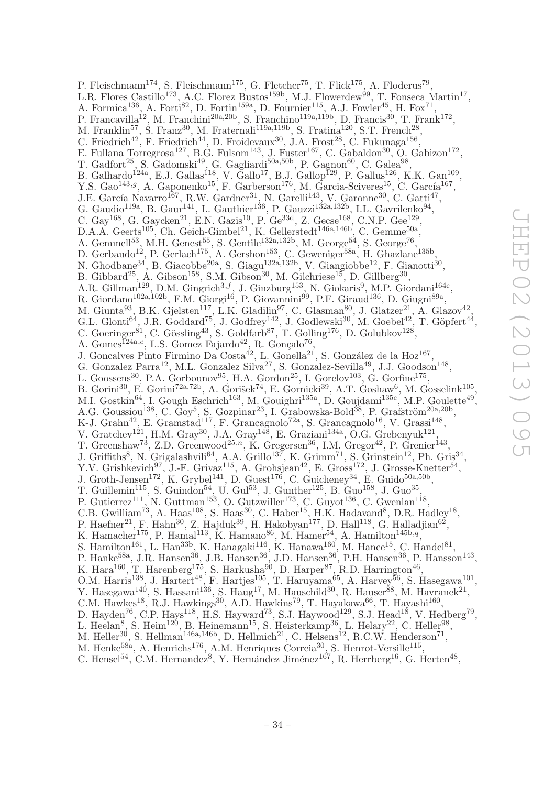P. Fleischmann<sup>174</sup>, S. Fleischmann<sup>175</sup>, G. Fletcher<sup>75</sup>, T. Flick<sup>175</sup>, A. Floderus<sup>79</sup>, L.R. Flores Castillo<sup>173</sup>, A.C. Florez Bustos<sup>159b</sup>, M.J. Flowerdew<sup>99</sup>, T. Fonseca Martin<sup>17</sup>, A. Formica<sup>136</sup>, A. Forti<sup>82</sup>, D. Fortin<sup>159a</sup>, D. Fournier<sup>115</sup>, A.J. Fowler<sup>45</sup>, H. Fox<sup>71</sup>, P. Francavilla<sup>12</sup>, M. Franchini<sup>20a, 20b</sup>, S. Franchino<sup>119a, 119b</sup>, D. Francis<sup>30</sup>, T. Frank<sup>172</sup>, M. Franklin<sup>57</sup>, S. Franz<sup>30</sup>, M. Fraternali<sup>119a, 119b</sup>, S. Fratina<sup>120</sup>, S.T. French<sup>28</sup>, C. Friedrich<sup>42</sup>, F. Friedrich<sup>44</sup>, D. Froidevaux<sup>30</sup>, J.A. Frost<sup>28</sup>, C. Fukunaga<sup>156</sup>, E. Fullana Torregrosa<sup>127</sup>, B.G. Fulsom<sup>143</sup>, J. Fuster<sup>167</sup>, C. Gabaldon<sup>30</sup>, O. Gabizon<sup>172</sup>, T. Gadfort<sup>25</sup>, S. Gadomski<sup>49</sup>, G. Gagliardi<sup>50a,50b</sup>, P. Gagnon<sup>60</sup>, C. Galea<sup>98</sup>, B. Galhardo<sup>124a</sup>, E.J. Gallas<sup>118</sup>, V. Gallo<sup>17</sup>, B.J. Gallop<sup>129</sup>, P. Gallus<sup>126</sup>, K.K. Gan<sup>109</sup>, Y.S. Gao<sup>143,9</sup>, A. Gaponenko<sup>15</sup>, F. Garberson<sup>176</sup>, M. Garcia-Sciveres<sup>15</sup>, C. García<sup>167</sup>, J.E. García Navarro<sup>167</sup>, R.W. Gardner<sup>31</sup>, N. Garelli<sup>143</sup>, V. Garonne<sup>30</sup>, C. Gatti<sup>47</sup>, G. Gaudio<sup>119a</sup>, B. Gaur<sup>141</sup>, L. Gauthier<sup>136</sup>, P. Gauzzi<sup>132a,132b</sup>, I.L. Gavrilenko<sup>94</sup>, C. Gay<sup>168</sup>, G. Gaycken<sup>21</sup>, E.N. Gazis<sup>10</sup>, P. Ge<sup>33d</sup>, Z. Gecse<sup>168</sup>, C.N.P. Gee<sup>129</sup>, D.A.A. Geerts<sup>105</sup>, Ch. Geich-Gimbel<sup>21</sup>, K. Gellerstedt<sup>146a,146b</sup>, C. Gemme<sup>50a</sup>, A. Gemmell<sup>53</sup>, M.H. Genest<sup>55</sup>, S. Gentile<sup>132a,132b</sup>, M. George<sup>54</sup>, S. George<sup>76</sup>, D. Gerbaudo<sup>12</sup>, P. Gerlach<sup>175</sup>, A. Gershon<sup>153</sup>, C. Geweniger<sup>58a</sup>, H. Ghazlane<sup>135b</sup>, N. Ghodbane<sup>34</sup>, B. Giacobbe<sup>20a</sup>, S. Giagu<sup>132a,132b</sup>, V. Giangiobbe<sup>12</sup>, F. Gianotti<sup>30</sup>, B. Gibbard<sup>25</sup>, A. Gibson<sup>158</sup>, S.M. Gibson<sup>30</sup>, M. Gilchriese<sup>15</sup>, D. Gillberg<sup>30</sup>, A.R. Gillman<sup>129</sup>, D.M. Gingrich<sup>3,f</sup>, J. Ginzburg<sup>153</sup>, N. Giokaris<sup>9</sup>, M.P. Giordani<sup>164c</sup>, R. Giordano<sup>102a,102b</sup>, F.M. Giorgi<sup>16</sup>, P. Giovannini<sup>99</sup>, P.F. Giraud<sup>136</sup>, D. Giugni<sup>89a</sup>, M. Giunta<sup>93</sup>, B.K. Gjelsten<sup>117</sup>, L.K. Gladilin<sup>97</sup>, C. Glasman<sup>80</sup>, J. Glatzer<sup>21</sup>, A. Glazov<sup>42</sup>, G.L. Glonti<sup>64</sup>, J.R. Goddard<sup>75</sup>, J. Godfrey<sup>142</sup>, J. Godlewski<sup>30</sup>, M. Goebel<sup>42</sup>, T. Göpfert<sup>44</sup>, C. Goeringer<sup>81</sup>, C. Gössling<sup>43</sup>, S. Goldfarb<sup>87</sup>, T. Golling<sup>176</sup>, D. Golubkov<sup>128</sup>, A. Gomes<sup>124a,c</sup>, L.S. Gomez Fajardo<sup>42</sup>, R. Gonçalo<sup>76</sup>, J. Goncalves Pinto Firmino Da  $\text{Costa}^{42}$ , L. Gonella<sup>21</sup>, S. González de la Hoz<sup>167</sup>, G. Gonzalez Parra<sup>12</sup>, M.L. Gonzalez Silva<sup>27</sup>, S. Gonzalez-Sevilla<sup>49</sup>, J.J. Goodson<sup>148</sup>, L. Goossens<sup>30</sup>, P.A. Gorbounov<sup>95</sup>, H.A. Gordon<sup>25</sup>, I. Gorelov<sup>103</sup>, G. Gorfine<sup>175</sup>, B. Gorini<sup>30</sup>, E. Gorini<sup>72a,72b</sup>, A. Gorišek<sup>74</sup>, E. Gornicki<sup>39</sup>, A.T. Goshaw<sup>6</sup>, M. Gosselink<sup>105</sup>, M.I. Gostkin<sup>64</sup>, I. Gough Eschrich<sup>163</sup>, M. Gouighri<sup>135a</sup>, D. Goujdami<sup>135c</sup>, M.P. Goulette<sup>49</sup>, A.G. Goussiou<sup>138</sup>, C. Goy<sup>5</sup>, S. Gozpinar<sup>23</sup>, I. Grabowska-Bold<sup>38</sup>, P. Grafström<sup>20a,20b</sup>, K-J. Grahn<sup>42</sup>, E. Gramstad<sup>117</sup>, F. Grancagnolo<sup>72a</sup>, S. Grancagnolo<sup>16</sup>, V. Grassi<sup>148</sup>, V. Gratchev<sup>121</sup>, H.M. Gray<sup>30</sup>, J.A. Gray<sup>148</sup>, E. Graziani<sup>134a</sup>, O.G. Grebenyuk<sup>121</sup>, T. Greenshaw<sup>73</sup>, Z.D. Greenwood<sup>25,n</sup>, K. Gregersen<sup>36</sup>, I.M. Gregor<sup>42</sup>, P. Grenier<sup>143</sup>, J. Griffiths<sup>8</sup>, N. Grigalashvili<sup>64</sup>, A.A. Grillo<sup>137</sup>, K. Grimm<sup>71</sup>, S. Grinstein<sup>12</sup>, Ph. Gris<sup>34</sup>, Y.V. Grishkevich<sup>97</sup>, J.-F. Grivaz<sup>115</sup>, A. Grohsjean<sup>42</sup>, E. Gross<sup>172</sup>, J. Grosse-Knetter<sup>54</sup>, J. Groth-Jensen<sup>172</sup>, K. Grybel<sup>141</sup>, D. Guest<sup>176</sup>, C. Guicheney<sup>34</sup>, E. Guido<sup>50a,50b</sup>, T. Guillemin<sup>115</sup>, S. Guindon<sup>54</sup>, U. Gul<sup>53</sup>, J. Gunther<sup>125</sup>, B. Guo<sup>158</sup>, J. Guo<sup>35</sup>, P. Gutierrez<sup>111</sup>, N. Guttman<sup>153</sup>, O. Gutzwiller<sup>173</sup>, C. Guyot<sup>136</sup>, C. Gwenlan<sup>118</sup>, C.B. Gwilliam<sup>73</sup>, A. Haas<sup>108</sup>, S. Haas<sup>30</sup>, C. Haber<sup>15</sup>, H.K. Hadavand<sup>8</sup>, D.R. Hadley<sup>18</sup>, P. Haefner<sup>21</sup>, F. Hahn<sup>30</sup>, Z. Hajduk<sup>39</sup>, H. Hakobyan<sup>177</sup>, D. Hall<sup>118</sup>, G. Halladjian<sup>62</sup>, K. Hamacher<sup>175</sup>, P. Hamal<sup>113</sup>, K. Hamano<sup>86</sup>, M. Hamer<sup>54</sup>, A. Hamilton<sup>145b,q</sup>, S. Hamilton<sup>161</sup>, L. Han<sup>33b</sup>, K. Hanagaki<sup>116</sup>, K. Hanawa<sup>160</sup>, M. Hance<sup>15</sup>, C. Handel<sup>81</sup>, P. Hanke<sup>58a</sup>, J.R. Hansen<sup>36</sup>, J.B. Hansen<sup>36</sup>, J.D. Hansen<sup>36</sup>, P.H. Hansen<sup>36</sup>, P. Hansson<sup>143</sup>, K. Hara<sup>160</sup>, T. Harenberg<sup>175</sup>, S. Harkusha<sup>90</sup>, D. Harper<sup>87</sup>, R.D. Harrington<sup>46</sup>, O.M. Harris<sup>138</sup>, J. Hartert<sup>48</sup>, F. Hartjes<sup>105</sup>, T. Haruyama<sup>65</sup>, A. Harvey<sup>56</sup>, S. Hasegawa<sup>101</sup>, Y. Hasegawa<sup>140</sup>, S. Hassani<sup>136</sup>, S. Haug<sup>17</sup>, M. Hauschild<sup>30</sup>, R. Hauser<sup>88</sup>, M. Havranek<sup>21</sup>, C.M. Hawkes<sup>18</sup>, R.J. Hawkings<sup>30</sup>, A.D. Hawkins<sup>79</sup>, T. Hayakawa<sup>66</sup>, T. Hayashi<sup>160</sup>, D. Hayden<sup>76</sup>, C.P. Hays<sup>118</sup>, H.S. Hayward<sup>73</sup>, S.J. Haywood<sup>129</sup>, S.J. Head<sup>18</sup>, V. Hedberg<sup>79</sup>, L. Heelan<sup>8</sup>, S. Heim<sup>120</sup>, B. Heinemann<sup>15</sup>, S. Heisterkamp<sup>36</sup>, L. Helary<sup>22</sup>, C. Heller<sup>98</sup>, M. Heller<sup>30</sup>, S. Hellman<sup>146a,146b</sup>, D. Hellmich<sup>21</sup>, C. Helsens<sup>12</sup>, R.C.W. Henderson<sup>71</sup>,

- M. Henke<sup>58a</sup>, A. Henrichs<sup>176</sup>, A.M. Henriques Correia<sup>30</sup>, S. Henrot-Versille<sup>115</sup>,
- C. Hensel<sup>54</sup>, C.M. Hernandez<sup>8</sup>, Y. Hernández Jiménez<sup>167</sup>, R. Herrberg<sup>16</sup>, G. Herten<sup>48</sup>,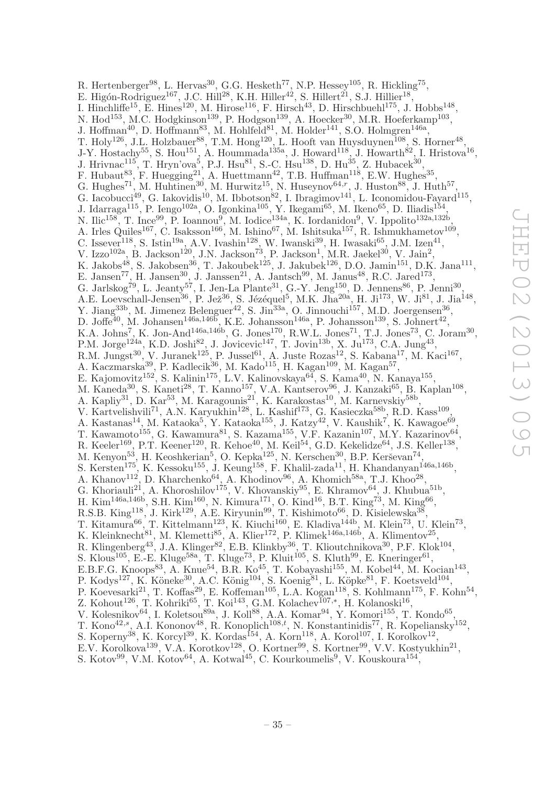R. Hertenberger<sup>98</sup>, L. Hervas<sup>30</sup>, G.G. Hesketh<sup>77</sup>, N.P. Hessey<sup>105</sup>, R. Hickling<sup>75</sup>, E. Higón-Rodriguez<sup>167</sup>, J.C. Hill<sup>28</sup>, K.H. Hiller<sup>42</sup>, S. Hillert<sup>21</sup>, S.J. Hillier<sup>18</sup>, I. Hinchliffe<sup>15</sup>, E. Hines<sup>120</sup>, M. Hirose<sup>116</sup>, F. Hirsch<sup>43</sup>, D. Hirschbuehl<sup>175</sup>, J. Hobbs<sup>148</sup>, N. Hod<sup>153</sup>, M.C. Hodgkinson<sup>139</sup>, P. Hodgson<sup>139</sup>, A. Hoecker<sup>30</sup>, M.R. Hoeferkamp<sup>103</sup>, , J. Hoffman<sup>40</sup>, D. Hoffmann<sup>83</sup>, M. Hohlfeld<sup>81</sup>, M. Holder<sup>141</sup>, S.O. Holmgren<sup>146a</sup>, T. Holy<sup>126</sup>, J.L. Holzbauer<sup>88</sup>, T.M. Hong<sup>120</sup>, L. Hooft van Huysduynen<sup>108</sup>, S. Horner<sup>48</sup>, J-Y. Hostachy<sup>55</sup>, S. Hou<sup>151</sup>, A. Hoummada<sup>135a</sup>, J. Howard<sup>118</sup>, J. Howarth<sup>82</sup>, I. Hristova<sup>16</sup>, J. Hrivnac<sup>115</sup>, T. Hryn'ova<sup>5</sup>, P.J. Hsu<sup>81</sup>, S.-C. Hsu<sup>138</sup>, D. Hu<sup>35</sup>, Z. Hubacek<sup>30</sup>, F. Hubaut<sup>83</sup>, F. Huegging<sup>21</sup>, A. Huettmann<sup>42</sup>, T.B. Huffman<sup>118</sup>, E.W. Hughes<sup>35</sup>, G. Hughes<sup>71</sup>, M. Huhtinen<sup>30</sup>, M. Hurwitz<sup>15</sup>, N. Huseynov<sup>64,r</sup>, J. Huston<sup>88</sup>, J. Huth<sup>57</sup>, G. Iacobucci<sup>49</sup>, G. Iakovidis<sup>10</sup>, M. Ibbotson<sup>82</sup>, I. Ibragimov<sup>141</sup>, L. Iconomidou-Fayard<sup>115</sup>, J. Idarraga<sup>115</sup>, P. Iengo<sup>102a</sup>, O. Igonkina<sup>105</sup>, Y. Ikegami<sup>65</sup>, M. Ikeno<sup>65</sup>, D. Iliadis<sup>154</sup>, N. Ilic<sup>158</sup>, T. Ince<sup>99</sup>, P. Ioannou<sup>9</sup>, M. Iodice<sup>134a</sup>, K. Iordanidou<sup>9</sup>, V. Ippolito<sup>132a,132b</sup>, A. Irles Quiles<sup>167</sup>, C. Isaksson<sup>166</sup>, M. Ishino<sup>67</sup>, M. Ishitsuka<sup>157</sup>, R. Ishmukhametov<sup>109</sup>, C. Issever<sup>118</sup>, S. Istin<sup>19a</sup>, A.V. Ivashin<sup>128</sup>, W. Iwanski<sup>39</sup>, H. Iwasaki<sup>65</sup>, J.M. Izen<sup>41</sup>, V. Izzo<sup>102a</sup>, B. Jackson<sup>120</sup>, J.N. Jackson<sup>73</sup>, P. Jackson<sup>1</sup>, M.R. Jaekel<sup>30</sup>, V. Jain<sup>2</sup>, K. Jakobs<sup>48</sup>, S. Jakobsen<sup>36</sup>, T. Jakoubek<sup>125</sup>, J. Jakubek<sup>126</sup>, D.O. Jamin<sup>151</sup>, D.K. Jana<sup>111</sup>, E. Jansen<sup>77</sup>, H. Jansen<sup>30</sup>, J. Janssen<sup>21</sup>, A. Jantsch<sup>99</sup>, M. Janus<sup>48</sup>, R.C. Jared<sup>173</sup>, G. Jarlskog<sup>79</sup>, L. Jeanty<sup>57</sup>, I. Jen-La Plante<sup>31</sup>, G.-Y. Jeng<sup>150</sup>, D. Jennens<sup>86</sup>, P. Jenni<sup>30</sup>, A.E. Loevschall-Jensen<sup>36</sup>, P. Jež<sup>36</sup>, S. Jézéquel<sup>5</sup>, M.K. Jha<sup>20a</sup>, H. Ji<sup>173</sup>, W. Ji<sup>81</sup>, J. Jia<sup>148</sup>, Y. Jiang<sup>33b</sup>, M. Jimenez Belenguer<sup>42</sup>, S. Jin<sup>33a</sup>, O. Jinnouchi<sup>157</sup>, M.D. Joergensen<sup>36</sup>, D. Joffe<sup>40</sup>, M. Johansen<sup>146a,146b</sup>, K.E. Johansson<sup>146a</sup>, P. Johansson<sup>139</sup>, S. Johnert<sup>42</sup>, K.A. Johns<sup>7</sup>, K. Jon-And<sup>146a,146b</sup>, G. Jones<sup>170</sup>, R.W.L. Jones<sup>71</sup>, T.J. Jones<sup>73</sup>, C. Joram<sup>30</sup>, P.M. Jorge<sup>124a</sup>, K.D. Joshi<sup>82</sup>, J. Jovicevic<sup>147</sup>, T. Jovin<sup>13b</sup>, X. Ju<sup>173</sup>, C.A. Jung<sup>43</sup>, R.M. Jungst<sup>30</sup>, V. Juranek<sup>125</sup>, P. Jussel<sup>61</sup>, A. Juste Rozas<sup>12</sup>, S. Kabana<sup>17</sup>, M. Kaci<sup>167</sup>, A. Kaczmarska<sup>39</sup>, P. Kadlecik<sup>36</sup>, M. Kado<sup>115</sup>, H. Kagan<sup>109</sup>, M. Kagan<sup>57</sup>, E. Kajomovitz<sup>152</sup>, S. Kalinin<sup>175</sup>, L.V. Kalinovskaya<sup>64</sup>, S. Kama<sup>40</sup>, N. Kanaya<sup>155</sup>, M. Kaneda<sup>30</sup>, S. Kaneti<sup>28</sup>, T. Kanno<sup>157</sup>, V.A. Kantserov<sup>96</sup>, J. Kanzaki<sup>65</sup>, B. Kaplan<sup>108</sup>, A. Kapliy<sup>31</sup>, D. Kar<sup>53</sup>, M. Karagounis<sup>21</sup>, K. Karakostas<sup>10</sup>, M. Karnevskiy<sup>58b</sup>, V. Kartvelishvili<sup>71</sup>, A.N. Karyukhin<sup>128</sup>, L. Kashif<sup>173</sup>, G. Kasieczka<sup>58b</sup>, R.D. Kass<sup>109</sup>, A. Kastanas<sup>14</sup>, M. Kataoka<sup>5</sup>, Y. Kataoka<sup>155</sup>, J. Katzy<sup>42</sup>, V. Kaushik<sup>7</sup>, K. Kawagoe<sup>69</sup>, T. Kawamoto<sup>155</sup>, G. Kawamura<sup>81</sup>, S. Kazama<sup>155</sup>, V.F. Kazanin<sup>107</sup>, M.Y. Kazarinov<sup>64</sup>, R. Keeler<sup>169</sup>, P.T. Keener<sup>120</sup>, R. Kehoe<sup>40</sup>, M. Keil<sup>54</sup>, G.D. Kekelidze<sup>64</sup>, J.S. Keller<sup>138</sup>, M. Kenyon<sup>53</sup>, H. Keoshkerian<sup>5</sup>, O. Kepka<sup>125</sup>, N. Kerschen<sup>30</sup>, B.P. Kerševan<sup>74</sup>, S. Kersten<sup>175</sup>, K. Kessoku<sup>155</sup>, J. Keung<sup>158</sup>, F. Khalil-zada<sup>11</sup>, H. Khandanyan<sup>146a,146b</sup>, A. Khanov<sup>112</sup>, D. Kharchenko<sup>64</sup>, A. Khodinov<sup>96</sup>, A. Khomich<sup>58a</sup>, T.J. Khoo<sup>28</sup>, G. Khoriauli<sup>21</sup>, A. Khoroshilov<sup>175</sup>, V. Khovanskiy<sup>95</sup>, E. Khramov<sup>64</sup>, J. Khubua<sup>51b</sup>, H. Kim<sup>146a,146b</sup>, S.H. Kim<sup>160</sup>, N. Kimura<sup>171</sup>, O. Kind<sup>16</sup>, B.T. King<sup>73</sup>, M. King<sup>66</sup>, R.S.B. King<sup>118</sup>, J. Kirk<sup>129</sup>, A.E. Kiryunin<sup>99</sup>, T. Kishimoto<sup>66</sup>, D. Kisielewska<sup>38</sup>, T. Kitamura<sup>66</sup>, T. Kittelmann<sup>123</sup>, K. Kiuchi<sup>160</sup>, E. Kladiva<sup>144b</sup>, M. Klein<sup>73</sup>, U. Klein<sup>73</sup>, K. Kleinknecht $^{81}$ , M. Klemetti $^{85}$ , A. Klier<sup>172</sup>, P. Klimek<sup>146a,146b</sup>, A. Klimentov<sup>25</sup>, R. Klingenberg<sup>43</sup>, J.A. Klinger<sup>82</sup>, E.B. Klinkby<sup>36</sup>, T. Klioutchnikova<sup>30</sup>, P.F. Klok<sup>104</sup>, S. Klous<sup>105</sup>, E.-E. Kluge<sup>58a</sup>, T. Kluge<sup>73</sup>, P. Kluit<sup>105</sup>, S. Kluth<sup>99</sup>, E. Kneringer<sup>61</sup>, E.B.F.G. Knoops<sup>83</sup>, A. Knue<sup>54</sup>, B.R. Ko<sup>45</sup>, T. Kobayashi<sup>155</sup>, M. Kobel<sup>44</sup>, M. Kocian<sup>143</sup>, P. Kodys<sup>127</sup>, K. Köneke<sup>30</sup>, A.C. König<sup>104</sup>, S. Koenig<sup>81</sup>, L. Köpke<sup>81</sup>, F. Koetsveld<sup>104</sup>, P. Koevesarki<sup>21</sup>, T. Koffas<sup>29</sup>, E. Koffeman<sup>105</sup>, L.A. Kogan<sup>118</sup>, S. Kohlmann<sup>175</sup>, F. Kohn<sup>54</sup>, Z. Kohout<sup>126</sup>, T. Kohriki<sup>65</sup>, T. Koi<sup>143</sup>, G.M. Kolachev<sup>107,\*</sup>, H. Kolanoski<sup>16</sup>, V. Kolesnikov<sup>64</sup>, I. Koletsou<sup>89a</sup>, J. Koll<sup>88</sup>, A.A. Komar<sup>94</sup>, Y. Komori<sup>155</sup>, T. Kondo<sup>65</sup>, T. Kono<sup>42,s</sup>, A.I. Kononov<sup>48</sup>, R. Konoplich<sup>108,t</sup>, N. Konstantinidis<sup>77</sup>, R. Kopeliansky<sup>152</sup>, S. Koperny<sup>38</sup>, K. Korcyl<sup>39</sup>, K. Kordas<sup>154</sup>, A. Korn<sup>118</sup>, A. Korol<sup>107</sup>, I. Korolkov<sup>12</sup>, E.V. Korolkova<sup>139</sup>, V.A. Korotkov<sup>128</sup>, O. Kortner<sup>99</sup>, S. Kortner<sup>99</sup>, V.V. Kostyukhin<sup>21</sup>,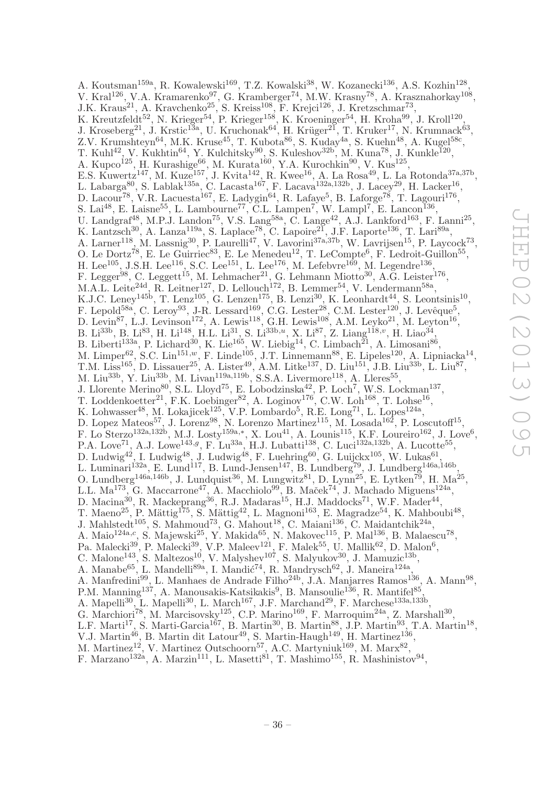A. Koutsman<sup>159a</sup>, R. Kowalewski<sup>169</sup>, T.Z. Kowalski<sup>38</sup>, W. Kozanecki<sup>136</sup>, A.S. Kozhin<sup>128</sup>, V. Kral<sup>126</sup>, V.A. Kramarenko<sup>97</sup>, G. Kramberger<sup>74</sup>, M.W. Krasny<sup>78</sup>, A. Krasznahorkay<sup>108</sup>, J.K. Kraus<sup>21</sup>, A. Kravchenko<sup>25</sup>, S. Kreiss<sup>108</sup>, F. Krejci<sup>126</sup>, J. Kretzschmar<sup>73</sup>, K. Kreutzfeldt<sup>52</sup>, N. Krieger<sup>54</sup>, P. Krieger<sup>158</sup>, K. Kroeninger<sup>54</sup>, H. Kroha<sup>99</sup>, J. Kroll<sup>120</sup>, J. Kroseberg<sup>21</sup>, J. Krstic<sup>13</sup>a, U. Kruchonak<sup>64</sup>, H. Krüger<sup>21</sup>, T. Kruker<sup>17</sup>, N. Krumnack<sup>63</sup>, Z.V. Krumshteyn<sup>64</sup>, M.K. Kruse<sup>45</sup>, T. Kubota<sup>86</sup>, S. Kuday<sup>4a</sup>, S. Kuehn<sup>48</sup>, A. Kugel<sup>58c</sup>, T. Kuhl<sup>42</sup>, V. Kukhtin<sup>64</sup>, Y. Kulchitsky<sup>90</sup>, S. Kuleshov<sup>32b</sup>, M. Kuna<sup>78</sup>, J. Kunkle<sup>120</sup>, A. Kupco<sup>125</sup>, H. Kurashige<sup>66</sup>, M. Kurata<sup>160</sup>, Y.A. Kurochkin<sup>90</sup>, V. Kus<sup>125</sup>, E.S. Kuwertz<sup>147</sup>, M. Kuze<sup>157</sup>, J. Kvita<sup>142</sup>, R. Kwee<sup>16</sup>, A. La Rosa<sup>49</sup>, L. La Rotonda<sup>37a,37b</sup>, L. Labarga<sup>80</sup>, S. Lablak<sup>135a</sup>, C. Lacasta<sup>167</sup>, F. Lacava<sup>132a,132b</sup>, J. Lacey<sup>29</sup>, H. Lacker<sup>16</sup>, D. Lacour<sup>78</sup>, V.R. Lacuesta<sup>167</sup>, E. Ladygin<sup>64</sup>, R. Lafaye<sup>5</sup>, B. Laforge<sup>78</sup>, T. Lagouri<sup>176</sup>, S. Lai<sup>48</sup>, E. Laisne<sup>55</sup>, L. Lambourne<sup>77</sup>, C.L. Lampen<sup>7</sup>, W. Lampl<sup>7</sup>, E. Lancon<sup>136</sup>, U. Landgraf<sup>48</sup>, M.P.J. Landon<sup>75</sup>, V.S. Lang<sup>58a</sup>, C. Lange<sup>42</sup>, A.J. Lankford<sup>163</sup>, F. Lanni<sup>25</sup>, K. Lantzsch<sup>30</sup>, A. Lanza<sup>119a</sup>, S. Laplace<sup>78</sup>, C. Lapoire<sup>21</sup>, J.F. Laporte<sup>136</sup>, T. Lari<sup>89a</sup>, A. Larner<sup>118</sup>, M. Lassnig<sup>30</sup>, P. Laurelli<sup>47</sup>, V. Lavorini<sup>37a,37b</sup>, W. Lavrijsen<sup>15</sup>, P. Laycock<sup>73</sup>, O. Le Dortz<sup>78</sup>, E. Le Guirriec<sup>83</sup>, E. Le Menedeu<sup>12</sup>, T. LeCompte<sup>6</sup>, F. Ledroit-Guillon<sup>55</sup> , H. Lee<sup>105</sup>, J.S.H. Lee<sup>116</sup>, S.C. Lee<sup>151</sup>, L. Lee<sup>176</sup>, M. Lefebvre<sup>169</sup>, M. Legendre<sup>136</sup>, F. Legger<sup>98</sup>, C. Leggett<sup>15</sup>, M. Lehmacher<sup>21</sup>, G. Lehmann Miotto<sup>30</sup>, A.G. Leister<sup>176</sup>, M.A.L. Leite<sup>24d</sup>, R. Leitner<sup>127</sup>, D. Lellouch<sup>172</sup>, B. Lemmer<sup>54</sup>, V. Lendermann<sup>58a</sup>, K.J.C. Leney<sup>145b</sup>, T. Lenz<sup>105</sup>, G. Lenzen<sup>175</sup>, B. Lenzi<sup>30</sup>, K. Leonhardt<sup>44</sup>, S. Leontsinis<sup>10</sup>, F. Lepold<sup>58a</sup>, C. Leroy<sup>93</sup>, J-R. Lessard<sup>169</sup>, C.G. Lester<sup>28</sup>, C.M. Lester<sup>120</sup>, J. Levêque<sup>5</sup>, D. Levin<sup>87</sup>, L.J. Levinson<sup>172</sup>, A. Lewis<sup>118</sup>, G.H. Lewis<sup>108</sup>, A.M. Leyko<sup>21</sup>, M. Leyton<sup>16</sup>, B. Li<sup>33b</sup>, B. Li<sup>83</sup>, H. Li<sup>148</sup>, H.L. Li<sup>31</sup>, S. Li<sup>33b,u</sup>, X. Li<sup>87</sup>, Z. Liang<sup>118,v</sup>, H. Liao<sup>34</sup>, B. Liberti<sup>133a</sup>, P. Lichard<sup>30</sup>, K. Lie<sup>165</sup>, W. Liebig<sup>14</sup>, C. Limbach<sup>21</sup>, A. Limosani<sup>86</sup>, M. Limper<sup>62</sup>, S.C. Lin<sup>151,*w*</sup>, F. Linde<sup>105</sup>, J.T. Linnemann<sup>88</sup>, E. Lipeles<sup>120</sup>, A. Lipniacka<sup>14</sup>, T.M. Liss<sup>165</sup>, D. Lissauer<sup>25</sup>, A. Lister<sup>49</sup>, A.M. Litke<sup>137</sup>, D. Liu<sup>151</sup>, J.B. Liu<sup>33b</sup>, L. Liu<sup>87</sup>, M. Liu<sup>33b</sup>, Y. Liu<sup>33b</sup>, M. Livan<sup>119a,119b</sup>, S.S.A. Livermore<sup>118</sup>, A. Lleres<sup>55</sup>, J. Llorente Merino<sup>80</sup>, S.L. Lloyd<sup>75</sup>, E. Lobodzinska<sup>42</sup>, P. Loch<sup>7</sup>, W.S. Lockman<sup>137</sup>, T. Loddenkoetter<sup>21</sup>, F.K. Loebinger<sup>82</sup>, A. Loginov<sup>176</sup>, C.W. Loh<sup>168</sup>, T. Lohse<sup>16</sup>, K. Lohwasser<sup>48</sup>, M. Lokajicek<sup>125</sup>, V.P. Lombardo<sup>5</sup>, R.E. Long<sup>71</sup>, L. Lopes<sup>124a</sup>, D. Lopez Mateos<sup>57</sup>, J. Lorenz<sup>98</sup>, N. Lorenzo Martinez<sup>115</sup>, M. Losada<sup>162</sup>, P. Loscutoff<sup>15</sup>, F. Lo Sterzo<sup>132a,132b</sup>, M.J. Losty<sup>159a,\*</sup>, X. Lou<sup>41</sup>, A. Lounis<sup>115</sup>, K.F. Loureiro<sup>162</sup>, J. Love<sup>6</sup>, P.A. Love<sup>71</sup>, A.J. Lowe<sup>143,g</sup>, F. Lu<sup>33a</sup>, H.J. Lubatti<sup>138</sup>, C. Luci<sup>132a,132b</sup>, A. Lucotte<sup>55</sup>, D. Ludwig<sup>42</sup>, I. Ludwig<sup>48</sup>, J. Ludwig<sup>48</sup>, F. Luehring<sup>60</sup>, G. Luijckx<sup>105</sup>, W. Lukas<sup>61</sup>, L. Luminari<sup>132a</sup>, E. Lund<sup>117</sup>, B. Lund-Jensen<sup>147</sup>, B. Lundberg<sup>79</sup>, J. Lundberg<sup>146a,146b</sup>, O. Lundberg<sup>146a,146b</sup>, J. Lundquist<sup>36</sup>, M. Lungwitz<sup>81</sup>, D. Lynn<sup>25</sup>, E. Lytken<sup>79</sup>, H. Ma<sup>25</sup>, L.L. Ma<sup>173</sup>, G. Maccarrone<sup>47</sup>, A. Macchiolo<sup>99</sup>, B. Maček<sup>74</sup>, J. Machado Miguens<sup>124a</sup>, D. Macina<sup>30</sup>, R. Mackeprang<sup>36</sup>, R.J. Madaras<sup>15</sup>, H.J. Maddocks<sup>71</sup>, W.F. Mader<sup>44</sup>, T. Maeno<sup>25</sup>, P. Mättig<sup>175</sup>, S. Mättig<sup>42</sup>, L. Magnoni<sup>163</sup>, E. Magradze<sup>54</sup>, K. Mahboubi<sup>48</sup>, J. Mahlstedt<sup>105</sup>, S. Mahmoud<sup>73</sup>, G. Mahout<sup>18</sup>, C. Maiani<sup>136</sup>, C. Maidantchik<sup>24a</sup>, A. Maio<sup>124a,c</sup>, S. Majewski<sup>25</sup>, Y. Makida<sup>65</sup>, N. Makovec<sup>115</sup>, P. Mal<sup>136</sup>, B. Malaescu<sup>78</sup>, Pa. Malecki<sup>39</sup>, P. Malecki<sup>39</sup>, V.P. Maleev<sup>121</sup>, F. Malek<sup>55</sup>, U. Mallik<sup>62</sup>, D. Malon<sup>6</sup>, C. Malone<sup>143</sup>, S. Maltezos<sup>10</sup>, V. Malyshev<sup>107</sup>, S. Malyukov<sup>30</sup>, J. Mamuzic<sup>13b</sup>, A. Manabe<sup>65</sup>, L. Mandelli<sup>89a</sup>, I. Mandić<sup>74</sup>, R. Mandrysch<sup>62</sup>, J. Maneira<sup>124a</sup>, A. Manfredini<sup>99</sup>, L. Manhaes de Andrade Filho<sup>24b</sup>, J.A. Manjarres Ramos<sup>136</sup>, A. Mann<sup>98</sup>, P.M. Manning<sup>137</sup>, A. Manousakis-Katsikakis<sup>9</sup>, B. Mansoulie<sup>136</sup>, R. Mantifel<sup>85</sup>, A. Mapelli<sup>30</sup>, L. Mapelli<sup>30</sup>, L. March<sup>167</sup>, J.F. Marchand<sup>29</sup>, F. Marchese<sup>133a,133b</sup>, G. Marchiori<sup>78</sup>, M. Marcisovsky<sup>125</sup>, C.P. Marino<sup>169</sup>, F. Marroquim<sup>24a</sup>, Z. Marshall<sup>30</sup>, L.F. Marti<sup>17</sup>, S. Marti-Garcia<sup>167</sup>, B. Martin<sup>30</sup>, B. Martin<sup>88</sup>, J.P. Martin<sup>93</sup>, T.A. Martin<sup>18</sup>, V.J. Martin<sup>46</sup>, B. Martin dit Latour<sup>49</sup>, S. Martin-Haugh<sup>149</sup>, H. Martinez<sup>136</sup>, M. Martinez<sup>12</sup>, V. Martinez Outschoorn<sup>57</sup>, A.C. Martyniuk<sup>169</sup>, M. Marx<sup>82</sup>,

F. Marzano<sup>132a</sup>, A. Marzin<sup>111</sup>, L. Masetti<sup>81</sup>, T. Mashimo<sup>155</sup>, R. Mashinistov<sup>94</sup>,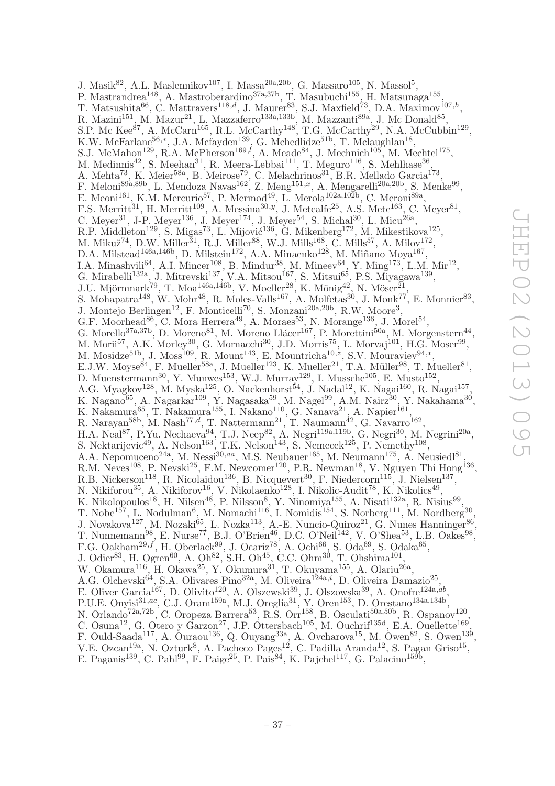J. Masik $^{82}$ , A.L. Maslennikov<sup>107</sup>, I. Massa<sup>20a, 20b</sup>, G. Massaro<sup>105</sup>, N. Massol<sup>5</sup>, P. Mastrandrea<sup>148</sup>, A. Mastroberardino<sup>37a,37b</sup>, T. Masubuchi<sup>155</sup>, H. Matsunaga<sup>155</sup>, T. Matsushita<sup>66</sup>, C. Mattravers<sup>118,d</sup>, J. Maurer<sup>83</sup>, S.J. Maxfield<sup>73</sup>, D.A. Maximov<sup>107,h</sup>, R. Mazini<sup>151</sup>, M. Mazur<sup>21</sup>, L. Mazzaferro<sup>133a,133b</sup>, M. Mazzanti<sup>89a</sup>, J. Mc Donald<sup>85</sup>, S.P. Mc Kee<sup>87</sup>, A. McCarn<sup>165</sup>, R.L. McCarthy<sup>148</sup>, T.G. McCarthy<sup>29</sup>, N.A. McCubbin<sup>129</sup>, K.W. McFarlane<sup>56,\*</sup>, J.A. Mcfayden<sup>139</sup>, G. Mchedlidze<sup>51b</sup>, T. Mclaughlan<sup>18</sup>, S.J. McMahon<sup>129</sup>, R.A. McPherson<sup>169, $l$ </sup>, A. Meade<sup>84</sup>, J. Mechnich<sup>105</sup>, M. Mechtel<sup>175</sup>, M. Medinnis<sup>42</sup>, S. Meehan<sup>31</sup>, R. Meera-Lebbai<sup>111</sup>, T. Meguro<sup>116</sup>, S. Mehlhase<sup>36</sup>, A. Mehta<sup>73</sup>, K. Meier<sup>58a</sup>, B. Meirose<sup>79</sup>, C. Melachrinos<sup>31</sup>, B.R. Mellado Garcia<sup>173</sup>, F. Meloni<sup>89a,89b</sup>, L. Mendoza Navas<sup>162</sup>, Z. Meng<sup>151,x</sup>, A. Mengarelli<sup>20a,20b</sup>, S. Menke<sup>99</sup>, E. Meoni<sup>161</sup>, K.M. Mercurio<sup>57</sup>, P. Mermod<sup>49</sup>, L. Merola<sup>102a,102b</sup>, C. Meroni<sup>89a</sup>, F.S. Merritt<sup>31</sup>, H. Merritt<sup>109</sup>, A. Messina<sup>30,y</sup>, J. Metcalfe<sup>25</sup>, A.S. Mete<sup>163</sup>, C. Meyer<sup>81</sup>, C. Meyer<sup>31</sup>, J-P. Meyer<sup>136</sup>, J. Meyer<sup>174</sup>, J. Meyer<sup>54</sup>, S. Michal<sup>30</sup>, L. Micu<sup>26a</sup>, R.P. Middleton<sup>129</sup>, S. Migas<sup>73</sup>, L. Mijović<sup>136</sup>, G. Mikenberg<sup>172</sup>, M. Mikestikova<sup>125</sup>, M. Mikuž<sup>74</sup>, D.W. Miller<sup>31</sup>, R.J. Miller<sup>88</sup>, W.J. Mills<sup>168</sup>, C. Mills<sup>57</sup>, A. Milov<sup>172</sup>, D.A. Milstead<sup>146a,146b</sup>, D. Milstein<sup>172</sup>, A.A. Minaenko<sup>128</sup>, M. Miñano Moya<sup>167</sup>, I.A. Minashvili<sup>64</sup>, A.I. Mincer<sup>108</sup>, B. Mindur<sup>38</sup>, M. Mineev<sup>64</sup>, Y. Ming<sup>173</sup>, L.M. Mir<sup>12</sup>, G. Mirabelli<sup>132a</sup>, J. Mitrevski<sup>137</sup>, V.A. Mitsou<sup>167</sup>, S. Mitsui<sup>65</sup>, P.S. Miyagawa<sup>139</sup>, J.U. Mjörnmark<sup>79</sup>, T. Moa<sup>146a,146b</sup>, V. Moeller<sup>28</sup>, K. Mönig<sup>42</sup>, N. Möser<sup>21</sup>, S. Mohapatra<sup>148</sup>, W. Mohr<sup>48</sup>, R. Moles-Valls<sup>167</sup>, A. Molfetas<sup>30</sup>, J. Monk<sup>77</sup>, E. Monnier<sup>83</sup>, J. Montejo Berlingen<sup>12</sup>, F. Monticelli<sup>70</sup>, S. Monzani<sup>20a, 20b</sup>, R.W. Moore<sup>3</sup>, G.F. Moorhead<sup>86</sup>, C. Mora Herrera<sup>49</sup>, A. Moraes<sup>53</sup>, N. Morange<sup>136</sup>, J. Morel<sup>54</sup>, G. Morello<sup>37a,37b</sup>, D. Moreno<sup>81</sup>, M. Moreno Llácer<sup>167</sup>, P. Morettini<sup>50a</sup>, M. Morgenstern<sup>44</sup>, M. Morii<sup>57</sup>, A.K. Morley<sup>30</sup>, G. Mornacchi<sup>30</sup>, J.D. Morris<sup>75</sup>, L. Morvaj<sup>101</sup>, H.G. Moser<sup>99</sup>, M. Mosidze<sup>51b</sup>, J. Moss<sup>109</sup>, R. Mount<sup>143</sup>, E. Mountricha<sup>10, z</sup>, S.V. Mouraviev<sup>94,\*</sup>, E.J.W. Moyse<sup>84</sup>, F. Mueller<sup>58a</sup>, J. Mueller<sup>123</sup>, K. Mueller<sup>21</sup>, T.A. Müller<sup>98</sup>, T. Mueller<sup>81</sup>, D. Muenstermann<sup>30</sup>, Y. Munwes<sup>153</sup>, W.J. Murray<sup>129</sup>, I. Mussche<sup>105</sup>, E. Musto<sup>152</sup>, A.G. Myagkov<sup>128</sup>, M. Myska<sup>125</sup>, O. Nackenhorst<sup>54</sup>, J. Nadal<sup>12</sup>, K. Nagai<sup>160</sup>, R. Nagai<sup>157</sup>, K. Nagano $^{65}$ , A. Nagarkar $^{109}$ , Y. Nagasaka $^{59}$ , M. Nagel $^{99}$ , A.M. Nairz $^{30}$ , Y. Nakahama $^{30}$ , K. Nakamura<sup>65</sup>, T. Nakamura<sup>155</sup>, I. Nakano<sup>110</sup>, G. Nanava<sup>21</sup>, A. Napier<sup>161</sup>, R. Narayan<sup>58b</sup>, M. Nash<sup>77,d</sup>, T. Nattermann<sup>21</sup>, T. Naumann<sup>42</sup>, G. Navarro<sup>162</sup>, H.A. Neal<sup>87</sup>, P.Yu. Nechaeva<sup>94</sup>, T.J. Neep<sup>82</sup>, A. Negri<sup>119a,119b</sup>, G. Negri<sup>30</sup>, M. Negrini<sup>20a</sup>, S. Nektarijevic<sup>49</sup>, A. Nelson<sup>163</sup>, T.K. Nelson<sup>143</sup>, S. Nemecek<sup>125</sup>, P. Nemethy<sup>108</sup>, A.A. Nepomuceno<sup>24a</sup>, M. Nessi<sup>30,aa</sup>, M.S. Neubauer<sup>165</sup>, M. Neumann<sup>175</sup>, A. Neusiedl<sup>81</sup>, R.M. Neves<sup>108</sup>, P. Nevski<sup>25</sup>, F.M. Newcomer<sup>120</sup>, P.R. Newman<sup>18</sup>, V. Nguyen Thi Hong<sup>136</sup>, R.B. Nickerson<sup>118</sup>, R. Nicolaidou<sup>136</sup>, B. Nicquevert<sup>30</sup>, F. Niedercorn<sup>115</sup>, J. Nielsen<sup>137</sup>, N. Nikiforou<sup>35</sup>, A. Nikiforov<sup>16</sup>, V. Nikolaenko<sup>128</sup>, I. Nikolic-Audit<sup>78</sup>, K. Nikolics<sup>49</sup>, K. Nikolopoulos<sup>18</sup>, H. Nilsen<sup>48</sup>, P. Nilsson<sup>8</sup>, Y. Ninomiya<sup>155</sup>, A. Nisati<sup>132a</sup>, R. Nisius<sup>99</sup>, T. Nobe<sup>157</sup>, L. Nodulman<sup>6</sup>, M. Nomachi<sup>116</sup>, I. Nomidis<sup>154</sup>, S. Norberg<sup>111</sup>, M. Nordberg<sup>30</sup>, J. Novakova<sup>127</sup>, M. Nozaki<sup>65</sup>, L. Nozka<sup>113</sup>, A.-E. Nuncio-Quiroz<sup>21</sup>, G. Nunes Hanninger<sup>86</sup>, T. Nunnemann<sup>98</sup>, E. Nurse<sup>77</sup>, B.J. O'Brien<sup>46</sup>, D.C. O'Neil<sup>142</sup>, V. O'Shea<sup>53</sup>, L.B. Oakes<sup>98</sup>, F.G. Oakham<sup>29,f</sup>, H. Oberlack<sup>99</sup>, J. Ocariz<sup>78</sup>, A. Ochi<sup>66</sup>, S. Oda<sup>69</sup>, S. Odaka<sup>65</sup>, J. Odier<sup>83</sup>, H. Ogren<sup>60</sup>, A. Oh<sup>82</sup>, S.H. Oh<sup>45</sup>, C.C. Ohm<sup>30</sup>, T. Ohshima<sup>101</sup>, W. Okamura<sup>116</sup>, H. Okawa<sup>25</sup>, Y. Okumura<sup>31</sup>, T. Okuyama<sup>155</sup>, A. Olariu<sup>26a</sup>, A.G. Olchevski<sup>64</sup>, S.A. Olivares Pino<sup>32a</sup>, M. Oliveira<sup>124a,*i*</sup>, D. Oliveira Damazio<sup>25</sup>, E. Oliver Garcia<sup>167</sup>, D. Olivito<sup>120</sup>, A. Olszewski<sup>39</sup>, J. Olszowska<sup>39</sup>, A. Onofre<sup>124a,ab</sup>, P.U.E. Onyisi<sup>31,ac</sup>, C.J. Oram<sup>159a</sup>, M.J. Oreglia<sup>31</sup>, Y. Oren<sup>153</sup>, D. Orestano<sup>134a,134b</sup>, N. Orlando<sup>72a,72b</sup>, C. Oropeza Barrera<sup>53</sup>, R.S. Orr<sup>158</sup>, B. Osculati<sup>50a,50b</sup>, R. Ospanov<sup>120</sup>, C. Osuna<sup>12</sup>, G. Otero y Garzon<sup>27</sup>, J.P. Ottersbach<sup>105</sup>, M. Ouchrif<sup>135d</sup>, E.A. Ouellette<sup>169</sup>, F. Ould-Saada<sup>117</sup>, A. Ouraou<sup>136</sup>, Q. Ouyang<sup>33a</sup>, A. Ovcharova<sup>15</sup>, M. Owen<sup>82</sup>, S. Owen<sup>139</sup>,

V.E. Ozcan<sup>19a</sup>, N. Ozturk<sup>8</sup>, A. Pacheco Pages<sup>12</sup>, C. Padilla Aranda<sup>12</sup>, S. Pagan Griso<sup>15</sup>, E. Paganis<sup>139</sup>, C. Pahl<sup>99</sup>, F. Paige<sup>25</sup>, P. Pais<sup>84</sup>, K. Pajchel<sup>117</sup>, G. Palacino<sup>159b</sup>,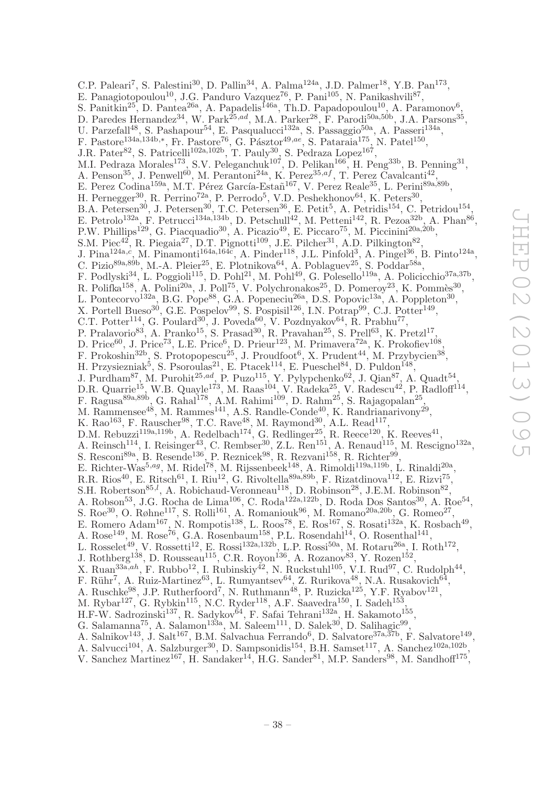C.P. Paleari<sup>7</sup>, S. Palestini<sup>30</sup>, D. Pallin<sup>34</sup>, A. Palma<sup>124a</sup>, J.D. Palmer<sup>18</sup>, Y.B. Pan<sup>173</sup>, E. Panagiotopoulou<sup>10</sup>, J.G. Panduro Vazquez<sup>76</sup>, P. Pani<sup>105</sup>, N. Panikashvili<sup>87</sup>, S. Panitkin<sup>25</sup>, D. Pantea<sup>26a</sup>, A. Papadelis<sup>146a</sup>, Th.D. Papadopoulou<sup>10</sup>, A. Paramonov<sup>6</sup>, D. Paredes Hernandez<sup>34</sup>, W. Park<sup>25,ad</sup>, M.A. Parker<sup>28</sup>, F. Parodi<sup>50a,50b</sup>, J.A. Parsons<sup>35</sup>, U. Parzefall<sup>48</sup>, S. Pashapour<sup>54</sup>, E. Pasqualucci<sup>132a</sup>, S. Passaggio<sup>50a</sup>, A. Passeri<sup>134a</sup>, F. Pastore<sup>134a,134b,\*</sup>, Fr. Pastore<sup>76</sup>, G. Pásztor<sup>49,ae</sup>, S. Pataraia<sup>175</sup>, N. Patel<sup>150</sup>, J.R. Pater<sup>82</sup>, S. Patricelli<sup>102a,102b</sup>, T. Pauly<sup>30</sup>, S. Pedraza Lopez<sup>167</sup>, M.I. Pedraza Morales<sup>173</sup>, S.V. Peleganchuk<sup>107</sup>, D. Pelikan<sup>166</sup>, H. Peng<sup>33b</sup>, B. Penning<sup>31</sup>, A. Penson<sup>35</sup>, J. Penwell<sup>60</sup>, M. Perantoni<sup>24a</sup>, K. Perez<sup>35,af</sup>, T. Perez Cavalcanti<sup>42</sup>, E. Perez Codina<sup>159a</sup>, M.T. Pérez García-Estañ<sup>167</sup>, V. Perez Reale<sup>35</sup>, L. Perini<sup>89a,89b</sup>, H. Pernegger<sup>30</sup>, R. Perrino<sup>72a</sup>, P. Perrodo<sup>5</sup>, V.D. Peshekhonov<sup>64</sup>, K. Peters<sup>30</sup>, B.A. Petersen<sup>30</sup>, J. Petersen<sup>30</sup>, T.C. Petersen<sup>36</sup>, E. Petit<sup>5</sup>, A. Petridis<sup>154</sup>, C. Petridou<sup>154</sup>, E. Petrolo<sup>132a</sup>, F. Petrucci<sup>134a,134b</sup>, D. Petschull<sup>42</sup>, M. Petteni<sup>142</sup>, R. Pezoa<sup>32b</sup>, A. Phan<sup>86</sup>, P.W. Phillips<sup>129</sup>, G. Piacquadio<sup>30</sup>, A. Picazio<sup>49</sup>, E. Piccaro<sup>75</sup>, M. Piccinini<sup>20a,20b</sup>, S.M. Piec<sup>42</sup>, R. Piegaia<sup>27</sup>, D.T. Pignotti<sup>109</sup>, J.E. Pilcher<sup>31</sup>, A.D. Pilkington<sup>82</sup>, J. Pina<sup>124a,c</sup>, M. Pinamonti<sup>164a,164c</sup>, A. Pinder<sup>118</sup>, J.L. Pinfold<sup>3</sup>, A. Pingel<sup>36</sup>, B. Pinto<sup>124a</sup>, C. Pizio<sup>89a, 89b</sup>, M.-A. Pleier<sup>25</sup>, E. Plotnikova<sup>64</sup>, A. Poblaguev<sup>25</sup>, S. Poddar<sup>58a</sup>, F. Podlyski<sup>34</sup>, L. Poggioli<sup>115</sup>, D. Pohl<sup>21</sup>, M. Pohl<sup>49</sup>, G. Polesello<sup>119a</sup>, A. Policicchio<sup>37a,37b</sup>, R. Polifka<sup>158</sup>, A. Polini<sup>20a</sup>, J. Poll<sup>75</sup>, V. Polychronakos<sup>25</sup>, D. Pomeroy<sup>23</sup>, K. Pommès<sup>30</sup>, L. Pontecorvo<sup>132a</sup>, B.G. Pope<sup>88</sup>, G.A. Popeneciu<sup>26a</sup>, D.S. Popovic<sup>13a</sup>, A. Poppleton<sup>30</sup>, X. Portell Bueso<sup>30</sup>, G.E. Pospelov<sup>99</sup>, S. Pospisil<sup>126</sup>, I.N. Potrap<sup>99</sup>, C.J. Potter<sup>149</sup>, C.T. Potter<sup>114</sup>, G. Poulard<sup>30</sup>, J. Poveda<sup>60</sup>, V. Pozdnyakov<sup>64</sup>, R. Prabhu<sup>77</sup>, P. Pralavorio<sup>83</sup>, A. Pranko<sup>15</sup>, S. Prasad<sup>30</sup>, R. Pravahan<sup>25</sup>, S. Prell<sup>63</sup>, K. Pretzl<sup>17</sup>, D. Price<sup>60</sup>, J. Price<sup>73</sup>, L.E. Price<sup>6</sup>, D. Prieur<sup>123</sup>, M. Primavera<sup>72a</sup>, K. Prokofiev<sup>108</sup>, F. Prokoshin<sup>32b</sup>, S. Protopopescu<sup>25</sup>, J. Proudfoot<sup>6</sup>, X. Prudent<sup>44</sup>, M. Przybycien<sup>38</sup>, H. Przysiezniak<sup>5</sup>, S. Psoroulas<sup>21</sup>, E. Ptacek<sup>114</sup>, E. Pueschel<sup>84</sup>, D. Puldon<sup>148</sup>, J. Purdham<sup>87</sup>, M. Purohit<sup>25,ad</sup>, P. Puzo<sup>115</sup>, Y. Pylypchenko<sup>62</sup>, J. Qian<sup>87</sup>, A. Quadt<sup>54</sup>, D.R. Quarrie<sup>15</sup>, W.B. Quayle<sup>173</sup>, M. Raas<sup>104</sup>, V. Radeka<sup>25</sup>, V. Radescu<sup>42</sup>, P. Radloff<sup>114</sup>, F. Ragusa<sup>89a,89b</sup>, G. Rahal<sup>178</sup>, A.M. Rahimi<sup>109</sup>, D. Rahm<sup>25</sup>, S. Rajagopalan<sup>25</sup>, M. Rammensee<sup>48</sup>, M. Rammes<sup>141</sup>, A.S. Randle-Conde<sup>40</sup>, K. Randrianarivony<sup>29</sup>, K. Rao<sup>163</sup>, F. Rauscher<sup>98</sup>, T.C. Rave<sup>48</sup>, M. Raymond<sup>30</sup>, A.L. Read<sup>117</sup>, D.M. Rebuzzi<sup>119a,119b</sup>, A. Redelbach<sup>174</sup>, G. Redlinger<sup>25</sup>, R. Reece<sup>120</sup>, K. Reeves<sup>41</sup>, A. Reinsch<sup>114</sup>, I. Reisinger<sup>43</sup>, C. Rembser<sup>30</sup>, Z.L. Ren<sup>151</sup>, A. Renaud<sup>115</sup>, M. Rescigno<sup>132a</sup>, S. Resconi<sup>89a</sup>, B. Resende<sup>136</sup>, P. Reznicek<sup>98</sup>, R. Rezvani<sup>158</sup>, R. Richter<sup>99</sup>, E. Richter-Was<sup>5,ag</sup>, M. Ridel<sup>78</sup>, M. Rijssenbeek<sup>148</sup>, A. Rimoldi<sup>119a,119b</sup>, L. Rinaldi<sup>20a</sup>, R.R. Rios<sup>40</sup>, E. Ritsch<sup>61</sup>, I. Riu<sup>12</sup>, G. Rivoltella<sup>89a,89b</sup>, F. Rizatdinova<sup>112</sup>, E. Rizvi<sup>75</sup>, S.H. Robertson<sup>85,*l*</sup>, A. Robichaud-Veronneau<sup>118</sup>, D. Robinson<sup>28</sup>, J.E.M. Robinson<sup>82</sup>, A. Robson<sup>53</sup>, J.G. Rocha de Lima<sup>106</sup>, C. Roda<sup>122a,122b</sup>, D. Roda Dos Santos<sup>30</sup>, A. Roe<sup>54</sup>, S. Roe<sup>30</sup>, O. Røhne<sup>117</sup>, S. Rolli<sup>161</sup>, A. Romaniouk<sup>96</sup>, M. Romano<sup>20a,20b</sup>, G. Romeo<sup>27</sup>, E. Romero Adam<sup>167</sup>, N. Rompotis<sup>138</sup>, L. Roos<sup>78</sup>, E. Ros<sup>167</sup>, S. Rosati<sup>132a</sup>, K. Rosbach<sup>49</sup>, A. Rose<sup>149</sup>, M. Rose<sup>76</sup>, G.A. Rosenbaum<sup>158</sup>, P.L. Rosendahl<sup>14</sup>, O. Rosenthal<sup>141</sup>, L. Rosselet<sup>49</sup>, V. Rossetti<sup>12</sup>, E. Rossi<sup>132a,132b</sup>, L.P. Rossi<sup>50a</sup>, M. Rotaru<sup>26a</sup>, I. Roth<sup>172</sup>, J. Rothberg<sup>138</sup>, D. Rousseau<sup>115</sup>, C.R. Royon<sup>136</sup>, A. Rozanov<sup>83</sup>, Y. Rozen<sup>152</sup>, X. Ruan<sup>33a,ah</sup>, F. Rubbo<sup>12</sup>, I. Rubinskiy<sup>42</sup>, N. Ruckstuhl<sup>105</sup>, V.I. Rud<sup>97</sup>, C. Rudolph<sup>44</sup>, F. Rühr<sup>7</sup>, A. Ruiz-Martinez<sup>63</sup>, L. Rumyantsev<sup>64</sup>, Z. Rurikova<sup>48</sup>, N.A. Rusakovich<sup>64</sup>, A. Ruschke<sup>98</sup>, J.P. Rutherfoord<sup>7</sup>, N. Ruthmann<sup>48</sup>, P. Ruzicka<sup>125</sup>, Y.F. Ryabov<sup>121</sup>, M. Rybar<sup>127</sup>, G. Rybkin<sup>115</sup>, N.C. Ryder<sup>118</sup>, A.F. Saavedra<sup>150</sup>, I. Sadeh<sup>153</sup>, H.F-W. Sadrozinski $^{137}$ , R. Sadykov $^{64}$ , F. Safai Tehrani $^{132a}$ , H. Sakamoto<sup>155</sup>, G. Salamanna<sup>75</sup>, A. Salamon<sup>133a</sup>, M. Saleem<sup>111</sup>, D. Salek<sup>30</sup>, D. Salihagic<sup>99</sup>, A. Salnikov<sup>143</sup>, J. Salt<sup>167</sup>, B.M. Salvachua Ferrando<sup>6</sup>, D. Salvatore<sup>37a, 37b</sup>, F. Salvatore<sup>149</sup>,

A. Salvucci<sup>104</sup>, A. Salzburger<sup>30</sup>, D. Sampsonidis<sup>154</sup>, B.H. Samset<sup>117</sup>, A. Sanchez<sup>102a,102b</sup>,

V. Sanchez Martinez<sup>167</sup>, H. Sandaker<sup>14</sup>, H.G. Sander<sup>81</sup>, M.P. Sanders<sup>98</sup>, M. Sandhoff<sup>175</sup>,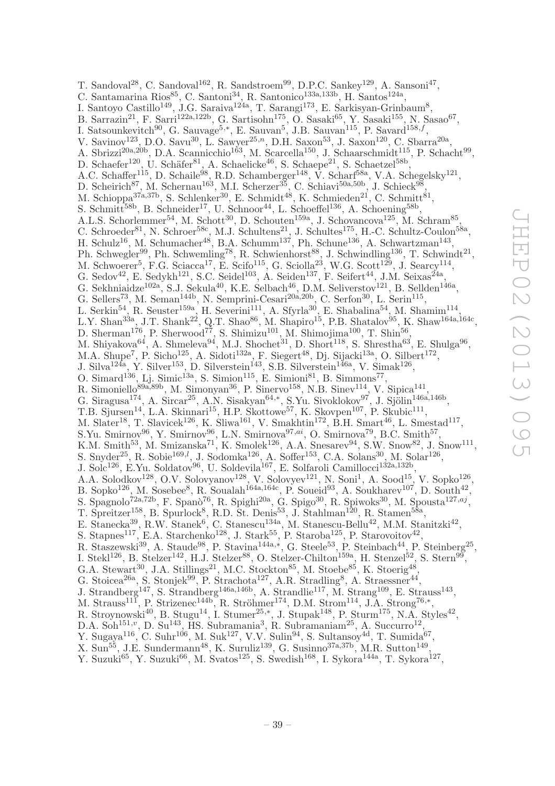T. Sandoval<sup>28</sup>, C. Sandoval<sup>162</sup>, R. Sandstroem<sup>99</sup>, D.P.C. Sankey<sup>129</sup>, A. Sansoni<sup>47</sup>, C. Santamarina Rios<sup>85</sup>, C. Santoni<sup>34</sup>, R. Santonico<sup>133a,133b</sup>, H. Santos<sup>124a</sup>, I. Santoyo Castillo<sup>149</sup>, J.G. Saraiva<sup>124a</sup>, T. Sarangi<sup>173</sup>, E. Sarkisyan-Grinbaum<sup>8</sup>, B. Sarrazin<sup>21</sup>, F. Sarri<sup>122a,122b</sup>, G. Sartisohn<sup>175</sup>, O. Sasaki<sup>65</sup>, Y. Sasaki<sup>155</sup>, N. Sasao<sup>67</sup>, I. Satsounkevitch<sup>90</sup>, G. Sauvage<sup>5,\*</sup>, E. Sauvan<sup>5</sup>, J.B. Sauvan<sup>115</sup>, P. Savard<sup>158,f</sup>, V. Savinov<sup>123</sup>, D.O. Savu<sup>30</sup>, L. Sawyer<sup>25,n</sup>, D.H. Saxon<sup>53</sup>, J. Saxon<sup>120</sup>, C. Sbarra<sup>20a</sup>, A. Sbrizzi<sup>20a,20b</sup>, D.A. Scannicchio<sup>163</sup>, M. Scarcella<sup>150</sup>, J. Schaarschmidt<sup>115</sup>, P. Schacht<sup>99</sup>, D. Schaefer<sup>120</sup>, U. Schäfer<sup>81</sup>, A. Schaelicke<sup>46</sup>, S. Schaepe<sup>21</sup>, S. Schaetzel<sup>58b</sup>, A.C. Schaffer<sup>115</sup>, D. Schaile<sup>98</sup>, R.D. Schamberger<sup>148</sup>, V. Scharf<sup>58a</sup>, V.A. Schegelsky<sup>121</sup>, D. Scheirich<sup>87</sup>, M. Schernau<sup>163</sup>, M.I. Scherzer<sup>35</sup>, C. Schiavi<sup>50a,50b</sup>, J. Schieck<sup>98</sup>, M. Schioppa<sup>37a,37b</sup>, S. Schlenker<sup>30</sup>, E. Schmidt<sup>48</sup>, K. Schmieden<sup>21</sup>, C. Schmitt<sup>81</sup>, S. Schmitt<sup>58b</sup>, B. Schneider<sup>17</sup>, U. Schnoor<sup>44</sup>, L. Schoeffel<sup>136</sup>, A. Schoening<sup>58b</sup>, A.L.S. Schorlemmer<sup>54</sup>, M. Schott<sup>30</sup>, D. Schouten<sup>159a</sup>, J. Schovancova<sup>125</sup>, M. Schram<sup>85</sup>, C. Schroeder<sup>81</sup>, N. Schroer<sup>58c</sup>, M.J. Schultens<sup>21</sup>, J. Schultes<sup>175</sup>, H.-C. Schultz-Coulon<sup>58a</sup>, H. Schulz<sup>16</sup>, M. Schumacher<sup>48</sup>, B.A. Schumm<sup>137</sup>, Ph. Schune<sup>136</sup>, A. Schwartzman<sup>143</sup>, Ph. Schwegler<sup>99</sup>, Ph. Schwemling<sup>78</sup>, R. Schwienhorst<sup>88</sup>, J. Schwindling<sup>136</sup>, T. Schwindt<sup>21</sup>, M. Schwoerer<sup>5</sup>, F.G. Sciacca<sup>17</sup>, E. Scifo<sup>115</sup>, G. Sciolla<sup>23</sup>, W.G. Scott<sup>129</sup>, J. Searcy<sup>114</sup>, G. Sedov<sup>42</sup>, E. Sedykh<sup>121</sup>, S.C. Seidel<sup>103</sup>, A. Seiden<sup>137</sup>, F. Seifert<sup>44</sup>, J.M. Seixas<sup>24a</sup>, G. Sekhniaidze<sup>102a</sup>, S.J. Sekula<sup>40</sup>, K.E. Selbach<sup>46</sup>, D.M. Seliverstov<sup>121</sup>, B. Sellden<sup>146a</sup>, G. Sellers<sup>73</sup>, M. Seman<sup>144b</sup>, N. Semprini-Cesari<sup>20a,20b</sup>, C. Serfon<sup>30</sup>, L. Serin<sup>115</sup>, L. Serkin<sup>54</sup>, R. Seuster<sup>159a</sup>, H. Severini<sup>111</sup>, A. Sfyrla<sup>30</sup>, E. Shabalina<sup>54</sup>, M. Shamim<sup>114</sup>, L.Y. Shan<sup>33a</sup>, J.T. Shank<sup>22</sup>, Q.T. Shao<sup>86</sup>, M. Shapiro<sup>15</sup>, P.B. Shatalov<sup>95</sup>, K. Shaw<sup>164a,164c</sup>, D. Sherman<sup>176</sup>, P. Sherwood<sup>77</sup>, S. Shimizu<sup>101</sup>, M. Shimojima<sup>100</sup>, T. Shin<sup>56</sup>, M. Shiyakova<sup>64</sup>, A. Shmeleva<sup>94</sup>, M.J. Shochet<sup>31</sup>, D. Short<sup>118</sup>, S. Shrestha<sup>63</sup>, E. Shulga<sup>96</sup>, M.A. Shupe<sup>7</sup>, P. Sicho<sup>125</sup>, A. Sidoti<sup>132a</sup>, F. Siegert<sup>48</sup>, Dj. Sijacki<sup>13a</sup>, O. Silbert<sup>172</sup>, J. Silva<sup>124a</sup>, Y. Silver<sup>153</sup>, D. Silverstein<sup>143</sup>, S.B. Silverstein<sup>146a</sup>, V. Simak<sup>126</sup>, O. Simard<sup>136</sup>, Lj. Simic<sup>13a</sup>, S. Simion<sup>115</sup>, E. Simioni<sup>81</sup>, B. Simmons<sup>77</sup>, R. Simoniello<sup>89a,89b</sup>, M. Simonyan<sup>36</sup>, P. Sinervo<sup>158</sup>, N.B. Sinev<sup>114</sup>, V. Sipica<sup>141</sup>, G. Siragusa<sup>174</sup>, A. Sircar<sup>25</sup>, A.N. Sisakyan<sup>64,\*</sup>, S.Yu. Sivoklokov<sup>97</sup>, J. Sjölin<sup>146a,146b</sup>, T.B. Sjursen<sup>14</sup>, L.A. Skinnari<sup>15</sup>, H.P. Skottowe<sup>57</sup>, K. Skovpen<sup>107</sup>, P. Skubic<sup>111</sup>, M. Slater<sup>18</sup>, T. Slavicek<sup>126</sup>, K. Sliwa<sup>161</sup>, V. Smakhtin<sup>172</sup>, B.H. Smart<sup>46</sup>, L. Smestad<sup>117</sup>, S.Yu. Smirnov<sup>96</sup>, Y. Smirnov<sup>96</sup>, L.N. Smirnova<sup>97,ai</sup>, O. Smirnova<sup>79</sup>, B.C. Smith<sup>57</sup>, K.M. Smith<sup>53</sup>, M. Smizanska<sup>71</sup>, K. Smolek<sup>126</sup>, A.A. Snesarev<sup>94</sup>, S.W. Snow<sup>82</sup>, J. Snow<sup>111</sup>, S. Snyder<sup>25</sup>, R. Sobie<sup>169,*l*</sup>, J. Sodomka<sup>126</sup>, A. Soffer<sup>153</sup>, C.A. Solans<sup>30</sup>, M. Solar<sup>126</sup>, J. Solc<sup>126</sup>, E.Yu. Soldatov<sup>96</sup>, U. Soldevila<sup>167</sup>, E. Solfaroli Camillocci<sup>132a,132b</sup>, A.A. Solodkov<sup>128</sup>, O.V. Solovyanov<sup>128</sup>, V. Solovyev<sup>121</sup>, N. Soni<sup>1</sup>, A. Sood<sup>15</sup>, V. Sopko<sup>126</sup>, B. Sopko<sup>126</sup>, M. Sosebee<sup>8</sup>, R. Soualah<sup>164a,164c</sup>, P. Soueid<sup>93</sup>, A. Soukharev<sup>107</sup>, D. South<sup>42</sup>, S. Spagnolo<sup>72a,72b</sup>, F. Spanò<sup>76</sup>, R. Spighi<sup>20a</sup>, G. Spigo<sup>30</sup>, R. Spiwoks<sup>30</sup>, M. Spousta<sup>127,aj</sup>, T. Spreitzer<sup>158</sup>, B. Spurlock<sup>8</sup>, R.D. St. Denis<sup>53</sup>, J. Stahlman<sup>120</sup>, R. Stamen<sup>58a</sup>, E. Stanecka<sup>39</sup>, R.W. Stanek<sup>6</sup>, C. Stanescu<sup>134a</sup>, M. Stanescu-Bellu<sup>42</sup>, M.M. Stanitzki<sup>42</sup>, S. Stapnes<sup>117</sup>, E.A. Starchenko<sup>128</sup>, J. Stark<sup>55</sup>, P. Staroba<sup>125</sup>, P. Starovoitov<sup>42</sup>, R. Staszewski<sup>39</sup>, A. Staude<sup>98</sup>, P. Stavina<sup>144a,\*</sup>, G. Steele<sup>53</sup>, P. Steinbach<sup>44</sup>, P. Steinberg<sup>25</sup>, I. Stekl<sup>126</sup>, B. Stelzer<sup>142</sup>, H.J. Stelzer<sup>88</sup>, O. Stelzer-Chilton<sup>159a</sup>, H. Stenzel<sup>52</sup>, S. Stern<sup>99</sup>, G.A. Stewart<sup>30</sup>, J.A. Stillings<sup>21</sup>, M.C. Stockton<sup>85</sup>, M. Stoebe<sup>85</sup>, K. Stoerig<sup>48</sup>, G. Stoicea<sup>26a</sup>, S. Stonjek<sup>99</sup>, P. Strachota<sup>127</sup>, A.R. Stradling<sup>8</sup>, A. Straessner<sup>44</sup>, J. Strandberg<sup>147</sup>, S. Strandberg<sup>146a,146b</sup>, A. Strandlie<sup>117</sup>, M. Strang<sup>109</sup>, E. Strauss<sup>143</sup>, M. Strauss<sup>111</sup>, P. Strizenec<sup>144b</sup>, R. Ströhmer<sup>174</sup>, D.M. Strom<sup>114</sup>, J.A. Strong<sup>76,\*</sup>, R. Stroynowski<sup>40</sup>, B. Stugu<sup>14</sup>, I. Stumer<sup>25,\*</sup>, J. Stupak<sup>148</sup>, P. Sturm<sup>175</sup>, N.A. Styles<sup>42</sup>, D.A. Soh<sup>151,</sup><sup>v</sup>, D. Su<sup>143</sup>, HS. Subramania<sup>3</sup>, R. Subramaniam<sup>25</sup>, A. Succurro<sup>12</sup>, Y. Sugaya<sup>116</sup>, C. Suhr<sup>106</sup>, M. Suk<sup>127</sup>, V.V. Sulin<sup>94</sup>, S. Sultansoy<sup>4d</sup>, T. Sumida<sup>67</sup>, X. Sun<sup>55</sup>, J.E. Sundermann<sup>48</sup>, K. Suruliz<sup>139</sup>, G. Susinno<sup>37a,37b</sup>, M.R. Sutton<sup>149</sup>,

Y. Suzuki<sup>65</sup>, Y. Suzuki<sup>66</sup>, M. Svatos<sup>125</sup>, S. Swedish<sup>168</sup>, I. Sykora<sup>144a</sup>, T. Sykora<sup>127</sup>,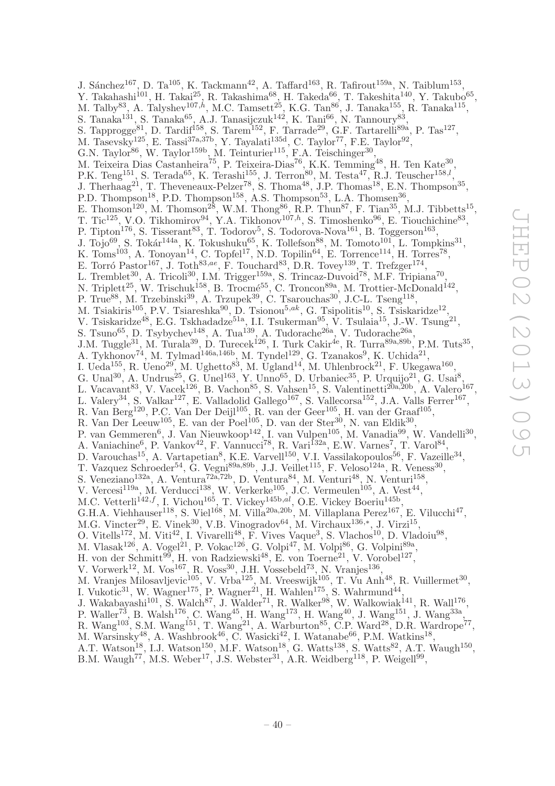J. Sánchez<sup>167</sup>, D. Ta<sup>105</sup>, K. Tackmann<sup>42</sup>, A. Taffard<sup>163</sup>, R. Tafirout<sup>159a</sup>, N. Taiblum<sup>153</sup>, Y. Takahashi<sup>101</sup>, H. Takai<sup>25</sup>, R. Takashima<sup>68</sup>, H. Takeda<sup>66</sup>, T. Takeshita<sup>140</sup>, Y. Takubo<sup>65</sup>, M. Talby<sup>83</sup>, A. Talyshev<sup>107,h</sup>, M.C. Tamsett<sup>25</sup>, K.G. Tan<sup>86</sup>, J. Tanaka<sup>155</sup>, R. Tanaka<sup>115</sup>, S. Tanaka<sup>131</sup>, S. Tanaka<sup>65</sup>, A.J. Tanasijczuk<sup>142</sup>, K. Tani<sup>66</sup>, N. Tannoury<sup>83</sup>, S. Tapprogge<sup>81</sup>, D. Tardif<sup>158</sup>, S. Tarem<sup>152</sup>, F. Tarrade<sup>29</sup>, G.F. Tartarelli<sup>89a</sup>, P. Tas<sup>127</sup>, , M. Tasevsky<sup>125</sup>, E. Tassi<sup>37a,37b</sup>, Y. Tayalati<sup>135d</sup>, C. Taylor<sup>77</sup>, F.E. Taylor<sup>92</sup>, G.N. Taylor<sup>86</sup>, W. Taylor<sup>159b</sup>, M. Teinturier<sup>115</sup>, F.A. Teischinger<sup>30</sup>, M. Teixeira Dias Castanheira<sup>75</sup>, P. Teixeira-Dias<sup>76</sup>, K.K. Temming<sup>48</sup>, H. Ten Kate<sup>30</sup>, P.K. Teng<sup>151</sup>, S. Terada<sup>65</sup>, K. Terashi<sup>155</sup>, J. Terron<sup>80</sup>, M. Testa<sup>47</sup>, R.J. Teuscher<sup>158,*l*</sup>, J. Therhaag<sup>21</sup>, T. Theveneaux-Pelzer<sup>78</sup>, S. Thoma<sup>48</sup>, J.P. Thomas<sup>18</sup>, E.N. Thompson<sup>35</sup>, P.D. Thompson<sup>18</sup>, P.D. Thompson<sup>158</sup>, A.S. Thompson<sup>53</sup>, L.A. Thomsen<sup>36</sup>, E. Thomson<sup>120</sup>, M. Thomson<sup>28</sup>, W.M. Thong<sup>86</sup>, R.P. Thun<sup>87</sup>, F. Tian<sup>35</sup>, M.J. Tibbetts<sup>15</sup>, T. Tic<sup>125</sup>, V.O. Tikhomirov<sup>94</sup>, Y.A. Tikhonov<sup>107,h</sup>, S. Timoshenko<sup>96</sup>, E. Tiouchichine<sup>83</sup>, P. Tipton<sup>176</sup>, S. Tisserant<sup>83</sup>, T. Todorov<sup>5</sup>, S. Todorova-Nova<sup>161</sup>, B. Toggerson<sup>163</sup>, J. Tojo<sup>69</sup>, S. Tokár<sup>144a</sup>, K. Tokushuku<sup>65</sup>, K. Tollefson<sup>88</sup>, M. Tomoto<sup>101</sup>, L. Tompkins<sup>31</sup>, K. Toms<sup>103</sup>, A. Tonoyan<sup>14</sup>, C. Topfel<sup>17</sup>, N.D. Topilin<sup>64</sup>, E. Torrence<sup>114</sup>, H. Torres<sup>78</sup>, E. Torró Pastor<sup>167</sup>, J. Toth<sup>83,ae</sup>, F. Touchard<sup>83</sup>, D.R. Tovey<sup>139</sup>, T. Trefzger<sup>174</sup>, L. Tremblet<sup>30</sup>, A. Tricoli<sup>30</sup>, I.M. Trigger<sup>159a</sup>, S. Trincaz-Duvoid<sup>78</sup>, M.F. Tripiana<sup>70</sup> , N. Triplett<sup>25</sup>, W. Trischuk<sup>158</sup>, B. Trocmé<sup>55</sup>, C. Troncon<sup>89a</sup>, M. Trottier-McDonald<sup>142</sup>, P. True<sup>88</sup>, M. Trzebinski<sup>39</sup>, A. Trzupek<sup>39</sup>, C. Tsarouchas<sup>30</sup>, J.C-L. Tseng<sup>118</sup>, M. Tsiakiris<sup>105</sup>, P.V. Tsiareshka<sup>90</sup>, D. Tsionou<sup>5,ak</sup>, G. Tsipolitis<sup>10</sup>, S. Tsiskaridze<sup>12</sup>, V. Tsiskaridze<sup>48</sup>, E.G. Tskhadadze<sup>51a</sup>, I.I. Tsukerman<sup>95</sup>, V. Tsulaia<sup>15</sup>, J.-W. Tsung<sup>21</sup>, S. Tsuno<sup>65</sup>, D. Tsybychev<sup>148</sup>, A. Tua<sup>139</sup>, A. Tudorache<sup>26a</sup>, V. Tudorache<sup>26a</sup>, J.M. Tuggle<sup>31</sup>, M. Turala<sup>39</sup>, D. Turecek<sup>126</sup>, I. Turk Cakir<sup>4e</sup>, R. Turra<sup>89a,89b</sup>, P.M. Tuts<sup>35</sup>, A. Tykhonov<sup>74</sup>, M. Tylmad<sup>146a,146b</sup>, M. Tyndel<sup>129</sup>, G. Tzanakos<sup>9</sup>, K. Uchida<sup>21</sup>, I. Ueda<sup>155</sup>, R. Ueno<sup>29</sup>, M. Ughetto<sup>83</sup>, M. Ugland<sup>14</sup>, M. Uhlenbrock<sup>21</sup>, F. Ukegawa<sup>160</sup>, G. Unal<sup>30</sup>, A. Undrus<sup>25</sup>, G. Unel<sup>163</sup>, Y. Unno<sup>65</sup>, D. Urbaniec<sup>35</sup>, P. Urquijo<sup>21</sup>, G. Usai<sup>8</sup>, L. Vacavant<sup>83</sup>, V. Vacek<sup>126</sup>, B. Vachon<sup>85</sup>, S. Vahsen<sup>15</sup>, S. Valentinetti<sup>20a,20b</sup>, A. Valero<sup>167</sup>, L. Valery<sup>34</sup>, S. Valkar<sup>127</sup>, E. Valladolid Gallego<sup>167</sup>, S. Vallecorsa<sup>152</sup>, J.A. Valls Ferrer<sup>167</sup>, R. Van Berg<sup>120</sup>, P.C. Van Der Deijl<sup>105</sup>, R. van der Geer<sup>105</sup>, H. van der Graaf<sup>105</sup>, R. Van Der Leeuw<sup>105</sup>, E. van der Poel<sup>105</sup>, D. van der Ster<sup>30</sup>, N. van Eldik<sup>30</sup>, P. van Gemmeren<sup>6</sup>, J. Van Nieuwkoop<sup>142</sup>, I. van Vulpen<sup>105</sup>, M. Vanadia<sup>99</sup>, W. Vandelli<sup>30</sup>, A. Vaniachine<sup>6</sup>, P. Vankov<sup>42</sup>, F. Vannucci<sup>78</sup>, R. Vari<sup>132a</sup>, E.W. Varnes<sup>7</sup>, T. Varol<sup>84</sup>, D. Varouchas<sup>15</sup>, A. Vartapetian<sup>8</sup>, K.E. Varvell<sup>150</sup>, V.I. Vassilakopoulos<sup>56</sup>, F. Vazeille<sup>34</sup>, T. Vazquez Schroeder<sup>54</sup>, G. Vegni<sup>89a,89b</sup>, J.J. Veillet<sup>115</sup>, F. Veloso<sup>124a</sup>, R. Veness<sup>30</sup>, S. Veneziano<sup>132a</sup>, A. Ventura<sup>72a,72b</sup>, D. Ventura<sup>84</sup>, M. Venturi<sup>48</sup>, N. Venturi<sup>158</sup>, V. Vercesi<sup>119a</sup>, M. Verducci<sup>138</sup>, W. Verkerke<sup>105</sup>, J.C. Vermeulen<sup>105</sup>, A. Vest<sup>44</sup>, M.C. Vetterli<sup>142,f</sup>, I. Vichou<sup>165</sup>, T. Vickey<sup>145b,al</sup>, O.E. Vickey Boeriu<sup>145b</sup>, G.H.A. Viehhauser<sup>118</sup>, S. Viel<sup>168</sup>, M. Villa<sup>20a,20b</sup>, M. Villaplana Perez<sup>167</sup>, E. Vilucchi<sup>47</sup>, M.G. Vincter<sup>29</sup>, E. Vinek<sup>30</sup>, V.B. Vinogradov<sup>64</sup>, M. Virchaux<sup>136,\*</sup>, J. Virzi<sup>15</sup>, O. Vitells<sup>172</sup>, M. Viti<sup>42</sup>, I. Vivarelli<sup>48</sup>, F. Vives Vaque<sup>3</sup>, S. Vlachos<sup>10</sup>, D. Vladoiu<sup>98</sup>, M. Vlasak $^{126}$ , A. Vogel $^{21}$ , P. Vokac $^{126}$ , G. Volpi $^{47}$ , M. Volpi $^{86}$ , G. Volpini $^{89a}$ , H. von der Schmitt<sup>99</sup>, H. von Radziewski<sup>48</sup>, E. von Toerne<sup>21</sup>, V. Vorobel<sup>127</sup>, V. Vorwerk<sup>12</sup>, M. Vos<sup>167</sup>, R. Voss<sup>30</sup>, J.H. Vossebeld<sup>73</sup>, N. Vranjes<sup>136</sup>, M. Vranjes Milosavljevic<sup>105</sup>, V. Vrba<sup>125</sup>, M. Vreeswijk<sup>105</sup>, T. Vu Anh<sup>48</sup>, R. Vuillermet<sup>30</sup>, I. Vukotic<sup>31</sup>, W. Wagner<sup>175</sup>, P. Wagner<sup>21</sup>, H. Wahlen<sup>175</sup>, S. Wahrmund<sup>44</sup>, J. Wakabayashi<sup>101</sup>, S. Walch<sup>87</sup>, J. Walder<sup>71</sup>, R. Walker<sup>98</sup>, W. Walkowiak<sup>141</sup>, R. Wall<sup>176</sup>, P. Waller<sup>73</sup>, B. Walsh<sup>176</sup>, C. Wang<sup>45</sup>, H. Wang<sup>173</sup>, H. Wang<sup>40</sup>, J. Wang<sup>151</sup>, J. Wang<sup>33a</sup>, R. Wang<sup>103</sup>, S.M. Wang<sup>151</sup>, T. Wang<sup>21</sup>, A. Warburton<sup>85</sup>, C.P. Ward<sup>28</sup>, D.R. Wardrope<sup>77</sup>, M. Warsinsky<sup>48</sup>, A. Washbrook<sup>46</sup>, C. Wasicki<sup>42</sup>, I. Watanabe<sup>66</sup>, P.M. Watkins<sup>18</sup>, A.T. Watson<sup>18</sup>, I.J. Watson<sup>150</sup>, M.F. Watson<sup>18</sup>, G. Watts<sup>138</sup>, S. Watts<sup>82</sup>, A.T. Waugh<sup>150</sup>,

B.M. Waugh<sup>77</sup>, M.S. Weber<sup>17</sup>, J.S. Webster<sup>31</sup>, A.R. Weidberg<sup>118</sup>, P. Weigell<sup>99</sup>,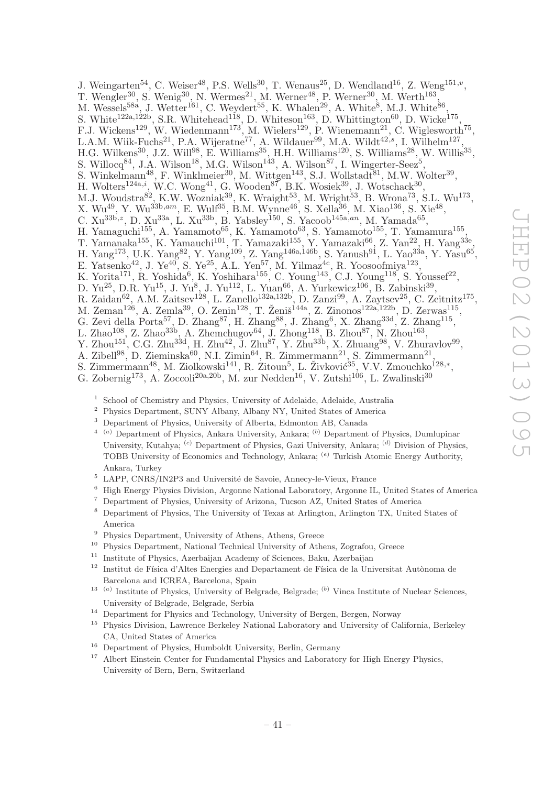J. Weingarten<sup>54</sup>, C. Weiser<sup>48</sup>, P.S. Wells<sup>30</sup>, T. Wenaus<sup>25</sup>, D. Wendland<sup>16</sup>, Z. Weng<sup>151,*v*</sup>, T. Wengler<sup>30</sup>, S. Wenig<sup>30</sup>, N. Wermes<sup>21</sup>, M. Werner<sup>48</sup>, P. Werner<sup>30</sup>, M. Werth<sup>163</sup>, M. Wessels<sup>58a</sup>, J. Wetter<sup>161</sup>, C. Weydert<sup>55</sup>, K. Whalen<sup>29</sup>, A. White<sup>8</sup>, M.J. White<sup>86</sup> , S. White<sup>122a,122b</sup>, S.R. Whitehead<sup>118</sup>, D. Whiteson<sup>163</sup>, D. Whittington<sup>60</sup>, D. Wicke<sup>175</sup>, F.J. Wickens<sup>129</sup>, W. Wiedenmann<sup>173</sup>, M. Wielers<sup>129</sup>, P. Wienemann<sup>21</sup>, C. Wiglesworth<sup>75</sup>, L.A.M. Wiik-Fuchs<sup>21</sup>, P.A. Wijeratne<sup>77</sup>, A. Wildauer<sup>99</sup>, M.A. Wildt<sup>42,s</sup>, I. Wilhelm<sup>127</sup>, H.G. Wilkens<sup>30</sup>, J.Z. Will<sup>98</sup>, E. Williams<sup>35</sup>, H.H. Williams<sup>120</sup>, S. Williams<sup>28</sup>, W. Willis<sup>35</sup>, S. Willocq<sup>84</sup>, J.A. Wilson<sup>18</sup>, M.G. Wilson<sup>143</sup>, A. Wilson<sup>87</sup>, I. Wingerter-Seez<sup>5</sup>, S. Winkelmann<sup>48</sup>, F. Winklmeier<sup>30</sup>, M. Wittgen<sup>143</sup>, S.J. Wollstadt<sup>81</sup>, M.W. Wolter<sup>39</sup>, H. Wolters<sup>124a,*i*</sup>, W.C. Wong<sup>41</sup>, G. Wooden<sup>87</sup>, B.K. Wosiek<sup>39</sup>, J. Wotschack<sup>30</sup>, M.J. Woudstra $^{82}$ , K.W. Wozniak $^{39}$ , K. Wraight $^{53}$ , M. Wright $^{53}$ , B. Wrona $^{73}$ , S.L. Wu<sup>173</sup>, X. Wu<sup>49</sup>, Y. Wu<sup>33b,am</sup>, E. Wulf<sup>35</sup>, B.M. Wynne<sup>46</sup>, S. Xella<sup>36</sup>, M. Xiao<sup>136</sup>, S. Xie<sup>48</sup>, C.  $Xu^{33b,z}$ , D.  $Xu^{33a}$ , L.  $Xu^{33b}$ , B. Yabsley<sup>150</sup>, S. Yacoob<sup>145a,an</sup>, M. Yamada<sup>65</sup>, H. Yamaguchi<sup>155</sup>, A. Yamamoto<sup>65</sup>, K. Yamamoto<sup>63</sup>, S. Yamamoto<sup>155</sup>, T. Yamamura<sup>155</sup>, T. Yamanaka<sup>155</sup>, K. Yamauchi<sup>101</sup>, T. Yamazaki<sup>155</sup>, Y. Yamazaki<sup>66</sup>, Z. Yan<sup>22</sup>, H. Yang<sup>33e</sup>, H. Yang<sup>173</sup>, U.K. Yang<sup>82</sup>, Y. Yang<sup>109</sup>, Z. Yang<sup>146a,146b</sup>, S. Yanush<sup>91</sup>, L. Yao<sup>33a</sup>, Y. Yasu<sup>65</sup>, E. Yatsenko<sup>42</sup>, J. Ye<sup>40</sup>, S. Ye<sup>25</sup>, A.L. Yen<sup>57</sup>, M. Yilmaz<sup>4c</sup>, R. Yoosoofmiya<sup>123</sup>, K. Yorita<sup>171</sup>, R. Yoshida<sup>6</sup>, K. Yoshihara<sup>155</sup>, C. Young<sup>143</sup>, C.J. Young<sup>118</sup>, S. Youssef<sup>22</sup>, D. Yu<sup>25</sup>, D.R. Yu<sup>15</sup>, J. Yu<sup>8</sup>, J. Yu<sup>112</sup>, L. Yuan<sup>66</sup>, A. Yurkewicz<sup>106</sup>, B. Zabinski<sup>39</sup>, R. Zaidan<sup>62</sup>, A.M. Zaitsev<sup>128</sup>, L. Zanello<sup>132a,132b</sup>, D. Zanzi<sup>99</sup>, A. Zaytsev<sup>25</sup>, C. Zeitnitz<sup>175</sup>, M. Zeman<sup>126</sup>, A. Zemla<sup>39</sup>, O. Zenin<sup>128</sup>, T. Ženiš<sup>144a</sup>, Z. Zinonos<sup>122a,122b</sup>, D. Zerwas<sup>115</sup>, G. Zevi della Porta<sup>57</sup>, D. Zhang<sup>87</sup>, H. Zhang<sup>88</sup>, J. Zhang<sup>6</sup>, X. Zhang<sup>33d</sup>, Z. Zhang<sup>115</sup>, L. Zhao<sup>108</sup>, Z. Zhao<sup>33b</sup>, A. Zhemchugov<sup>64</sup>, J. Zhong<sup>118</sup>, B. Zhou<sup>87</sup>, N. Zhou<sup>163</sup>, Y. Zhou<sup>151</sup>, C.G. Zhu<sup>33d</sup>, H. Zhu<sup>42</sup>, J. Zhu<sup>87</sup>, Y. Zhu<sup>33b</sup>, X. Zhuang<sup>98</sup>, V. Zhuravlov<sup>99</sup>, A. Zibell<sup>98</sup>, D. Zieminska<sup>60</sup>, N.I. Zimin<sup>64</sup>, R. Zimmermann<sup>21</sup>, S. Zimmermann<sup>21</sup>,

- S. Zimmermann<sup>48</sup>, M. Ziolkowski<sup>141</sup>, R. Zitoun<sup>5</sup>, L. Živković<sup>35</sup>, V.V. Zmouchko<sup>128,\*</sup>,
- G. Zobernig<sup>173</sup>, A. Zoccoli<sup>20a, 20b</sup>, M. zur Nedden<sup>16</sup>, V. Zutshi<sup>106</sup>, L. Zwalinski<sup>30</sup>
	- <sup>1</sup> School of Chemistry and Physics, University of Adelaide, Adelaide, Australia
	- <sup>2</sup> Physics Department, SUNY Albany, Albany NY, United States of America
	- <sup>3</sup> Department of Physics, University of Alberta, Edmonton AB, Canada
	- $4\quad$ (a) Department of Physics, Ankara University, Ankara; (b) Department of Physics, Dumlupinar University, Kutahya; <sup>(c)</sup> Department of Physics, Gazi University, Ankara; <sup>(d)</sup> Division of Physics, TOBB University of Economics and Technology, Ankara; (e) Turkish Atomic Energy Authority, Ankara, Turkey
	- $5$  LAPP, CNRS/IN2P3 and Université de Savoie, Annecy-le-Vieux, France
	- <sup>6</sup> High Energy Physics Division, Argonne National Laboratory, Argonne IL, United States of America
	- <sup>7</sup> Department of Physics, University of Arizona, Tucson AZ, United States of America
	- <sup>8</sup> Department of Physics, The University of Texas at Arlington, Arlington TX, United States of America
	- <sup>9</sup> Physics Department, University of Athens, Athens, Greece
	- <sup>10</sup> Physics Department, National Technical University of Athens, Zografou, Greece
	- <sup>11</sup> Institute of Physics, Azerbaijan Academy of Sciences, Baku, Azerbaijan
	- $12$  Institut de Física d'Altes Energies and Departament de Física de la Universitat Autònoma de Barcelona and ICREA, Barcelona, Spain
	- $13$  (a) Institute of Physics, University of Belgrade, Belgrade; (b) Vinca Institute of Nuclear Sciences, University of Belgrade, Belgrade, Serbia
	- <sup>14</sup> Department for Physics and Technology, University of Bergen, Bergen, Norway
	- <sup>15</sup> Physics Division, Lawrence Berkeley National Laboratory and University of California, Berkeley CA, United States of America
	- <sup>16</sup> Department of Physics, Humboldt University, Berlin, Germany
	- <sup>17</sup> Albert Einstein Center for Fundamental Physics and Laboratory for High Energy Physics, University of Bern, Bern, Switzerland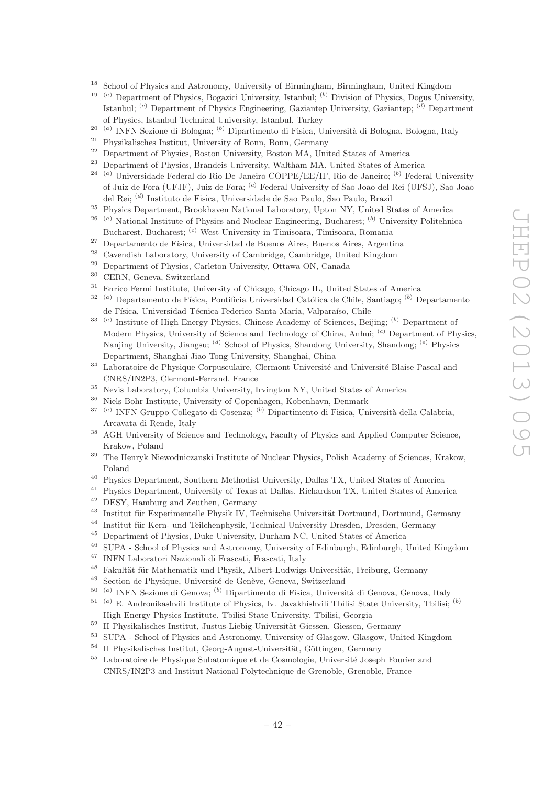- <sup>18</sup> School of Physics and Astronomy, University of Birmingham, Birmingham, United Kingdom
- <sup>19 (a)</sup> Department of Physics, Bogazici University, Istanbul; <sup>(b)</sup> Division of Physics, Dogus University, Istanbul; <sup>(c)</sup> Department of Physics Engineering, Gaziantep University, Gaziantep; <sup>(d)</sup> Department of Physics, Istanbul Technical University, Istanbul, Turkey
- <sup>20 (a)</sup> INFN Sezione di Bologna; <sup>(b)</sup> Dipartimento di Fisica, Università di Bologna, Bologna, Italy
- <sup>21</sup> Physikalisches Institut, University of Bonn, Bonn, Germany<br><sup>22</sup> Penertment of Physics, Boston University, Boston MA, Uni
- <sup>22</sup> Department of Physics, Boston University, Boston MA, United States of America
- <sup>23</sup> Department of Physics, Brandeis University, Waltham MA, United States of America
- <sup>24 (a)</sup> Universidade Federal do Rio De Janeiro COPPE/EE/IF, Rio de Janeiro; <sup>(b)</sup> Federal University of Juiz de Fora (UFJF), Juiz de Fora; (c) Federal University of Sao Joao del Rei (UFSJ), Sao Joao del Rei; <sup>(d)</sup> Instituto de Fisica, Universidade de Sao Paulo, Sao Paulo, Brazil
- <sup>25</sup> Physics Department, Brookhaven National Laboratory, Upton NY, United States of America
- $26$ <sup>(a)</sup> National Institute of Physics and Nuclear Engineering, Bucharest; <sup>(b)</sup> University Politehnica Bucharest, Bucharest; <sup>(c)</sup> West University in Timisoara, Timisoara, Romania
- <sup>27</sup> Departamento de Física, Universidad de Buenos Aires, Buenos Aires, Argentina<br><sup>28</sup> Carendiak Labantam: University of Cambridge, Cambridge, United Kingdom
- <sup>28</sup> Cavendish Laboratory, University of Cambridge, Cambridge, United Kingdom
- Department of Physics, Carleton University, Ottawa ON, Canada
- $30$  CERN, Geneva, Switzerland<br> $31$  Eurise Euris Institute Hain
- <sup>31</sup> Enrico Fermi Institute, University of Chicago, Chicago IL, United States of America
- $32$ <sup>(a)</sup> Departamento de Física, Pontificia Universidad Católica de Chile, Santiago; <sup>(b)</sup> Departamento de Física, Universidad Técnica Federico Santa María, Valparaíso, Chile
- <sup>33</sup><sup>(a)</sup> Institute of High Energy Physics, Chinese Academy of Sciences, Beijing; <sup>(b)</sup> Department of Modern Physics, University of Science and Technology of China, Anhui; <sup>(c)</sup> Department of Physics, Nanjing University, Jiangsu; <sup>(d)</sup> School of Physics, Shandong University, Shandong; <sup>(e)</sup> Physics Department, Shanghai Jiao Tong University, Shanghai, China
- <sup>34</sup> Laboratoire de Physique Corpusculaire, Clermont Université and Université Blaise Pascal and CNRS/IN2P3, Clermont-Ferrand, France
- <sup>35</sup> Nevis Laboratory, Columbia University, Irvington NY, United States of America
- <sup>36</sup> Niels Bohr Institute, University of Copenhagen, Kobenhavn, Denmark
- <sup>37 (a)</sup> INFN Gruppo Collegato di Cosenza; <sup>(b)</sup> Dipartimento di Fisica, Università della Calabria, Arcavata di Rende, Italy
- <sup>38</sup> AGH University of Science and Technology, Faculty of Physics and Applied Computer Science, Krakow, Poland
- <sup>39</sup> The Henryk Niewodniczanski Institute of Nuclear Physics, Polish Academy of Sciences, Krakow, Poland
- <sup>40</sup> Physics Department, Southern Methodist University, Dallas TX, United States of America
- <sup>41</sup> Physics Department, University of Texas at Dallas, Richardson TX, United States of America
- <sup>42</sup> DESY, Hamburg and Zeuthen, Germany
- <sup>43</sup> Institut für Experimentelle Physik IV, Technische Universität Dortmund, Dortmund, Germany
- <sup>44</sup> Institut für Kern- und Teilchenphysik, Technical University Dresden, Dresden, Germany<br><sup>45</sup> Department of Physics, Duke University, Durham NC, United States of America
- <sup>45</sup> Department of Physics, Duke University, Durham NC, United States of America<br><sup>46</sup> SUDA, School of Physics and Astronomy University of Edinburgh Edinburgh 1
- <sup>46</sup> SUPA School of Physics and Astronomy, University of Edinburgh, Edinburgh, United Kingdom<br><sup>47</sup> INEN Laboratori Nazionali di Encepti, Especiali Italy
- <sup>47</sup> INFN Laboratori Nazionali di Frascati, Frascati, Italy
- <sup>48</sup> Fakultät für Mathematik und Physik, Albert-Ludwigs-Universität, Freiburg, Germany<br><sup>49</sup> Section de Physicus, Université de Cenève, Geneve, Switzerland
- Section de Physique, Université de Genève, Geneva, Switzerland
- <sup>50 (a)</sup> INFN Sezione di Genova; <sup>(b)</sup> Dipartimento di Fisica, Università di Genova, Genova, Italy
- $51$ <sup>(a)</sup> E. Andronikashvili Institute of Physics, Iv. Javakhishvili Tbilisi State University, Tbilisi; <sup>(b)</sup> High Energy Physics Institute, Tbilisi State University, Tbilisi, Georgia
- $52$  II Physikalisches Institut, Justus-Liebig-Universität Giessen, Giessen, Germany
- <sup>53</sup> SUPA School of Physics and Astronomy, University of Glasgow, Glasgow, United Kingdom
- $54$  II Physikalisches Institut, Georg-August-Universität, Göttingen, Germany
- $55$  Laboratoire de Physique Subatomique et de Cosmologie, Université Joseph Fourier and CNRS/IN2P3 and Institut National Polytechnique de Grenoble, Grenoble, France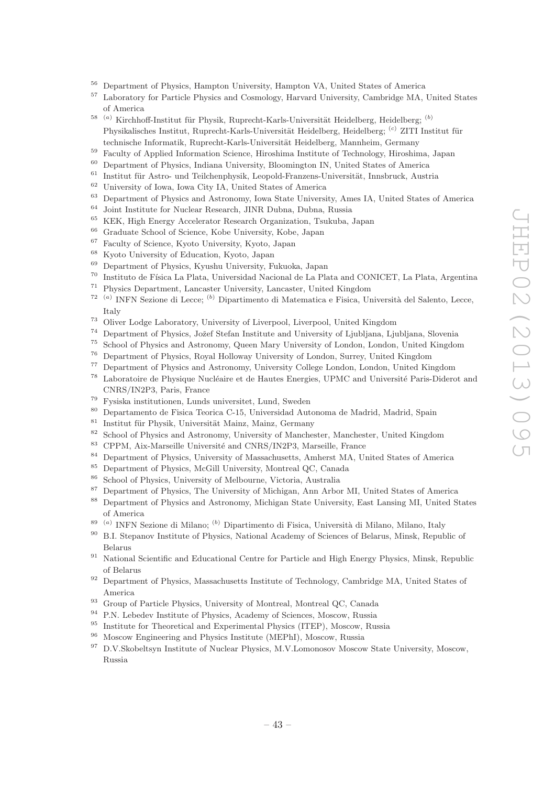- <sup>56</sup> Department of Physics, Hampton University, Hampton VA, United States of America<br><sup>57</sup> Lehenstern for Particle Physics and Cognology Hampton University, Cambridge MA
- <sup>57</sup> Laboratory for Particle Physics and Cosmology, Harvard University, Cambridge MA, United States of America
- <sup>58 (a)</sup> Kirchhoff-Institut für Physik, Ruprecht-Karls-Universität Heidelberg, Heidelberg; <sup>(b)</sup> Physikalisches Institut, Ruprecht-Karls-Universität Heidelberg, Heidelberg; <sup>(c)</sup> ZITI Institut für technische Informatik, Ruprecht-Karls-Universität Heidelberg, Mannheim, Germany
- <sup>59</sup> Faculty of Applied Information Science, Hiroshima Institute of Technology, Hiroshima, Japan
- <sup>60</sup> Department of Physics, Indiana University, Bloomington IN, United States of America
- $61$  Institut für Astro- und Teilchenphysik, Leopold-Franzens-Universität, Innsbruck, Austria
- <sup>62</sup> University of Iowa, Iowa City IA, United States of America
- $^{63}$  Department of Physics and Astronomy, Iowa State University, Ames IA, United States of America
- Joint Institute for Nuclear Research, JINR Dubna, Dubna, Russia
- <sup>65</sup> KEK, High Energy Accelerator Research Organization, Tsukuba, Japan
- <sup>66</sup> Graduate School of Science, Kobe University, Kobe, Japan<sup>67</sup> Foculty of Science, Kyota University, Kyota Japan
- $^{67}$  Faculty of Science, Kyoto University, Kyoto, Japan  $^{68}$  Kyoto University of Education, Kyoto, Japan
- <sup>68</sup> Kyoto University of Education, Kyoto, Japan<br><sup>69</sup> Department of Plassics, Kyotaka University, E
- <sup>69</sup> Department of Physics, Kyushu University, Fukuoka, Japan
- <sup>70</sup> Instituto de Física La Plata, Universidad Nacional de La Plata and CONICET, La Plata, Argentina
- <sup>71</sup> Physics Department, Lancaster University, Lancaster, United Kingdom
- <sup>72 (a)</sup> INFN Sezione di Lecce; <sup>(b)</sup> Dipartimento di Matematica e Fisica, Università del Salento, Lecce, Italy
- <sup>73</sup> Oliver Lodge Laboratory, University of Liverpool, Liverpool, United Kingdom
- <sup>74</sup> Department of Physics, Jožef Stefan Institute and University of Ljubliana, Ljubliana, Slovenia
- <sup>75</sup> School of Physics and Astronomy, Queen Mary University of London, London, United Kingdom
- <sup>76</sup> Department of Physics, Royal Holloway University of London, Surrey, United Kingdom<br><sup>77</sup> Department of Physics and Astronomy University College London, London, United Kin
- <sup>77</sup> Department of Physics and Astronomy, University College London, London, United Kingdom
- <sup>78</sup> Laboratoire de Physique Nucléaire et de Hautes Energies, UPMC and Université Paris-Diderot and CNRS/IN2P3, Paris, France
- <sup>79</sup> Fysiska institutionen, Lunds universitet, Lund, Sweden
- <sup>80</sup> Departamento de Fisica Teorica C-15, Universidad Autonoma de Madrid, Madrid, Spain
- <sup>81</sup> Institut für Physik, Universität Mainz, Mainz, Germany<br><sup>82</sup> School of Physics and Astronomy University of Manches
- <sup>82</sup> School of Physics and Astronomy, University of Manchester, Manchester, United Kingdom<br><sup>83</sup> CRPM Aiv Mancilla University and CNPS (IN2R2, Marcellla Epanes
- CPPM, Aix-Marseille Université and CNRS/IN2P3, Marseille, France
- <sup>84</sup> Department of Physics, University of Massachusetts, Amherst MA, United States of America
- <sup>85</sup> Department of Physics, McGill University, Montreal QC, Canada
- <sup>86</sup> School of Physics, University of Melbourne, Victoria, Australia
- <sup>87</sup> Department of Physics, The University of Michigan, Ann Arbor MI, United States of America
- <sup>88</sup> Department of Physics and Astronomy, Michigan State University, East Lansing MI, United States of America
- <sup>89 (a)</sup> INFN Sezione di Milano; <sup>(b)</sup> Dipartimento di Fisica, Università di Milano, Milano, Italy
- <sup>90</sup> B.I. Stepanov Institute of Physics, National Academy of Sciences of Belarus, Minsk, Republic of Belarus
- <sup>91</sup> National Scientific and Educational Centre for Particle and High Energy Physics, Minsk, Republic of Belarus
- <sup>92</sup> Department of Physics, Massachusetts Institute of Technology, Cambridge MA, United States of America
- <sup>93</sup> Group of Particle Physics, University of Montreal, Montreal QC, Canada
- <sup>94</sup> P.N. Lebedev Institute of Physics, Academy of Sciences, Moscow, Russia
- <sup>95</sup> Institute for Theoretical and Experimental Physics (ITEP), Moscow, Russia
- <sup>96</sup> Moscow Engineering and Physics Institute (MEPhI), Moscow, Russia
- <sup>97</sup> D.V.Skobeltsyn Institute of Nuclear Physics, M.V.Lomonosov Moscow State University, Moscow, Russia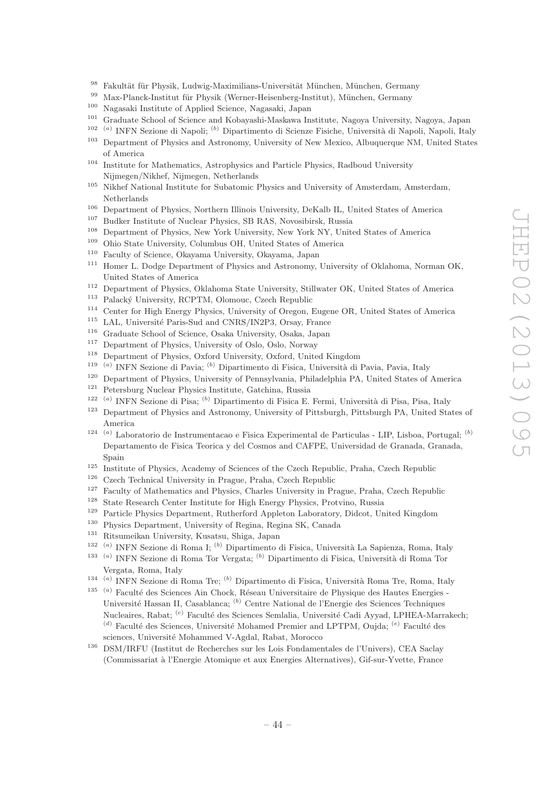- <sup>98</sup> Fakultät für Physik, Ludwig-Maximilians-Universität München, München, Germany
- <sup>99</sup> Max-Planck-Institut für Physik (Werner-Heisenberg-Institut), München, Germany<br><sup>100</sup> Nagasaki Institute of Applied Science, Nagasaki, Japan
- <sup>100</sup> Nagasaki Institute of Applied Science, Nagasaki, Japan<br><sup>101</sup> Craduate School of Science and Kebaysaki Maskawa In
- <sup>101</sup> Graduate School of Science and Kobayashi-Maskawa Institute, Nagoya University, Nagoya, Japan
- <sup>102 (a)</sup> INFN Sezione di Napoli; <sup>(b)</sup> Dipartimento di Scienze Fisiche, Università di Napoli, Napoli, Italy
- <sup>103</sup> Department of Physics and Astronomy, University of New Mexico, Albuquerque NM, United States of America
- <sup>104</sup> Institute for Mathematics, Astrophysics and Particle Physics, Radboud University Nijmegen/Nikhef, Nijmegen, Netherlands
- <sup>105</sup> Nikhef National Institute for Subatomic Physics and University of Amsterdam, Amsterdam, Netherlands
- <sup>106</sup> Department of Physics, Northern Illinois University, DeKalb IL, United States of America
- <sup>107</sup> Budker Institute of Nuclear Physics, SB RAS, Novosibirsk, Russia
- <sup>108</sup> Department of Physics, New York University, New York NY, United States of America<br><sup>109</sup> Obje State University, Columbus OH, United States of America
- <sup>109</sup> Ohio State University, Columbus OH, United States of America
- <sup>110</sup> Faculty of Science, Okayama University, Okayama, Japan
- <sup>111</sup> Homer L. Dodge Department of Physics and Astronomy, University of Oklahoma, Norman OK, United States of America
- <sup>112</sup> Department of Physics, Oklahoma State University, Stillwater OK, United States of America<br><sup>113</sup> Palacký University, BCPTM, Olomouc, Czech Bopublic
- Palacký University, RCPTM, Olomouc, Czech Republic
- <sup>114</sup> Center for High Energy Physics, University of Oregon, Eugene OR, United States of America
- $115$  LAL, Université Paris-Sud and CNRS/IN2P3, Orsay, France
- <sup>116</sup> Graduate School of Science, Osaka University, Osaka, Japan
- <sup>117</sup> Department of Physics, University of Oslo, Oslo, Norway
- <sup>118</sup> Department of Physics, Oxford University, Oxford, United Kingdom
- <sup>119 (a)</sup> INFN Sezione di Pavia; <sup>(b)</sup> Dipartimento di Fisica, Università di Pavia, Pavia, Italy
- <sup>120</sup> Department of Physics, University of Pennsylvania, Philadelphia PA, United States of America<br><sup>121</sup> Petersburg Nuelean Physics Institute Catabine, Puscie
- Petersburg Nuclear Physics Institute, Gatchina, Russia
- <sup>122 (a)</sup> INFN Sezione di Pisa; <sup>(b)</sup> Dipartimento di Fisica E. Fermi, Università di Pisa, Pisa, Italy
- <sup>123</sup> Department of Physics and Astronomy, University of Pittsburgh, Pittsburgh PA, United States of America
- 124 (a) Laboratorio de Instrumentacao e Fisica Experimental de Particulas LIP, Lisboa, Portugal; (b) Departamento de Fisica Teorica y del Cosmos and CAFPE, Universidad de Granada, Granada, Spain
- <sup>125</sup> Institute of Physics, Academy of Sciences of the Czech Republic, Praha, Czech Republic
- <sup>126</sup> Czech Technical University in Prague, Praha, Czech Republic
- <sup>127</sup> Faculty of Mathematics and Physics, Charles University in Prague, Praha, Czech Republic
- <sup>128</sup> State Research Center Institute for High Energy Physics, Protvino, Russia
- <sup>129</sup> Particle Physics Department, Rutherford Appleton Laboratory, Didcot, United Kingdom
- <sup>130</sup> Physics Department, University of Regina, Regina SK, Canada<br><sup>131</sup> Bitsumoikan University Kusatsu, Shiga, Japan
- <sup>131</sup> Ritsumeikan University, Kusatsu, Shiga, Japan
- <sup>132 (a)</sup> INFN Sezione di Roma I; <sup>(b)</sup> Dipartimento di Fisica, Università La Sapienza, Roma, Italy
- <sup>133 (a)</sup> INFN Sezione di Roma Tor Vergata; <sup>(b)</sup> Dipartimento di Fisica, Università di Roma Tor Vergata, Roma, Italy
- <sup>134 (a)</sup> INFN Sezione di Roma Tre; <sup>(b)</sup> Dipartimento di Fisica, Università Roma Tre, Roma, Italy
- <sup>135 (a)</sup> Faculté des Sciences Ain Chock, Réseau Universitaire de Physique des Hautes Energies -Université Hassan II, Casablanca; <sup>(b)</sup> Centre National de l'Energie des Sciences Techniques Nucleaires, Rabat; <sup>(c)</sup> Faculté des Sciences Semlalia, Université Cadi Ayyad, LPHEA-Marrakech;  $^{(d)}$  Faculté des Sciences, Université Mohamed Premier and LPTPM, Oujda;  $^{(e)}$  Faculté des sciences, Université Mohammed V-Agdal, Rabat, Morocco
- <sup>136</sup> DSM/IRFU (Institut de Recherches sur les Lois Fondamentales de l'Univers), CEA Saclay (Commissariat `a l'Energie Atomique et aux Energies Alternatives), Gif-sur-Yvette, France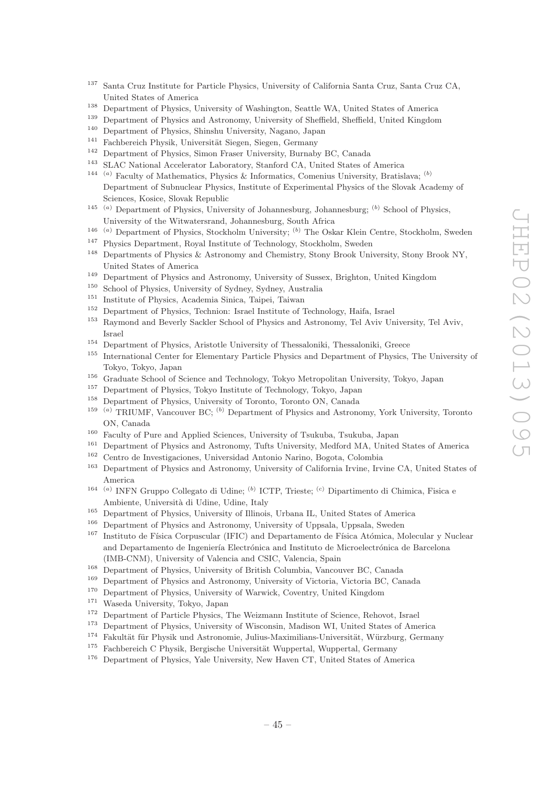- <sup>137</sup> Santa Cruz Institute for Particle Physics, University of California Santa Cruz, Santa Cruz CA, United States of America
- <sup>138</sup> Department of Physics, University of Washington, Seattle WA, United States of America<br><sup>139</sup> Department of Physics and Astronomy University of Sheffield, Sheffield, United Kingdom
- <sup>139</sup> Department of Physics and Astronomy, University of Sheffield, Sheffield, United Kingdom<br><sup>140</sup> Department of Physics Shipshy University Nagano, Japan
- <sup>140</sup> Department of Physics, Shinshu University, Nagano, Japan<br><sup>141</sup> Eachbaraich Physik, Universität Siegen, Siegen, Campany
- <sup>141</sup> Fachbereich Physik, Universität Siegen, Siegen, Germany<br><sup>142</sup> Department of Physics, Simon Fraser University, Burnab
- <sup>142</sup> Department of Physics, Simon Fraser University, Burnaby BC, Canada
- <sup>143</sup> SLAC National Accelerator Laboratory, Stanford CA, United States of America
- <sup>144</sup> (a) Faculty of Mathematics, Physics & Informatics, Comenius University, Bratislava; (b) Department of Subnuclear Physics, Institute of Experimental Physics of the Slovak Academy of Sciences, Kosice, Slovak Republic
- <sup>145</sup> (a) Department of Physics, University of Johannesburg, Johannesburg; (b) School of Physics, University of the Witwatersrand, Johannesburg, South Africa
- <sup>146</sup> (a) Department of Physics, Stockholm University; <sup>(b)</sup> The Oskar Klein Centre, Stockholm, Sweden
- <sup>147</sup> Physics Department, Royal Institute of Technology, Stockholm, Sweden
- <sup>148</sup> Departments of Physics & Astronomy and Chemistry, Stony Brook University, Stony Brook NY, United States of America
- <sup>149</sup> Department of Physics and Astronomy, University of Sussex, Brighton, United Kingdom
- School of Physics, University of Sydney, Sydney, Australia
- <sup>151</sup> Institute of Physics, Academia Sinica, Taipei, Taiwan<sup>152</sup> Department of Physics, Technion: Israel Institute of T
- <sup>152</sup> Department of Physics, Technion: Israel Institute of Technology, Haifa, Israel
- <sup>153</sup> Raymond and Beverly Sackler School of Physics and Astronomy, Tel Aviv University, Tel Aviv, Israel
- <sup>154</sup> Department of Physics, Aristotle University of Thessaloniki, Thessaloniki, Greece
- <sup>155</sup> International Center for Elementary Particle Physics and Department of Physics, The University of Tokyo, Tokyo, Japan
- <sup>156</sup> Graduate School of Science and Technology, Tokyo Metropolitan University, Tokyo, Japan<br><sup>157</sup> Department of Physics, Tokyo Institute of Technology, Tokyo, Japan
- <sup>157</sup> Department of Physics, Tokyo Institute of Technology, Tokyo, Japan
- <sup>158</sup> Department of Physics, University of Toronto, Toronto ON, Canada
- <sup>159</sup> (a) TRIUMF, Vancouver BC; <sup>(b)</sup> Department of Physics and Astronomy, York University, Toronto ON, Canada
- <sup>160</sup> Faculty of Pure and Applied Sciences, University of Tsukuba, Tsukuba, Japan<br><sup>161</sup> Department of Plantias and Action and Tafe University Madford MA, United
- <sup>161</sup> Department of Physics and Astronomy, Tufts University, Medford MA, United States of America
- <sup>162</sup> Centro de Investigaciones, Universidad Antonio Narino, Bogota, Colombia
- <sup>163</sup> Department of Physics and Astronomy, University of California Irvine, Irvine CA, United States of America
- <sup>164 (a)</sup> INFN Gruppo Collegato di Udine; <sup>(b)</sup> ICTP, Trieste; <sup>(c)</sup> Dipartimento di Chimica, Fisica e Ambiente, Università di Udine, Udine, Italy
- <sup>165</sup> Department of Physics, University of Illinois, Urbana IL, United States of America
- <sup>166</sup> Department of Physics and Astronomy, University of Uppsala, Uppsala, Sweden<br><sup>167</sup> Institute de Eísics Corpuscular (IEIC) and Departmente de Eísics Atómics, M
- Instituto de Física Corpuscular (IFIC) and Departamento de Física Atómica, Molecular y Nuclear and Departamento de Ingeniería Electrónica and Instituto de Microelectrónica de Barcelona (IMB-CNM), University of Valencia and CSIC, Valencia, Spain
- <sup>168</sup> Department of Physics, University of British Columbia, Vancouver BC, Canada
- <sup>169</sup> Department of Physics and Astronomy, University of Victoria, Victoria BC, Canada<br><sup>170</sup> Department of Physics Huisepite of Warrick Creature Haited Kingdom
- <sup>170</sup> Department of Physics, University of Warwick, Coventry, United Kingdom
- $171$  Waseda University, Tokyo, Japan  $172$  Department of Particle Physics.
- <sup>172</sup> Department of Particle Physics, The Weizmann Institute of Science, Rehovot, Israel
- <sup>173</sup> Department of Physics, University of Wisconsin, Madison WI, United States of America
- <sup>174</sup> Fakultät für Physik und Astronomie, Julius-Maximilians-Universität, Würzburg, Germany
- $175$  Fachbereich C Physik, Bergische Universität Wuppertal, Wuppertal, Germany
- <sup>176</sup> Department of Physics, Yale University, New Haven CT, United States of America